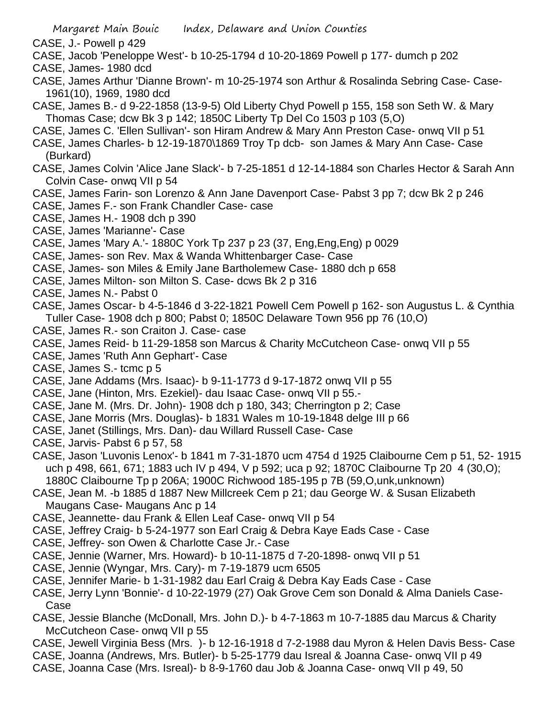- CASE, J.- Powell p 429
- CASE, Jacob 'Peneloppe West'- b 10-25-1794 d 10-20-1869 Powell p 177- dumch p 202
- CASE, James- 1980 dcd
- CASE, James Arthur 'Dianne Brown'- m 10-25-1974 son Arthur & Rosalinda Sebring Case- Case-1961(10), 1969, 1980 dcd
- CASE, James B.- d 9-22-1858 (13-9-5) Old Liberty Chyd Powell p 155, 158 son Seth W. & Mary Thomas Case; dcw Bk 3 p 142; 1850C Liberty Tp Del Co 1503 p 103 (5,O)
- CASE, James C. 'Ellen Sullivan'- son Hiram Andrew & Mary Ann Preston Case- onwq VII p 51
- CASE, James Charles- b 12-19-1870\1869 Troy Tp dcb- son James & Mary Ann Case- Case (Burkard)
- CASE, James Colvin 'Alice Jane Slack'- b 7-25-1851 d 12-14-1884 son Charles Hector & Sarah Ann Colvin Case- onwq VII p 54
- CASE, James Farin- son Lorenzo & Ann Jane Davenport Case- Pabst 3 pp 7; dcw Bk 2 p 246
- CASE, James F.- son Frank Chandler Case- case
- CASE, James H.- 1908 dch p 390
- CASE, James 'Marianne'- Case
- CASE, James 'Mary A.'- 1880C York Tp 237 p 23 (37, Eng,Eng,Eng) p 0029
- CASE, James- son Rev. Max & Wanda Whittenbarger Case- Case
- CASE, James- son Miles & Emily Jane Bartholemew Case- 1880 dch p 658
- CASE, James Milton- son Milton S. Case- dcws Bk 2 p 316
- CASE, James N.- Pabst 0
- CASE, James Oscar- b 4-5-1846 d 3-22-1821 Powell Cem Powell p 162- son Augustus L. & Cynthia Tuller Case- 1908 dch p 800; Pabst 0; 1850C Delaware Town 956 pp 76 (10,O)
- CASE, James R.- son Craiton J. Case- case
- CASE, James Reid- b 11-29-1858 son Marcus & Charity McCutcheon Case- onwq VII p 55
- CASE, James 'Ruth Ann Gephart'- Case
- CASE, James S.- tcmc p 5
- CASE, Jane Addams (Mrs. Isaac)- b 9-11-1773 d 9-17-1872 onwq VII p 55
- CASE, Jane (Hinton, Mrs. Ezekiel)- dau Isaac Case- onwq VII p 55.-
- CASE, Jane M. (Mrs. Dr. John)- 1908 dch p 180, 343; Cherrington p 2; Case
- CASE, Jane Morris (Mrs. Douglas)- b 1831 Wales m 10-19-1848 delge III p 66
- CASE, Janet (Stillings, Mrs. Dan)- dau Willard Russell Case- Case
- CASE, Jarvis- Pabst 6 p 57, 58
- CASE, Jason 'Luvonis Lenox'- b 1841 m 7-31-1870 ucm 4754 d 1925 Claibourne Cem p 51, 52- 1915 uch p 498, 661, 671; 1883 uch IV p 494, V p 592; uca p 92; 1870C Claibourne Tp 20 4 (30,O); 1880C Claibourne Tp p 206A; 1900C Richwood 185-195 p 7B (59,O,unk,unknown)
- CASE, Jean M. -b 1885 d 1887 New Millcreek Cem p 21; dau George W. & Susan Elizabeth Maugans Case- Maugans Anc p 14
- CASE, Jeannette- dau Frank & Ellen Leaf Case- onwq VII p 54
- CASE, Jeffrey Craig- b 5-24-1977 son Earl Craig & Debra Kaye Eads Case Case
- CASE, Jeffrey- son Owen & Charlotte Case Jr.- Case
- CASE, Jennie (Warner, Mrs. Howard)- b 10-11-1875 d 7-20-1898- onwq VII p 51
- CASE, Jennie (Wyngar, Mrs. Cary)- m 7-19-1879 ucm 6505
- CASE, Jennifer Marie- b 1-31-1982 dau Earl Craig & Debra Kay Eads Case Case
- CASE, Jerry Lynn 'Bonnie'- d 10-22-1979 (27) Oak Grove Cem son Donald & Alma Daniels Case-Case
- CASE, Jessie Blanche (McDonall, Mrs. John D.)- b 4-7-1863 m 10-7-1885 dau Marcus & Charity McCutcheon Case- onwq VII p 55
- CASE, Jewell Virginia Bess (Mrs. )- b 12-16-1918 d 7-2-1988 dau Myron & Helen Davis Bess- Case
- CASE, Joanna (Andrews, Mrs. Butler)- b 5-25-1779 dau Isreal & Joanna Case- onwq VII p 49
- CASE, Joanna Case (Mrs. Isreal)- b 8-9-1760 dau Job & Joanna Case- onwq VII p 49, 50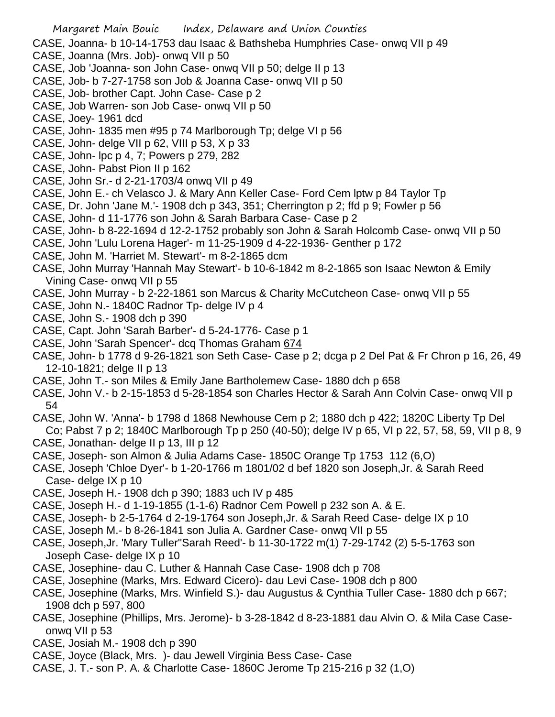CASE, Joanna- b 10-14-1753 dau Isaac & Bathsheba Humphries Case- onwq VII p 49

- CASE, Joanna (Mrs. Job)- onwq VII p 50
- CASE, Job 'Joanna- son John Case- onwq VII p 50; delge II p 13
- CASE, Job- b 7-27-1758 son Job & Joanna Case- onwq VII p 50
- CASE, Job- brother Capt. John Case- Case p 2
- CASE, Job Warren- son Job Case- onwq VII p 50
- CASE, Joey- 1961 dcd
- CASE, John- 1835 men #95 p 74 Marlborough Tp; delge VI p 56
- CASE, John- delge VII p 62, VIII p 53, X p 33
- CASE, John- lpc p 4, 7; Powers p 279, 282
- CASE, John- Pabst Pion II p 162
- CASE, John Sr.- d 2-21-1703/4 onwq VII p 49
- CASE, John E.- ch Velasco J. & Mary Ann Keller Case- Ford Cem lptw p 84 Taylor Tp
- CASE, Dr. John 'Jane M.'- 1908 dch p 343, 351; Cherrington p 2; ffd p 9; Fowler p 56
- CASE, John- d 11-1776 son John & Sarah Barbara Case- Case p 2
- CASE, John- b 8-22-1694 d 12-2-1752 probably son John & Sarah Holcomb Case- onwq VII p 50
- CASE, John 'Lulu Lorena Hager'- m 11-25-1909 d 4-22-1936- Genther p 172
- CASE, John M. 'Harriet M. Stewart'- m 8-2-1865 dcm
- CASE, John Murray 'Hannah May Stewart'- b 10-6-1842 m 8-2-1865 son Isaac Newton & Emily Vining Case- onwq VII p 55
- CASE, John Murray b 2-22-1861 son Marcus & Charity McCutcheon Case- onwq VII p 55
- CASE, John N.- 1840C Radnor Tp- delge IV p 4
- CASE, John S.- 1908 dch p 390
- CASE, Capt. John 'Sarah Barber'- d 5-24-1776- Case p 1
- CASE, John 'Sarah Spencer'- dcq Thomas Graham 674
- CASE, John- b 1778 d 9-26-1821 son Seth Case- Case p 2; dcga p 2 Del Pat & Fr Chron p 16, 26, 49 12-10-1821; delge II p 13
- CASE, John T.- son Miles & Emily Jane Bartholemew Case- 1880 dch p 658
- CASE, John V.- b 2-15-1853 d 5-28-1854 son Charles Hector & Sarah Ann Colvin Case- onwq VII p 54
- CASE, John W. 'Anna'- b 1798 d 1868 Newhouse Cem p 2; 1880 dch p 422; 1820C Liberty Tp Del Co; Pabst 7 p 2; 1840C Marlborough Tp p 250 (40-50); delge IV p 65, VI p 22, 57, 58, 59, VII p 8, 9
- CASE, Jonathan- delge II p 13, III p 12
- CASE, Joseph- son Almon & Julia Adams Case- 1850C Orange Tp 1753 112 (6,O)
- CASE, Joseph 'Chloe Dyer'- b 1-20-1766 m 1801/02 d bef 1820 son Joseph,Jr. & Sarah Reed Case- delge IX p 10
- CASE, Joseph H.- 1908 dch p 390; 1883 uch IV p 485
- CASE, Joseph H.- d 1-19-1855 (1-1-6) Radnor Cem Powell p 232 son A. & E.
- CASE, Joseph- b 2-5-1764 d 2-19-1764 son Joseph,Jr. & Sarah Reed Case- delge IX p 10
- CASE, Joseph M.- b 8-26-1841 son Julia A. Gardner Case- onwq VII p 55
- CASE, Joseph,Jr. 'Mary Tuller''Sarah Reed'- b 11-30-1722 m(1) 7-29-1742 (2) 5-5-1763 son Joseph Case- delge IX p 10
- CASE, Josephine- dau C. Luther & Hannah Case Case- 1908 dch p 708
- CASE, Josephine (Marks, Mrs. Edward Cicero)- dau Levi Case- 1908 dch p 800
- CASE, Josephine (Marks, Mrs. Winfield S.)- dau Augustus & Cynthia Tuller Case- 1880 dch p 667; 1908 dch p 597, 800
- CASE, Josephine (Phillips, Mrs. Jerome)- b 3-28-1842 d 8-23-1881 dau Alvin O. & Mila Case Caseonwq VII p 53
- CASE, Josiah M.- 1908 dch p 390
- CASE, Joyce (Black, Mrs. )- dau Jewell Virginia Bess Case- Case
- CASE, J. T.- son P. A. & Charlotte Case- 1860C Jerome Tp 215-216 p 32 (1,O)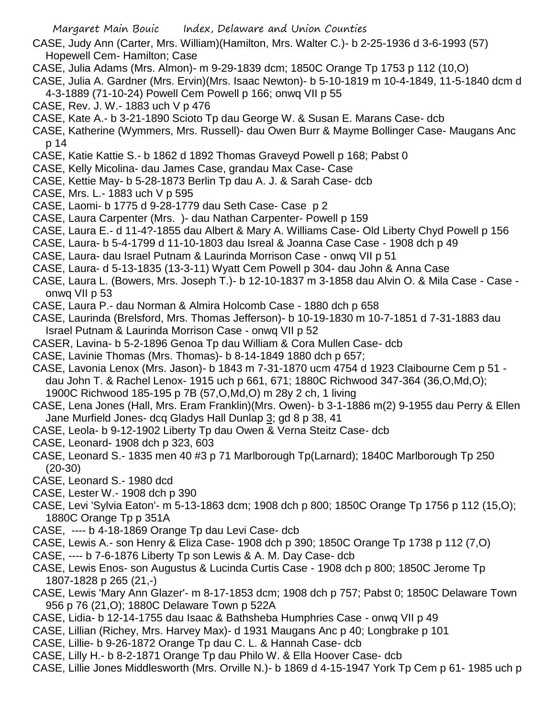- CASE, Judy Ann (Carter, Mrs. William)(Hamilton, Mrs. Walter C.)- b 2-25-1936 d 3-6-1993 (57) Hopewell Cem- Hamilton; Case
- CASE, Julia Adams (Mrs. Almon)- m 9-29-1839 dcm; 1850C Orange Tp 1753 p 112 (10,O)
- CASE, Julia A. Gardner (Mrs. Ervin)(Mrs. Isaac Newton)- b 5-10-1819 m 10-4-1849, 11-5-1840 dcm d
- 4-3-1889 (71-10-24) Powell Cem Powell p 166; onwq VII p 55
- CASE, Rev. J. W.- 1883 uch V p 476
- CASE, Kate A.- b 3-21-1890 Scioto Tp dau George W. & Susan E. Marans Case- dcb
- CASE, Katherine (Wymmers, Mrs. Russell)- dau Owen Burr & Mayme Bollinger Case- Maugans Anc p 14
- CASE, Katie Kattie S.- b 1862 d 1892 Thomas Graveyd Powell p 168; Pabst 0
- CASE, Kelly Micolina- dau James Case, grandau Max Case- Case
- CASE, Kettie May- b 5-28-1873 Berlin Tp dau A. J. & Sarah Case- dcb
- CASE, Mrs. L.- 1883 uch V p 595
- CASE, Laomi- b 1775 d 9-28-1779 dau Seth Case- Case p 2
- CASE, Laura Carpenter (Mrs. )- dau Nathan Carpenter- Powell p 159
- CASE, Laura E.- d 11-4?-1855 dau Albert & Mary A. Williams Case- Old Liberty Chyd Powell p 156
- CASE, Laura- b 5-4-1799 d 11-10-1803 dau Isreal & Joanna Case Case 1908 dch p 49
- CASE, Laura- dau Israel Putnam & Laurinda Morrison Case onwq VII p 51
- CASE, Laura- d 5-13-1835 (13-3-11) Wyatt Cem Powell p 304- dau John & Anna Case
- CASE, Laura L. (Bowers, Mrs. Joseph T.)- b 12-10-1837 m 3-1858 dau Alvin O. & Mila Case Case onwq VII p 53
- CASE, Laura P.- dau Norman & Almira Holcomb Case 1880 dch p 658
- CASE, Laurinda (Brelsford, Mrs. Thomas Jefferson)- b 10-19-1830 m 10-7-1851 d 7-31-1883 dau Israel Putnam & Laurinda Morrison Case - onwq VII p 52
- CASER, Lavina- b 5-2-1896 Genoa Tp dau William & Cora Mullen Case- dcb
- CASE, Lavinie Thomas (Mrs. Thomas)- b 8-14-1849 1880 dch p 657;
- CASE, Lavonia Lenox (Mrs. Jason)- b 1843 m 7-31-1870 ucm 4754 d 1923 Claibourne Cem p 51 dau John T. & Rachel Lenox- 1915 uch p 661, 671; 1880C Richwood 347-364 (36,O,Md,O); 1900C Richwood 185-195 p 7B (57,O,Md,O) m 28y 2 ch, 1 living
- CASE, Lena Jones (Hall, Mrs. Eram Franklin)(Mrs. Owen)- b 3-1-1886 m(2) 9-1955 dau Perry & Ellen Jane Murfield Jones- dcq Gladys Hall Dunlap 3; gd 8 p 38, 41
- CASE, Leola- b 9-12-1902 Liberty Tp dau Owen & Verna Steitz Case- dcb
- CASE, Leonard- 1908 dch p 323, 603
- CASE, Leonard S.- 1835 men 40 #3 p 71 Marlborough Tp(Larnard); 1840C Marlborough Tp 250 (20-30)
- CASE, Leonard S.- 1980 dcd
- CASE, Lester W.- 1908 dch p 390
- CASE, Levi 'Sylvia Eaton'- m 5-13-1863 dcm; 1908 dch p 800; 1850C Orange Tp 1756 p 112 (15,O); 1880C Orange Tp p 351A
- CASE, ---- b 4-18-1869 Orange Tp dau Levi Case- dcb
- CASE, Lewis A.- son Henry & Eliza Case- 1908 dch p 390; 1850C Orange Tp 1738 p 112 (7,O)
- CASE, ---- b 7-6-1876 Liberty Tp son Lewis & A. M. Day Case- dcb
- CASE, Lewis Enos- son Augustus & Lucinda Curtis Case 1908 dch p 800; 1850C Jerome Tp 1807-1828 p 265 (21,-)
- CASE, Lewis 'Mary Ann Glazer'- m 8-17-1853 dcm; 1908 dch p 757; Pabst 0; 1850C Delaware Town 956 p 76 (21,O); 1880C Delaware Town p 522A
- CASE, Lidia- b 12-14-1755 dau Isaac & Bathsheba Humphries Case onwq VII p 49
- CASE, Lillian (Richey, Mrs. Harvey Max)- d 1931 Maugans Anc p 40; Longbrake p 101
- CASE, Lillie- b 9-26-1872 Orange Tp dau C. L. & Hannah Case- dcb
- CASE, Lilly H.- b 8-2-1871 Orange Tp dau Philo W. & Ella Hoover Case- dcb
- CASE, Lillie Jones Middlesworth (Mrs. Orville N.)- b 1869 d 4-15-1947 York Tp Cem p 61- 1985 uch p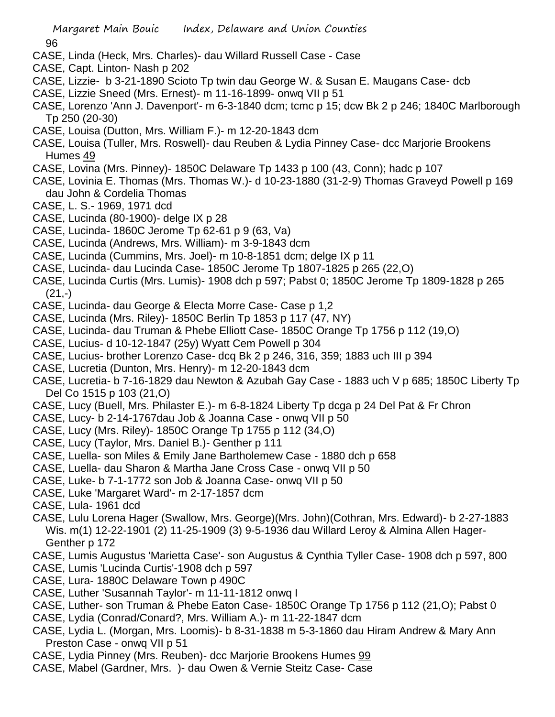96

- CASE, Linda (Heck, Mrs. Charles)- dau Willard Russell Case Case
- CASE, Capt. Linton- Nash p 202
- CASE, Lizzie- b 3-21-1890 Scioto Tp twin dau George W. & Susan E. Maugans Case- dcb
- CASE, Lizzie Sneed (Mrs. Ernest)- m 11-16-1899- onwq VII p 51
- CASE, Lorenzo 'Ann J. Davenport'- m 6-3-1840 dcm; tcmc p 15; dcw Bk 2 p 246; 1840C Marlborough Tp 250 (20-30)
- CASE, Louisa (Dutton, Mrs. William F.)- m 12-20-1843 dcm
- CASE, Louisa (Tuller, Mrs. Roswell)- dau Reuben & Lydia Pinney Case- dcc Marjorie Brookens Humes 49
- CASE, Lovina (Mrs. Pinney)- 1850C Delaware Tp 1433 p 100 (43, Conn); hadc p 107
- CASE, Lovinia E. Thomas (Mrs. Thomas W.)- d 10-23-1880 (31-2-9) Thomas Graveyd Powell p 169 dau John & Cordelia Thomas
- CASE, L. S.- 1969, 1971 dcd
- CASE, Lucinda (80-1900)- delge IX p 28
- CASE, Lucinda- 1860C Jerome Tp 62-61 p 9 (63, Va)
- CASE, Lucinda (Andrews, Mrs. William)- m 3-9-1843 dcm
- CASE, Lucinda (Cummins, Mrs. Joel)- m 10-8-1851 dcm; delge IX p 11
- CASE, Lucinda- dau Lucinda Case- 1850C Jerome Tp 1807-1825 p 265 (22,O)
- CASE, Lucinda Curtis (Mrs. Lumis)- 1908 dch p 597; Pabst 0; 1850C Jerome Tp 1809-1828 p 265  $(21,-)$
- CASE, Lucinda- dau George & Electa Morre Case- Case p 1,2
- CASE, Lucinda (Mrs. Riley)- 1850C Berlin Tp 1853 p 117 (47, NY)
- CASE, Lucinda- dau Truman & Phebe Elliott Case- 1850C Orange Tp 1756 p 112 (19,O)
- CASE, Lucius- d 10-12-1847 (25y) Wyatt Cem Powell p 304
- CASE, Lucius- brother Lorenzo Case- dcq Bk 2 p 246, 316, 359; 1883 uch III p 394
- CASE, Lucretia (Dunton, Mrs. Henry)- m 12-20-1843 dcm
- CASE, Lucretia- b 7-16-1829 dau Newton & Azubah Gay Case 1883 uch V p 685; 1850C Liberty Tp Del Co 1515 p 103 (21,O)
- CASE, Lucy (Buell, Mrs. Philaster E.)- m 6-8-1824 Liberty Tp dcga p 24 Del Pat & Fr Chron
- CASE, Lucy- b 2-14-1767dau Job & Joanna Case onwq VII p 50
- CASE, Lucy (Mrs. Riley)- 1850C Orange Tp 1755 p 112 (34,O)
- CASE, Lucy (Taylor, Mrs. Daniel B.)- Genther p 111
- CASE, Luella- son Miles & Emily Jane Bartholemew Case 1880 dch p 658
- CASE, Luella- dau Sharon & Martha Jane Cross Case onwq VII p 50
- CASE, Luke- b 7-1-1772 son Job & Joanna Case- onwq VII p 50
- CASE, Luke 'Margaret Ward'- m 2-17-1857 dcm
- CASE, Lula- 1961 dcd
- CASE, Lulu Lorena Hager (Swallow, Mrs. George)(Mrs. John)(Cothran, Mrs. Edward)- b 2-27-1883 Wis. m(1) 12-22-1901 (2) 11-25-1909 (3) 9-5-1936 dau Willard Leroy & Almina Allen Hager-Genther p 172
- CASE, Lumis Augustus 'Marietta Case'- son Augustus & Cynthia Tyller Case- 1908 dch p 597, 800
- CASE, Lumis 'Lucinda Curtis'-1908 dch p 597
- CASE, Lura- 1880C Delaware Town p 490C
- CASE, Luther 'Susannah Taylor'- m 11-11-1812 onwq I
- CASE, Luther- son Truman & Phebe Eaton Case- 1850C Orange Tp 1756 p 112 (21,O); Pabst 0
- CASE, Lydia (Conrad/Conard?, Mrs. William A.)- m 11-22-1847 dcm
- CASE, Lydia L. (Morgan, Mrs. Loomis)- b 8-31-1838 m 5-3-1860 dau Hiram Andrew & Mary Ann Preston Case - onwq VII p 51
- CASE, Lydia Pinney (Mrs. Reuben)- dcc Marjorie Brookens Humes 99
- CASE, Mabel (Gardner, Mrs. )- dau Owen & Vernie Steitz Case- Case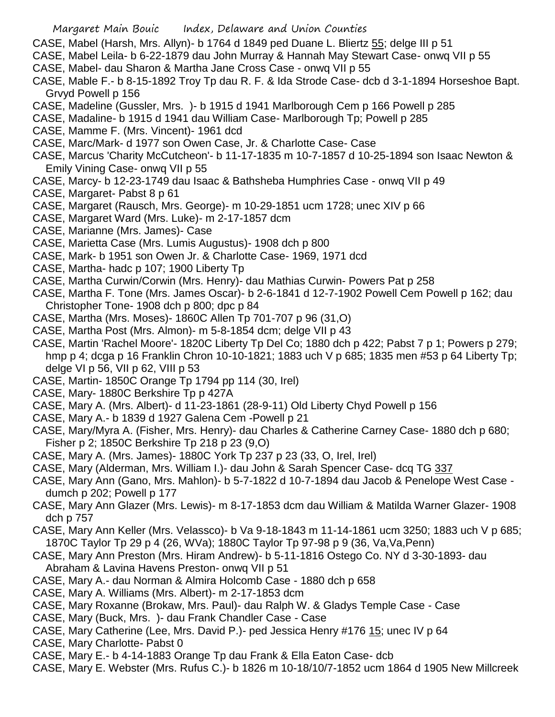- CASE, Mabel (Harsh, Mrs. Allyn)- b 1764 d 1849 ped Duane L. Bliertz 55; delge III p 51
- CASE, Mabel Leila- b 6-22-1879 dau John Murray & Hannah May Stewart Case- onwq VII p 55
- CASE, Mabel- dau Sharon & Martha Jane Cross Case onwq VII p 55
- CASE, Mable F.- b 8-15-1892 Troy Tp dau R. F. & Ida Strode Case- dcb d 3-1-1894 Horseshoe Bapt. Grvyd Powell p 156
- CASE, Madeline (Gussler, Mrs. )- b 1915 d 1941 Marlborough Cem p 166 Powell p 285
- CASE, Madaline- b 1915 d 1941 dau William Case- Marlborough Tp; Powell p 285
- CASE, Mamme F. (Mrs. Vincent)- 1961 dcd
- CASE, Marc/Mark- d 1977 son Owen Case, Jr. & Charlotte Case- Case
- CASE, Marcus 'Charity McCutcheon'- b 11-17-1835 m 10-7-1857 d 10-25-1894 son Isaac Newton & Emily Vining Case- onwq VII p 55
- CASE, Marcy- b 12-23-1749 dau Isaac & Bathsheba Humphries Case onwq VII p 49
- CASE, Margaret- Pabst 8 p 61
- CASE, Margaret (Rausch, Mrs. George)- m 10-29-1851 ucm 1728; unec XIV p 66
- CASE, Margaret Ward (Mrs. Luke)- m 2-17-1857 dcm
- CASE, Marianne (Mrs. James)- Case
- CASE, Marietta Case (Mrs. Lumis Augustus)- 1908 dch p 800
- CASE, Mark- b 1951 son Owen Jr. & Charlotte Case- 1969, 1971 dcd
- CASE, Martha- hadc p 107; 1900 Liberty Tp
- CASE, Martha Curwin/Corwin (Mrs. Henry)- dau Mathias Curwin- Powers Pat p 258
- CASE, Martha F. Tone (Mrs. James Oscar)- b 2-6-1841 d 12-7-1902 Powell Cem Powell p 162; dau Christopher Tone- 1908 dch p 800; dpc p 84
- CASE, Martha (Mrs. Moses)- 1860C Allen Tp 701-707 p 96 (31,O)
- CASE, Martha Post (Mrs. Almon)- m 5-8-1854 dcm; delge VII p 43
- CASE, Martin 'Rachel Moore'- 1820C Liberty Tp Del Co; 1880 dch p 422; Pabst 7 p 1; Powers p 279; hmp p 4; dcga p 16 Franklin Chron 10-10-1821; 1883 uch V p 685; 1835 men #53 p 64 Liberty Tp; delge VI p 56, VII p 62, VIII p 53
- CASE, Martin- 1850C Orange Tp 1794 pp 114 (30, Irel)
- CASE, Mary- 1880C Berkshire Tp p 427A
- CASE, Mary A. (Mrs. Albert)- d 11-23-1861 (28-9-11) Old Liberty Chyd Powell p 156
- CASE, Mary A.- b 1839 d 1927 Galena Cem -Powell p 21
- CASE, Mary/Myra A. (Fisher, Mrs. Henry)- dau Charles & Catherine Carney Case- 1880 dch p 680; Fisher p 2; 1850C Berkshire Tp 218 p 23 (9,O)
- CASE, Mary A. (Mrs. James)- 1880C York Tp 237 p 23 (33, O, Irel, Irel)
- CASE, Mary (Alderman, Mrs. William I.)- dau John & Sarah Spencer Case- dcq TG 337
- CASE, Mary Ann (Gano, Mrs. Mahlon)- b 5-7-1822 d 10-7-1894 dau Jacob & Penelope West Case dumch p 202; Powell p 177
- CASE, Mary Ann Glazer (Mrs. Lewis)- m 8-17-1853 dcm dau William & Matilda Warner Glazer- 1908 dch p 757
- CASE, Mary Ann Keller (Mrs. Velassco)- b Va 9-18-1843 m 11-14-1861 ucm 3250; 1883 uch V p 685; 1870C Taylor Tp 29 p 4 (26, WVa); 1880C Taylor Tp 97-98 p 9 (36, Va,Va,Penn)
- CASE, Mary Ann Preston (Mrs. Hiram Andrew)- b 5-11-1816 Ostego Co. NY d 3-30-1893- dau Abraham & Lavina Havens Preston- onwq VII p 51
- CASE, Mary A.- dau Norman & Almira Holcomb Case 1880 dch p 658
- CASE, Mary A. Williams (Mrs. Albert)- m 2-17-1853 dcm
- CASE, Mary Roxanne (Brokaw, Mrs. Paul)- dau Ralph W. & Gladys Temple Case Case
- CASE, Mary (Buck, Mrs. )- dau Frank Chandler Case Case
- CASE, Mary Catherine (Lee, Mrs. David P.)- ped Jessica Henry #176 15; unec IV p 64
- CASE, Mary Charlotte- Pabst 0
- CASE, Mary E.- b 4-14-1883 Orange Tp dau Frank & Ella Eaton Case- dcb
- CASE, Mary E. Webster (Mrs. Rufus C.)- b 1826 m 10-18/10/7-1852 ucm 1864 d 1905 New Millcreek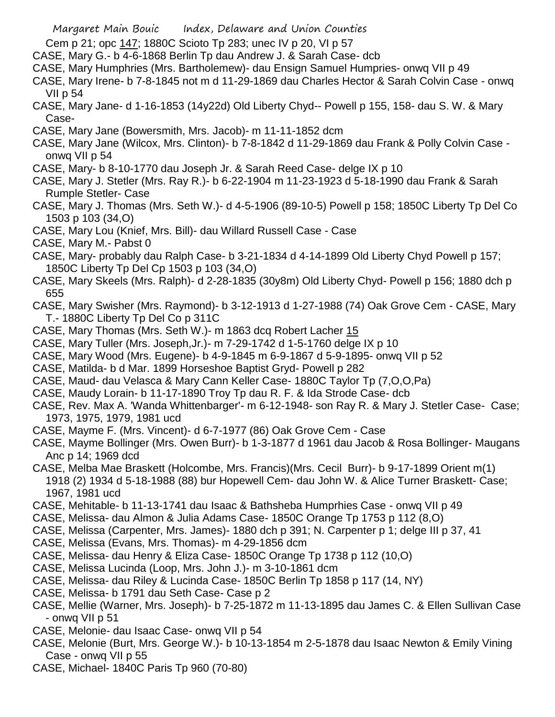- Cem p 21; opc 147; 1880C Scioto Tp 283; unec IV p 20, VI p 57
- CASE, Mary G.- b 4-6-1868 Berlin Tp dau Andrew J. & Sarah Case- dcb
- CASE, Mary Humphries (Mrs. Bartholemew)- dau Ensign Samuel Humpries- onwq VII p 49
- CASE, Mary Irene- b 7-8-1845 not m d 11-29-1869 dau Charles Hector & Sarah Colvin Case onwq VII p 54
- CASE, Mary Jane- d 1-16-1853 (14y22d) Old Liberty Chyd-- Powell p 155, 158- dau S. W. & Mary Case-
- CASE, Mary Jane (Bowersmith, Mrs. Jacob)- m 11-11-1852 dcm
- CASE, Mary Jane (Wilcox, Mrs. Clinton)- b 7-8-1842 d 11-29-1869 dau Frank & Polly Colvin Case onwq VII p 54
- CASE, Mary- b 8-10-1770 dau Joseph Jr. & Sarah Reed Case- delge IX p 10
- CASE, Mary J. Stetler (Mrs. Ray R.)- b 6-22-1904 m 11-23-1923 d 5-18-1990 dau Frank & Sarah Rumple Stetler- Case
- CASE, Mary J. Thomas (Mrs. Seth W.)- d 4-5-1906 (89-10-5) Powell p 158; 1850C Liberty Tp Del Co 1503 p 103 (34,O)
- CASE, Mary Lou (Knief, Mrs. Bill)- dau Willard Russell Case Case
- CASE, Mary M.- Pabst 0
- CASE, Mary- probably dau Ralph Case- b 3-21-1834 d 4-14-1899 Old Liberty Chyd Powell p 157; 1850C Liberty Tp Del Cp 1503 p 103 (34,O)
- CASE, Mary Skeels (Mrs. Ralph)- d 2-28-1835 (30y8m) Old Liberty Chyd- Powell p 156; 1880 dch p 655
- CASE, Mary Swisher (Mrs. Raymond)- b 3-12-1913 d 1-27-1988 (74) Oak Grove Cem CASE, Mary T.- 1880C Liberty Tp Del Co p 311C
- CASE, Mary Thomas (Mrs. Seth W.)- m 1863 dcq Robert Lacher 15
- CASE, Mary Tuller (Mrs. Joseph,Jr.)- m 7-29-1742 d 1-5-1760 delge IX p 10
- CASE, Mary Wood (Mrs. Eugene)- b 4-9-1845 m 6-9-1867 d 5-9-1895- onwq VII p 52
- CASE, Matilda- b d Mar. 1899 Horseshoe Baptist Gryd- Powell p 282
- CASE, Maud- dau Velasca & Mary Cann Keller Case- 1880C Taylor Tp (7,O,O,Pa)
- CASE, Maudy Lorain- b 11-17-1890 Troy Tp dau R. F. & Ida Strode Case- dcb
- CASE, Rev. Max A. 'Wanda Whittenbarger'- m 6-12-1948- son Ray R. & Mary J. Stetler Case- Case; 1973, 1975, 1979, 1981 ucd
- CASE, Mayme F. (Mrs. Vincent)- d 6-7-1977 (86) Oak Grove Cem Case
- CASE, Mayme Bollinger (Mrs. Owen Burr)- b 1-3-1877 d 1961 dau Jacob & Rosa Bollinger- Maugans Anc p 14; 1969 dcd
- CASE, Melba Mae Braskett (Holcombe, Mrs. Francis)(Mrs. Cecil Burr)- b 9-17-1899 Orient m(1) 1918 (2) 1934 d 5-18-1988 (88) bur Hopewell Cem- dau John W. & Alice Turner Braskett- Case; 1967, 1981 ucd
- CASE, Mehitable- b 11-13-1741 dau Isaac & Bathsheba Humprhies Case onwq VII p 49
- CASE, Melissa- dau Almon & Julia Adams Case- 1850C Orange Tp 1753 p 112 (8,O)
- CASE, Melissa (Carpenter, Mrs. James)- 1880 dch p 391; N. Carpenter p 1; delge III p 37, 41
- CASE, Melissa (Evans, Mrs. Thomas)- m 4-29-1856 dcm
- CASE, Melissa- dau Henry & Eliza Case- 1850C Orange Tp 1738 p 112 (10,O)
- CASE, Melissa Lucinda (Loop, Mrs. John J.)- m 3-10-1861 dcm
- CASE, Melissa- dau Riley & Lucinda Case- 1850C Berlin Tp 1858 p 117 (14, NY)
- CASE, Melissa- b 1791 dau Seth Case- Case p 2
- CASE, Mellie (Warner, Mrs. Joseph)- b 7-25-1872 m 11-13-1895 dau James C. & Ellen Sullivan Case - onwq VII p 51
- CASE, Melonie- dau Isaac Case- onwq VII p 54
- CASE, Melonie (Burt, Mrs. George W.)- b 10-13-1854 m 2-5-1878 dau Isaac Newton & Emily Vining Case - onwq VII p 55
- CASE, Michael- 1840C Paris Tp 960 (70-80)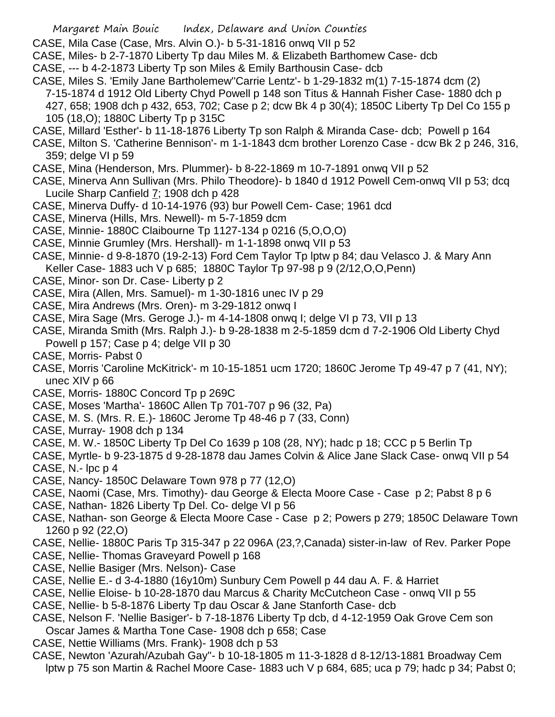- CASE, Mila Case (Case, Mrs. Alvin O.)- b 5-31-1816 onwq VII p 52
- CASE, Miles- b 2-7-1870 Liberty Tp dau Miles M. & Elizabeth Barthomew Case- dcb
- CASE, --- b 4-2-1873 Liberty Tp son Miles & Emily Barthousin Case- dcb
- CASE, Miles S. 'Emily Jane Bartholemew''Carrie Lentz'- b 1-29-1832 m(1) 7-15-1874 dcm (2) 7-15-1874 d 1912 Old Liberty Chyd Powell p 148 son Titus & Hannah Fisher Case- 1880 dch p 427, 658; 1908 dch p 432, 653, 702; Case p 2; dcw Bk 4 p 30(4); 1850C Liberty Tp Del Co 155 p 105 (18,O); 1880C Liberty Tp p 315C
- CASE, Millard 'Esther'- b 11-18-1876 Liberty Tp son Ralph & Miranda Case- dcb; Powell p 164
- CASE, Milton S. 'Catherine Bennison'- m 1-1-1843 dcm brother Lorenzo Case dcw Bk 2 p 246, 316, 359; delge VI p 59
- CASE, Mina (Henderson, Mrs. Plummer)- b 8-22-1869 m 10-7-1891 onwq VII p 52
- CASE, Minerva Ann Sullivan (Mrs. Philo Theodore)- b 1840 d 1912 Powell Cem-onwq VII p 53; dcq Lucile Sharp Canfield 7; 1908 dch p 428
- CASE, Minerva Duffy- d 10-14-1976 (93) bur Powell Cem- Case; 1961 dcd
- CASE, Minerva (Hills, Mrs. Newell)- m 5-7-1859 dcm
- CASE, Minnie- 1880C Claibourne Tp 1127-134 p 0216 (5,O,O,O)
- CASE, Minnie Grumley (Mrs. Hershall)- m 1-1-1898 onwq VII p 53
- CASE, Minnie- d 9-8-1870 (19-2-13) Ford Cem Taylor Tp lptw p 84; dau Velasco J. & Mary Ann Keller Case- 1883 uch V p 685; 1880C Taylor Tp 97-98 p 9 (2/12,O,O,Penn)
- CASE, Minor- son Dr. Case- Liberty p 2
- CASE, Mira (Allen, Mrs. Samuel)- m 1-30-1816 unec IV p 29
- CASE, Mira Andrews (Mrs. Oren)- m 3-29-1812 onwq I
- CASE, Mira Sage (Mrs. Geroge J.)- m 4-14-1808 onwq I; delge VI p 73, VII p 13
- CASE, Miranda Smith (Mrs. Ralph J.)- b 9-28-1838 m 2-5-1859 dcm d 7-2-1906 Old Liberty Chyd Powell p 157; Case p 4; delge VII p 30
- CASE, Morris- Pabst 0
- CASE, Morris 'Caroline McKitrick'- m 10-15-1851 ucm 1720; 1860C Jerome Tp 49-47 p 7 (41, NY); unec XIV p 66
- CASE, Morris- 1880C Concord Tp p 269C
- CASE, Moses 'Martha'- 1860C Allen Tp 701-707 p 96 (32, Pa)
- CASE, M. S. (Mrs. R. E.)- 1860C Jerome Tp 48-46 p 7 (33, Conn)
- CASE, Murray- 1908 dch p 134
- CASE, M. W.- 1850C Liberty Tp Del Co 1639 p 108 (28, NY); hadc p 18; CCC p 5 Berlin Tp
- CASE, Myrtle- b 9-23-1875 d 9-28-1878 dau James Colvin & Alice Jane Slack Case- onwq VII p 54
- CASE, N.- lpc p 4
- CASE, Nancy- 1850C Delaware Town 978 p 77 (12,O)
- CASE, Naomi (Case, Mrs. Timothy)- dau George & Electa Moore Case Case p 2; Pabst 8 p 6
- CASE, Nathan- 1826 Liberty Tp Del. Co- delge VI p 56
- CASE, Nathan- son George & Electa Moore Case Case p 2; Powers p 279; 1850C Delaware Town 1260 p 92 (22,O)
- CASE, Nellie- 1880C Paris Tp 315-347 p 22 096A (23,?,Canada) sister-in-law of Rev. Parker Pope
- CASE, Nellie- Thomas Graveyard Powell p 168
- CASE, Nellie Basiger (Mrs. Nelson)- Case
- CASE, Nellie E.- d 3-4-1880 (16y10m) Sunbury Cem Powell p 44 dau A. F. & Harriet
- CASE, Nellie Eloise- b 10-28-1870 dau Marcus & Charity McCutcheon Case onwq VII p 55
- CASE, Nellie- b 5-8-1876 Liberty Tp dau Oscar & Jane Stanforth Case- dcb
- CASE, Nelson F. 'Nellie Basiger'- b 7-18-1876 Liberty Tp dcb, d 4-12-1959 Oak Grove Cem son Oscar James & Martha Tone Case- 1908 dch p 658; Case
- CASE, Nettie Williams (Mrs. Frank)- 1908 dch p 53
- CASE, Newton 'Azurah/Azubah Gay''- b 10-18-1805 m 11-3-1828 d 8-12/13-1881 Broadway Cem lptw p 75 son Martin & Rachel Moore Case- 1883 uch V p 684, 685; uca p 79; hadc p 34; Pabst 0;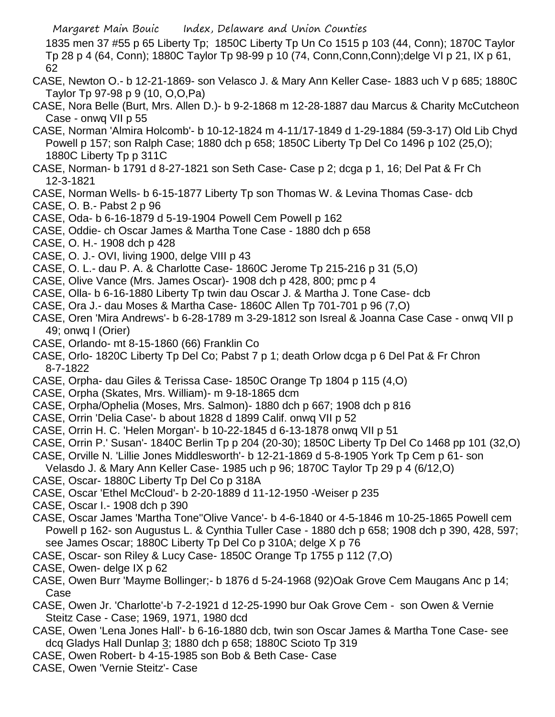1835 men 37 #55 p 65 Liberty Tp; 1850C Liberty Tp Un Co 1515 p 103 (44, Conn); 1870C Taylor Tp 28 p 4 (64, Conn); 1880C Taylor Tp 98-99 p 10 (74, Conn,Conn,Conn);delge VI p 21, IX p 61, 62

- CASE, Newton O.- b 12-21-1869- son Velasco J. & Mary Ann Keller Case- 1883 uch V p 685; 1880C Taylor Tp 97-98 p 9 (10, O,O,Pa)
- CASE, Nora Belle (Burt, Mrs. Allen D.)- b 9-2-1868 m 12-28-1887 dau Marcus & Charity McCutcheon Case - onwq VII p 55
- CASE, Norman 'Almira Holcomb'- b 10-12-1824 m 4-11/17-1849 d 1-29-1884 (59-3-17) Old Lib Chyd Powell p 157; son Ralph Case; 1880 dch p 658; 1850C Liberty Tp Del Co 1496 p 102 (25,O); 1880C Liberty Tp p 311C
- CASE, Norman- b 1791 d 8-27-1821 son Seth Case- Case p 2; dcga p 1, 16; Del Pat & Fr Ch 12-3-1821
- CASE, Norman Wells- b 6-15-1877 Liberty Tp son Thomas W. & Levina Thomas Case- dcb
- CASE, O. B.- Pabst 2 p 96
- CASE, Oda- b 6-16-1879 d 5-19-1904 Powell Cem Powell p 162
- CASE, Oddie- ch Oscar James & Martha Tone Case 1880 dch p 658
- CASE, O. H.- 1908 dch p 428
- CASE, O. J.- OVI, living 1900, delge VIII p 43
- CASE, O. L.- dau P. A. & Charlotte Case- 1860C Jerome Tp 215-216 p 31 (5,O)
- CASE, Olive Vance (Mrs. James Oscar)- 1908 dch p 428, 800; pmc p 4
- CASE, Olla- b 6-16-1880 Liberty Tp twin dau Oscar J. & Martha J. Tone Case- dcb
- CASE, Ora J.- dau Moses & Martha Case- 1860C Allen Tp 701-701 p 96 (7,O)
- CASE, Oren 'Mira Andrews'- b 6-28-1789 m 3-29-1812 son Isreal & Joanna Case Case onwq VII p 49; onwq I (Orier)
- CASE, Orlando- mt 8-15-1860 (66) Franklin Co
- CASE, Orlo- 1820C Liberty Tp Del Co; Pabst 7 p 1; death Orlow dcga p 6 Del Pat & Fr Chron 8-7-1822
- CASE, Orpha- dau Giles & Terissa Case- 1850C Orange Tp 1804 p 115 (4,O)
- CASE, Orpha (Skates, Mrs. William)- m 9-18-1865 dcm
- CASE, Orpha/Ophelia (Moses, Mrs. Salmon)- 1880 dch p 667; 1908 dch p 816
- CASE, Orrin 'Delia Case'- b about 1828 d 1899 Calif. onwq VII p 52
- CASE, Orrin H. C. 'Helen Morgan'- b 10-22-1845 d 6-13-1878 onwq VII p 51
- CASE, Orrin P.' Susan'- 1840C Berlin Tp p 204 (20-30); 1850C Liberty Tp Del Co 1468 pp 101 (32,O)
- CASE, Orville N. 'Lillie Jones Middlesworth'- b 12-21-1869 d 5-8-1905 York Tp Cem p 61- son Velasdo J. & Mary Ann Keller Case- 1985 uch p 96; 1870C Taylor Tp 29 p 4 (6/12,O)
- CASE, Oscar- 1880C Liberty Tp Del Co p 318A
- CASE, Oscar 'Ethel McCloud'- b 2-20-1889 d 11-12-1950 -Weiser p 235
- CASE, Oscar I.- 1908 dch p 390
- CASE, Oscar James 'Martha Tone''Olive Vance'- b 4-6-1840 or 4-5-1846 m 10-25-1865 Powell cem Powell p 162- son Augustus L. & Cynthia Tuller Case - 1880 dch p 658; 1908 dch p 390, 428, 597; see James Oscar; 1880C Liberty Tp Del Co p 310A; delge X p 76
- CASE, Oscar- son Riley & Lucy Case- 1850C Orange Tp 1755 p 112 (7,O)
- CASE, Owen- delge IX p 62
- CASE, Owen Burr 'Mayme Bollinger;- b 1876 d 5-24-1968 (92)Oak Grove Cem Maugans Anc p 14; Case
- CASE, Owen Jr. 'Charlotte'-b 7-2-1921 d 12-25-1990 bur Oak Grove Cem son Owen & Vernie Steitz Case - Case; 1969, 1971, 1980 dcd
- CASE, Owen 'Lena Jones Hall'- b 6-16-1880 dcb, twin son Oscar James & Martha Tone Case- see dcq Gladys Hall Dunlap 3; 1880 dch p 658; 1880C Scioto Tp 319
- CASE, Owen Robert- b 4-15-1985 son Bob & Beth Case- Case
- CASE, Owen 'Vernie Steitz'- Case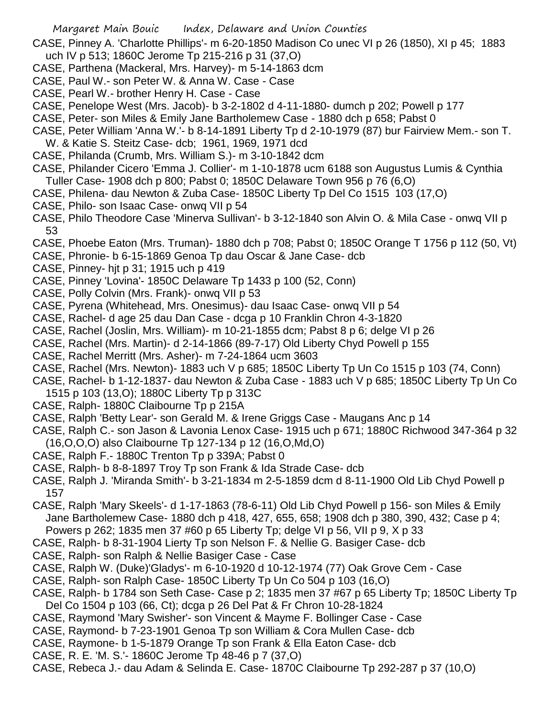- CASE, Pinney A. 'Charlotte Phillips'- m 6-20-1850 Madison Co unec VI p 26 (1850), XI p 45; 1883 uch IV p 513; 1860C Jerome Tp 215-216 p 31 (37,O)
- CASE, Parthena (Mackeral, Mrs. Harvey)- m 5-14-1863 dcm
- CASE, Paul W.- son Peter W. & Anna W. Case Case
- CASE, Pearl W.- brother Henry H. Case Case
- CASE, Penelope West (Mrs. Jacob)- b 3-2-1802 d 4-11-1880- dumch p 202; Powell p 177
- CASE, Peter- son Miles & Emily Jane Bartholemew Case 1880 dch p 658; Pabst 0
- CASE, Peter William 'Anna W.'- b 8-14-1891 Liberty Tp d 2-10-1979 (87) bur Fairview Mem.- son T.
- W. & Katie S. Steitz Case- dcb; 1961, 1969, 1971 dcd
- CASE, Philanda (Crumb, Mrs. William S.)- m 3-10-1842 dcm
- CASE, Philander Cicero 'Emma J. Collier'- m 1-10-1878 ucm 6188 son Augustus Lumis & Cynthia Tuller Case- 1908 dch p 800; Pabst 0; 1850C Delaware Town 956 p 76 (6,O)
- CASE, Philena- dau Newton & Zuba Case- 1850C Liberty Tp Del Co 1515 103 (17,O)
- CASE, Philo- son Isaac Case- onwq VII p 54
- CASE, Philo Theodore Case 'Minerva Sullivan'- b 3-12-1840 son Alvin O. & Mila Case onwq VII p 53
- CASE, Phoebe Eaton (Mrs. Truman)- 1880 dch p 708; Pabst 0; 1850C Orange T 1756 p 112 (50, Vt)
- CASE, Phronie- b 6-15-1869 Genoa Tp dau Oscar & Jane Case- dcb
- CASE, Pinney- hjt p 31; 1915 uch p 419
- CASE, Pinney 'Lovina'- 1850C Delaware Tp 1433 p 100 (52, Conn)
- CASE, Polly Colvin (Mrs. Frank)- onwq VII p 53
- CASE, Pyrena (Whitehead, Mrs. Onesimus)- dau Isaac Case- onwq VII p 54
- CASE, Rachel- d age 25 dau Dan Case dcga p 10 Franklin Chron 4-3-1820
- CASE, Rachel (Joslin, Mrs. William)- m 10-21-1855 dcm; Pabst 8 p 6; delge VI p 26
- CASE, Rachel (Mrs. Martin)- d 2-14-1866 (89-7-17) Old Liberty Chyd Powell p 155
- CASE, Rachel Merritt (Mrs. Asher)- m 7-24-1864 ucm 3603
- CASE, Rachel (Mrs. Newton)- 1883 uch V p 685; 1850C Liberty Tp Un Co 1515 p 103 (74, Conn)
- CASE, Rachel- b 1-12-1837- dau Newton & Zuba Case 1883 uch V p 685; 1850C Liberty Tp Un Co 1515 p 103 (13,O); 1880C Liberty Tp p 313C
- CASE, Ralph- 1880C Claibourne Tp p 215A
- CASE, Ralph 'Betty Lear'- son Gerald M. & Irene Griggs Case Maugans Anc p 14
- CASE, Ralph C.- son Jason & Lavonia Lenox Case- 1915 uch p 671; 1880C Richwood 347-364 p 32 (16,O,O,O) also Claibourne Tp 127-134 p 12 (16,O,Md,O)
- CASE, Ralph F.- 1880C Trenton Tp p 339A; Pabst 0
- CASE, Ralph- b 8-8-1897 Troy Tp son Frank & Ida Strade Case- dcb
- CASE, Ralph J. 'Miranda Smith'- b 3-21-1834 m 2-5-1859 dcm d 8-11-1900 Old Lib Chyd Powell p 157
- CASE, Ralph 'Mary Skeels'- d 1-17-1863 (78-6-11) Old Lib Chyd Powell p 156- son Miles & Emily Jane Bartholemew Case- 1880 dch p 418, 427, 655, 658; 1908 dch p 380, 390, 432; Case p 4; Powers p 262; 1835 men 37 #60 p 65 Liberty Tp; delge VI p 56, VII p 9, X p 33
- CASE, Ralph- b 8-31-1904 Lierty Tp son Nelson F. & Nellie G. Basiger Case- dcb
- CASE, Ralph- son Ralph & Nellie Basiger Case Case
- CASE, Ralph W. (Duke)'Gladys'- m 6-10-1920 d 10-12-1974 (77) Oak Grove Cem Case
- CASE, Ralph- son Ralph Case- 1850C Liberty Tp Un Co 504 p 103 (16,O)
- CASE, Ralph- b 1784 son Seth Case- Case p 2; 1835 men 37 #67 p 65 Liberty Tp; 1850C Liberty Tp Del Co 1504 p 103 (66, Ct); dcga p 26 Del Pat & Fr Chron 10-28-1824
- CASE, Raymond 'Mary Swisher'- son Vincent & Mayme F. Bollinger Case Case
- CASE, Raymond- b 7-23-1901 Genoa Tp son William & Cora Mullen Case- dcb
- CASE, Raymone- b 1-5-1879 Orange Tp son Frank & Ella Eaton Case- dcb
- CASE, R. E. 'M. S.'- 1860C Jerome Tp 48-46 p 7 (37,O)
- CASE, Rebeca J.- dau Adam & Selinda E. Case- 1870C Claibourne Tp 292-287 p 37 (10,O)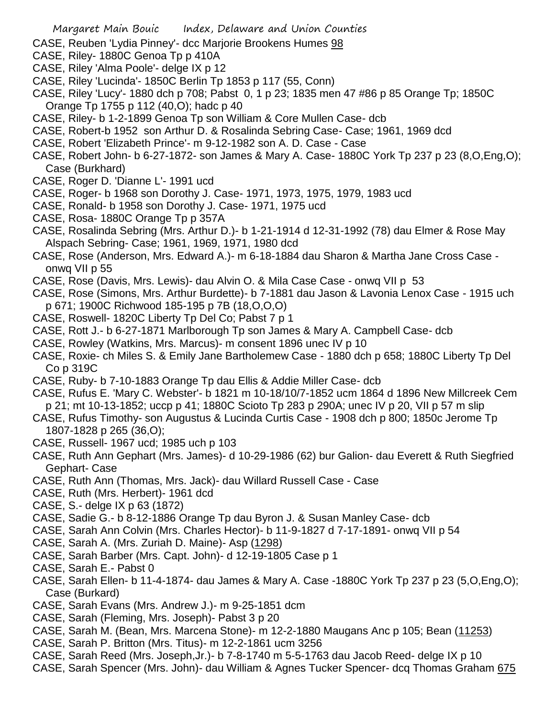- CASE, Reuben 'Lydia Pinney'- dcc Marjorie Brookens Humes 98
- CASE, Riley- 1880C Genoa Tp p 410A
- CASE, Riley 'Alma Poole'- delge IX p 12
- CASE, Riley 'Lucinda'- 1850C Berlin Tp 1853 p 117 (55, Conn)
- CASE, Riley 'Lucy'- 1880 dch p 708; Pabst 0, 1 p 23; 1835 men 47 #86 p 85 Orange Tp; 1850C Orange Tp 1755 p 112 (40,O); hadc p 40
- CASE, Riley- b 1-2-1899 Genoa Tp son William & Core Mullen Case- dcb
- CASE, Robert-b 1952 son Arthur D. & Rosalinda Sebring Case- Case; 1961, 1969 dcd
- CASE, Robert 'Elizabeth Prince'- m 9-12-1982 son A. D. Case Case
- CASE, Robert John- b 6-27-1872- son James & Mary A. Case- 1880C York Tp 237 p 23 (8,O,Eng,O); Case (Burkhard)
- CASE, Roger D. 'Dianne L'- 1991 ucd
- CASE, Roger- b 1968 son Dorothy J. Case- 1971, 1973, 1975, 1979, 1983 ucd
- CASE, Ronald- b 1958 son Dorothy J. Case- 1971, 1975 ucd
- CASE, Rosa- 1880C Orange Tp p 357A
- CASE, Rosalinda Sebring (Mrs. Arthur D.)- b 1-21-1914 d 12-31-1992 (78) dau Elmer & Rose May Alspach Sebring- Case; 1961, 1969, 1971, 1980 dcd
- CASE, Rose (Anderson, Mrs. Edward A.)- m 6-18-1884 dau Sharon & Martha Jane Cross Case onwq VII p 55
- CASE, Rose (Davis, Mrs. Lewis)- dau Alvin O. & Mila Case Case onwq VII p 53
- CASE, Rose (Simons, Mrs. Arthur Burdette)- b 7-1881 dau Jason & Lavonia Lenox Case 1915 uch p 671; 1900C Richwood 185-195 p 7B (18,O,O,O)
- CASE, Roswell- 1820C Liberty Tp Del Co; Pabst 7 p 1
- CASE, Rott J.- b 6-27-1871 Marlborough Tp son James & Mary A. Campbell Case- dcb
- CASE, Rowley (Watkins, Mrs. Marcus)- m consent 1896 unec IV p 10
- CASE, Roxie- ch Miles S. & Emily Jane Bartholemew Case 1880 dch p 658; 1880C Liberty Tp Del Co p 319C
- CASE, Ruby- b 7-10-1883 Orange Tp dau Ellis & Addie Miller Case- dcb
- CASE, Rufus E. 'Mary C. Webster'- b 1821 m 10-18/10/7-1852 ucm 1864 d 1896 New Millcreek Cem p 21; mt 10-13-1852; uccp p 41; 1880C Scioto Tp 283 p 290A; unec IV p 20, VII p 57 m slip
- CASE, Rufus Timothy- son Augustus & Lucinda Curtis Case 1908 dch p 800; 1850c Jerome Tp 1807-1828 p 265 (36,O);
- CASE, Russell- 1967 ucd; 1985 uch p 103
- CASE, Ruth Ann Gephart (Mrs. James)- d 10-29-1986 (62) bur Galion- dau Everett & Ruth Siegfried Gephart- Case
- CASE, Ruth Ann (Thomas, Mrs. Jack)- dau Willard Russell Case Case
- CASE, Ruth (Mrs. Herbert)- 1961 dcd
- CASE, S.- delge IX p 63 (1872)
- CASE, Sadie G.- b 8-12-1886 Orange Tp dau Byron J. & Susan Manley Case- dcb
- CASE, Sarah Ann Colvin (Mrs. Charles Hector)- b 11-9-1827 d 7-17-1891- onwq VII p 54
- CASE, Sarah A. (Mrs. Zuriah D. Maine)- Asp (1298)
- CASE, Sarah Barber (Mrs. Capt. John)- d 12-19-1805 Case p 1
- CASE, Sarah E.- Pabst 0
- CASE, Sarah Ellen- b 11-4-1874- dau James & Mary A. Case -1880C York Tp 237 p 23 (5,O,Eng,O); Case (Burkard)
- CASE, Sarah Evans (Mrs. Andrew J.)- m 9-25-1851 dcm
- CASE, Sarah (Fleming, Mrs. Joseph)- Pabst 3 p 20
- CASE, Sarah M. (Bean, Mrs. Marcena Stone)- m 12-2-1880 Maugans Anc p 105; Bean (11253)
- CASE, Sarah P. Britton (Mrs. Titus)- m 12-2-1861 ucm 3256
- CASE, Sarah Reed (Mrs. Joseph,Jr.)- b 7-8-1740 m 5-5-1763 dau Jacob Reed- delge IX p 10
- CASE, Sarah Spencer (Mrs. John)- dau William & Agnes Tucker Spencer- dcq Thomas Graham 675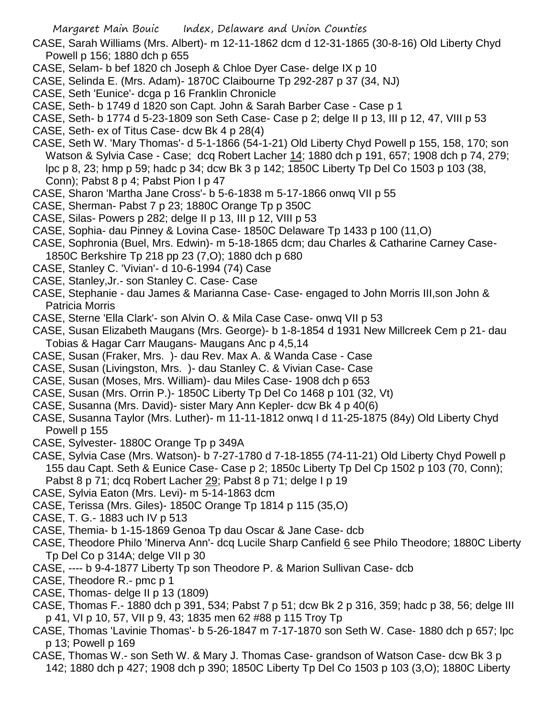CASE, Sarah Williams (Mrs. Albert)- m 12-11-1862 dcm d 12-31-1865 (30-8-16) Old Liberty Chyd Powell p 156; 1880 dch p 655

- CASE, Selam- b bef 1820 ch Joseph & Chloe Dyer Case- delge IX p 10
- CASE, Selinda E. (Mrs. Adam)- 1870C Claibourne Tp 292-287 p 37 (34, NJ)
- CASE, Seth 'Eunice'- dcga p 16 Franklin Chronicle
- CASE, Seth- b 1749 d 1820 son Capt. John & Sarah Barber Case Case p 1
- CASE, Seth- b 1774 d 5-23-1809 son Seth Case- Case p 2; delge II p 13, III p 12, 47, VIII p 53
- CASE, Seth- ex of Titus Case- dcw Bk 4 p 28(4)
- CASE, Seth W. 'Mary Thomas'- d 5-1-1866 (54-1-21) Old Liberty Chyd Powell p 155, 158, 170; son Watson & Sylvia Case - Case; dcq Robert Lacher 14; 1880 dch p 191, 657; 1908 dch p 74, 279; lpc p 8, 23; hmp p 59; hadc p 34; dcw Bk 3 p 142; 1850C Liberty Tp Del Co 1503 p 103 (38, Conn); Pabst 8 p 4; Pabst Pion I p 47
- CASE, Sharon 'Martha Jane Cross'- b 5-6-1838 m 5-17-1866 onwq VII p 55
- CASE, Sherman- Pabst 7 p 23; 1880C Orange Tp p 350C
- CASE, Silas- Powers p 282; delge II p 13, III p 12, VIII p 53
- CASE, Sophia- dau Pinney & Lovina Case- 1850C Delaware Tp 1433 p 100 (11,O)
- CASE, Sophronia (Buel, Mrs. Edwin)- m 5-18-1865 dcm; dau Charles & Catharine Carney Case-1850C Berkshire Tp 218 pp 23 (7,O); 1880 dch p 680
- CASE, Stanley C. 'Vivian'- d 10-6-1994 (74) Case
- CASE, Stanley,Jr.- son Stanley C. Case- Case
- CASE, Stephanie dau James & Marianna Case- Case- engaged to John Morris III,son John & Patricia Morris
- CASE, Sterne 'Ella Clark'- son Alvin O. & Mila Case Case- onwq VII p 53
- CASE, Susan Elizabeth Maugans (Mrs. George)- b 1-8-1854 d 1931 New Millcreek Cem p 21- dau Tobias & Hagar Carr Maugans- Maugans Anc p 4,5,14
- CASE, Susan (Fraker, Mrs. )- dau Rev. Max A. & Wanda Case Case
- CASE, Susan (Livingston, Mrs. )- dau Stanley C. & Vivian Case- Case
- CASE, Susan (Moses, Mrs. William)- dau Miles Case- 1908 dch p 653
- CASE, Susan (Mrs. Orrin P.)- 1850C Liberty Tp Del Co 1468 p 101 (32, Vt)
- CASE, Susanna (Mrs. David)- sister Mary Ann Kepler- dcw Bk 4 p 40(6)
- CASE, Susanna Taylor (Mrs. Luther)- m 11-11-1812 onwq I d 11-25-1875 (84y) Old Liberty Chyd Powell p 155
- CASE, Sylvester- 1880C Orange Tp p 349A
- CASE, Sylvia Case (Mrs. Watson)- b 7-27-1780 d 7-18-1855 (74-11-21) Old Liberty Chyd Powell p 155 dau Capt. Seth & Eunice Case- Case p 2; 1850c Liberty Tp Del Cp 1502 p 103 (70, Conn); Pabst 8 p 71; dcq Robert Lacher 29; Pabst 8 p 71; delge I p 19
- CASE, Sylvia Eaton (Mrs. Levi)- m 5-14-1863 dcm
- CASE, Terissa (Mrs. Giles)- 1850C Orange Tp 1814 p 115 (35,O)
- CASE, T. G.- 1883 uch IV p 513
- CASE, Themia- b 1-15-1869 Genoa Tp dau Oscar & Jane Case- dcb
- CASE, Theodore Philo 'Minerva Ann'- dcq Lucile Sharp Canfield 6 see Philo Theodore; 1880C Liberty Tp Del Co p 314A; delge VII p 30
- CASE, ---- b 9-4-1877 Liberty Tp son Theodore P. & Marion Sullivan Case- dcb
- CASE, Theodore R.- pmc p 1
- CASE, Thomas- delge II p 13 (1809)
- CASE, Thomas F.- 1880 dch p 391, 534; Pabst 7 p 51; dcw Bk 2 p 316, 359; hadc p 38, 56; delge III p 41, VI p 10, 57, VII p 9, 43; 1835 men 62 #88 p 115 Troy Tp
- CASE, Thomas 'Lavinie Thomas'- b 5-26-1847 m 7-17-1870 son Seth W. Case- 1880 dch p 657; lpc p 13; Powell p 169
- CASE, Thomas W.- son Seth W. & Mary J. Thomas Case- grandson of Watson Case- dcw Bk 3 p 142; 1880 dch p 427; 1908 dch p 390; 1850C Liberty Tp Del Co 1503 p 103 (3,O); 1880C Liberty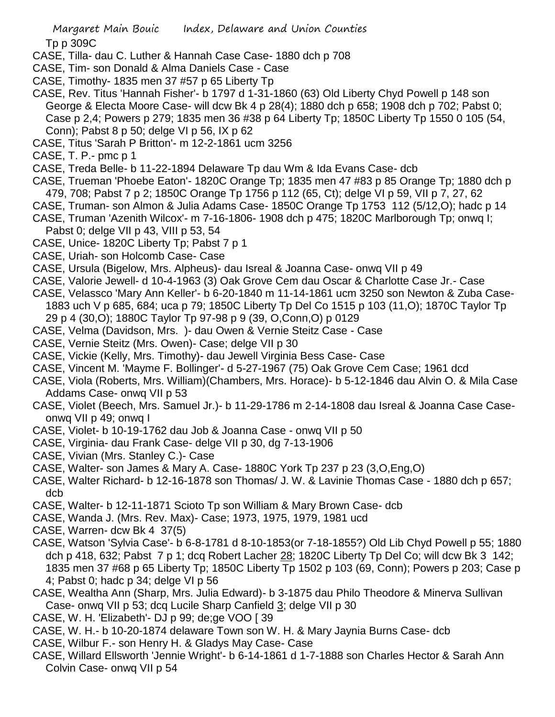- CASE, Tilla- dau C. Luther & Hannah Case Case- 1880 dch p 708
- CASE, Tim- son Donald & Alma Daniels Case Case
- CASE, Timothy- 1835 men 37 #57 p 65 Liberty Tp
- CASE, Rev. Titus 'Hannah Fisher'- b 1797 d 1-31-1860 (63) Old Liberty Chyd Powell p 148 son George & Electa Moore Case- will dcw Bk 4 p 28(4); 1880 dch p 658; 1908 dch p 702; Pabst 0; Case p 2,4; Powers p 279; 1835 men 36 #38 p 64 Liberty Tp; 1850C Liberty Tp 1550 0 105 (54, Conn); Pabst 8 p 50; delge VI p 56, IX p 62
- CASE, Titus 'Sarah P Britton'- m 12-2-1861 ucm 3256
- CASE, T. P.- pmc p 1
- CASE, Treda Belle- b 11-22-1894 Delaware Tp dau Wm & Ida Evans Case- dcb
- CASE, Trueman 'Phoebe Eaton'- 1820C Orange Tp; 1835 men 47 #83 p 85 Orange Tp; 1880 dch p 479, 708; Pabst 7 p 2; 1850C Orange Tp 1756 p 112 (65, Ct); delge VI p 59, VII p 7, 27, 62
- CASE, Truman- son Almon & Julia Adams Case- 1850C Orange Tp 1753 112 (5/12,O); hadc p 14
- CASE, Truman 'Azenith Wilcox'- m 7-16-1806- 1908 dch p 475; 1820C Marlborough Tp; onwq I; Pabst 0; delge VII p 43, VIII p 53, 54
- CASE, Unice- 1820C Liberty Tp; Pabst 7 p 1
- CASE, Uriah- son Holcomb Case- Case
- CASE, Ursula (Bigelow, Mrs. Alpheus)- dau Isreal & Joanna Case- onwq VII p 49
- CASE, Valorie Jewell- d 10-4-1963 (3) Oak Grove Cem dau Oscar & Charlotte Case Jr.- Case
- CASE, Velassco 'Mary Ann Keller'- b 6-20-1840 m 11-14-1861 ucm 3250 son Newton & Zuba Case-1883 uch V p 685, 684; uca p 79; 1850C Liberty Tp Del Co 1515 p 103 (11,O); 1870C Taylor Tp 29 p 4 (30,O); 1880C Taylor Tp 97-98 p 9 (39, O,Conn,O) p 0129
- CASE, Velma (Davidson, Mrs. )- dau Owen & Vernie Steitz Case Case
- CASE, Vernie Steitz (Mrs. Owen)- Case; delge VII p 30
- CASE, Vickie (Kelly, Mrs. Timothy)- dau Jewell Virginia Bess Case- Case
- CASE, Vincent M. 'Mayme F. Bollinger'- d 5-27-1967 (75) Oak Grove Cem Case; 1961 dcd
- CASE, Viola (Roberts, Mrs. William)(Chambers, Mrs. Horace)- b 5-12-1846 dau Alvin O. & Mila Case Addams Case- onwq VII p 53
- CASE, Violet (Beech, Mrs. Samuel Jr.)- b 11-29-1786 m 2-14-1808 dau Isreal & Joanna Case Caseonwq VII p 49; onwq I
- CASE, Violet- b 10-19-1762 dau Job & Joanna Case onwq VII p 50
- CASE, Virginia- dau Frank Case- delge VII p 30, dg 7-13-1906
- CASE, Vivian (Mrs. Stanley C.)- Case
- CASE, Walter- son James & Mary A. Case- 1880C York Tp 237 p 23 (3,O,Eng,O)
- CASE, Walter Richard- b 12-16-1878 son Thomas/ J. W. & Lavinie Thomas Case 1880 dch p 657; dcb
- CASE, Walter- b 12-11-1871 Scioto Tp son William & Mary Brown Case- dcb
- CASE, Wanda J. (Mrs. Rev. Max)- Case; 1973, 1975, 1979, 1981 ucd
- CASE, Warren- dcw Bk 4 37(5)
- CASE, Watson 'Sylvia Case'- b 6-8-1781 d 8-10-1853(or 7-18-1855?) Old Lib Chyd Powell p 55; 1880 dch p 418, 632; Pabst 7 p 1; dcq Robert Lacher 28; 1820C Liberty Tp Del Co; will dcw Bk 3 142; 1835 men 37 #68 p 65 Liberty Tp; 1850C Liberty Tp 1502 p 103 (69, Conn); Powers p 203; Case p 4; Pabst 0; hadc p 34; delge VI p 56
- CASE, Wealtha Ann (Sharp, Mrs. Julia Edward)- b 3-1875 dau Philo Theodore & Minerva Sullivan Case- onwq VII p 53; dcq Lucile Sharp Canfield 3; delge VII p 30
- CASE, W. H. 'Elizabeth'- DJ p 99; de;ge VOO [ 39
- CASE, W. H.- b 10-20-1874 delaware Town son W. H. & Mary Jaynia Burns Case- dcb
- CASE, Wilbur F.- son Henry H. & Gladys May Case- Case
- CASE, Willard Ellsworth 'Jennie Wright'- b 6-14-1861 d 1-7-1888 son Charles Hector & Sarah Ann Colvin Case- onwq VII p 54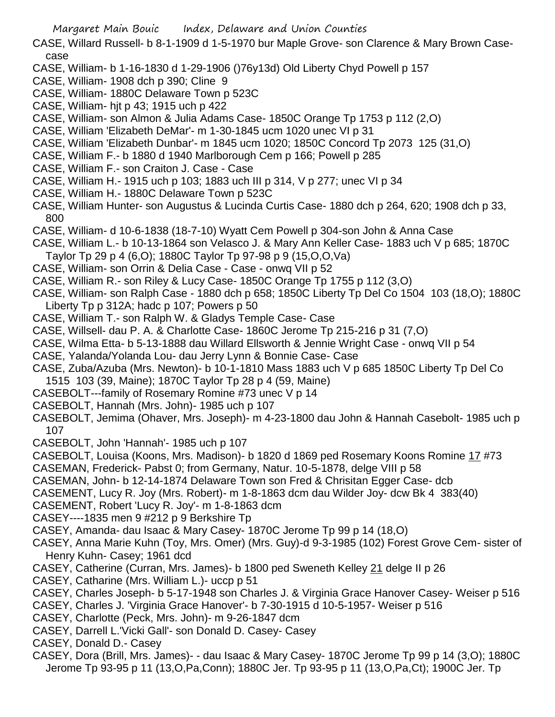- CASE, Willard Russell- b 8-1-1909 d 1-5-1970 bur Maple Grove- son Clarence & Mary Brown Casecase
- CASE, William- b 1-16-1830 d 1-29-1906 ()76y13d) Old Liberty Chyd Powell p 157
- CASE, William- 1908 dch p 390; Cline 9
- CASE, William- 1880C Delaware Town p 523C
- CASE, William- hjt p 43; 1915 uch p 422
- CASE, William- son Almon & Julia Adams Case- 1850C Orange Tp 1753 p 112 (2,O)
- CASE, William 'Elizabeth DeMar'- m 1-30-1845 ucm 1020 unec VI p 31
- CASE, William 'Elizabeth Dunbar'- m 1845 ucm 1020; 1850C Concord Tp 2073 125 (31,O)
- CASE, William F.- b 1880 d 1940 Marlborough Cem p 166; Powell p 285
- CASE, William F.- son Craiton J. Case Case
- CASE, William H.- 1915 uch p 103; 1883 uch III p 314, V p 277; unec VI p 34
- CASE, William H.- 1880C Delaware Town p 523C
- CASE, William Hunter- son Augustus & Lucinda Curtis Case- 1880 dch p 264, 620; 1908 dch p 33, 800
- CASE, William- d 10-6-1838 (18-7-10) Wyatt Cem Powell p 304-son John & Anna Case
- CASE, William L.- b 10-13-1864 son Velasco J. & Mary Ann Keller Case- 1883 uch V p 685; 1870C Taylor Tp 29 p 4 (6,O); 1880C Taylor Tp 97-98 p 9 (15,O,O,Va)
- CASE, William- son Orrin & Delia Case Case onwq VII p 52
- CASE, William R.- son Riley & Lucy Case- 1850C Orange Tp 1755 p 112 (3,O)
- CASE, William- son Ralph Case 1880 dch p 658; 1850C Liberty Tp Del Co 1504 103 (18,O); 1880C Liberty Tp p 312A; hadc p 107; Powers p 50
- CASE, William T.- son Ralph W. & Gladys Temple Case- Case
- CASE, Willsell- dau P. A. & Charlotte Case- 1860C Jerome Tp 215-216 p 31 (7,O)
- CASE, Wilma Etta- b 5-13-1888 dau Willard Ellsworth & Jennie Wright Case onwq VII p 54
- CASE, Yalanda/Yolanda Lou- dau Jerry Lynn & Bonnie Case- Case
- CASE, Zuba/Azuba (Mrs. Newton)- b 10-1-1810 Mass 1883 uch V p 685 1850C Liberty Tp Del Co 1515 103 (39, Maine); 1870C Taylor Tp 28 p 4 (59, Maine)
- CASEBOLT---family of Rosemary Romine #73 unec V p 14
- CASEBOLT, Hannah (Mrs. John)- 1985 uch p 107
- CASEBOLT, Jemima (Ohaver, Mrs. Joseph)- m 4-23-1800 dau John & Hannah Casebolt- 1985 uch p 107
- CASEBOLT, John 'Hannah'- 1985 uch p 107
- CASEBOLT, Louisa (Koons, Mrs. Madison)- b 1820 d 1869 ped Rosemary Koons Romine 17 #73
- CASEMAN, Frederick- Pabst 0; from Germany, Natur. 10-5-1878, delge VIII p 58
- CASEMAN, John- b 12-14-1874 Delaware Town son Fred & Chrisitan Egger Case- dcb
- CASEMENT, Lucy R. Joy (Mrs. Robert)- m 1-8-1863 dcm dau Wilder Joy- dcw Bk 4 383(40)
- CASEMENT, Robert 'Lucy R. Joy'- m 1-8-1863 dcm
- CASEY----1835 men 9 #212 p 9 Berkshire Tp
- CASEY, Amanda- dau Isaac & Mary Casey- 1870C Jerome Tp 99 p 14 (18,O)
- CASEY, Anna Marie Kuhn (Toy, Mrs. Omer) (Mrs. Guy)-d 9-3-1985 (102) Forest Grove Cem- sister of Henry Kuhn- Casey; 1961 dcd
- CASEY, Catherine (Curran, Mrs. James)- b 1800 ped Sweneth Kelley 21 delge II p 26
- CASEY, Catharine (Mrs. William L.)- uccp p 51
- CASEY, Charles Joseph- b 5-17-1948 son Charles J. & Virginia Grace Hanover Casey- Weiser p 516
- CASEY, Charles J. 'Virginia Grace Hanover'- b 7-30-1915 d 10-5-1957- Weiser p 516
- CASEY, Charlotte (Peck, Mrs. John)- m 9-26-1847 dcm
- CASEY, Darrell L.'Vicki Gall'- son Donald D. Casey- Casey
- CASEY, Donald D.- Casey
- CASEY, Dora (Brill, Mrs. James)- dau Isaac & Mary Casey- 1870C Jerome Tp 99 p 14 (3,O); 1880C Jerome Tp 93-95 p 11 (13,O,Pa,Conn); 1880C Jer. Tp 93-95 p 11 (13,O,Pa,Ct); 1900C Jer. Tp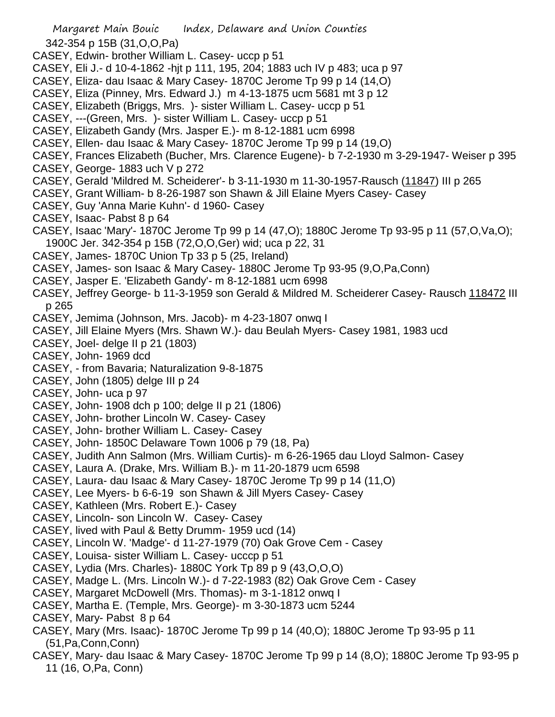Margaret Main Bouic Index, Delaware and Union Counties 342-354 p 15B (31,O,O,Pa) CASEY, Edwin- brother William L. Casey- uccp p 51 CASEY, Eli J.- d 10-4-1862 -hjt p 111, 195, 204; 1883 uch IV p 483; uca p 97 CASEY, Eliza- dau Isaac & Mary Casey- 1870C Jerome Tp 99 p 14 (14,O) CASEY, Eliza (Pinney, Mrs. Edward J.) m 4-13-1875 ucm 5681 mt 3 p 12 CASEY, Elizabeth (Briggs, Mrs. )- sister William L. Casey- uccp p 51 CASEY, ---(Green, Mrs. )- sister William L. Casey- uccp p 51 CASEY, Elizabeth Gandy (Mrs. Jasper E.)- m 8-12-1881 ucm 6998 CASEY, Ellen- dau Isaac & Mary Casey- 1870C Jerome Tp 99 p 14 (19,O) CASEY, Frances Elizabeth (Bucher, Mrs. Clarence Eugene)- b 7-2-1930 m 3-29-1947- Weiser p 395 CASEY, George- 1883 uch V p 272 CASEY, Gerald 'Mildred M. Scheiderer'- b 3-11-1930 m 11-30-1957-Rausch (11847) III p 265 CASEY, Grant William- b 8-26-1987 son Shawn & Jill Elaine Myers Casey- Casey CASEY, Guy 'Anna Marie Kuhn'- d 1960- Casey CASEY, Isaac- Pabst 8 p 64 CASEY, Isaac 'Mary'- 1870C Jerome Tp 99 p 14 (47,O); 1880C Jerome Tp 93-95 p 11 (57,O,Va,O); 1900C Jer. 342-354 p 15B (72,O,O,Ger) wid; uca p 22, 31 CASEY, James- 1870C Union Tp 33 p 5 (25, Ireland) CASEY, James- son Isaac & Mary Casey- 1880C Jerome Tp 93-95 (9,O,Pa,Conn) CASEY, Jasper E. 'Elizabeth Gandy'- m 8-12-1881 ucm 6998 CASEY, Jeffrey George- b 11-3-1959 son Gerald & Mildred M. Scheiderer Casey- Rausch 118472 III p 265 CASEY, Jemima (Johnson, Mrs. Jacob)- m 4-23-1807 onwq I CASEY, Jill Elaine Myers (Mrs. Shawn W.)- dau Beulah Myers- Casey 1981, 1983 ucd CASEY, Joel- delge II p 21 (1803) CASEY, John- 1969 dcd CASEY, - from Bavaria; Naturalization 9-8-1875 CASEY, John (1805) delge III p 24 CASEY, John- uca p 97 CASEY, John- 1908 dch p 100; delge II p 21 (1806) CASEY, John- brother Lincoln W. Casey- Casey CASEY, John- brother William L. Casey- Casey CASEY, John- 1850C Delaware Town 1006 p 79 (18, Pa) CASEY, Judith Ann Salmon (Mrs. William Curtis)- m 6-26-1965 dau Lloyd Salmon- Casey CASEY, Laura A. (Drake, Mrs. William B.)- m 11-20-1879 ucm 6598 CASEY, Laura- dau Isaac & Mary Casey- 1870C Jerome Tp 99 p 14 (11,O) CASEY, Lee Myers- b 6-6-19 son Shawn & Jill Myers Casey- Casey CASEY, Kathleen (Mrs. Robert E.)- Casey CASEY, Lincoln- son Lincoln W. Casey- Casey CASEY, lived with Paul & Betty Drumm- 1959 ucd (14) CASEY, Lincoln W. 'Madge'- d 11-27-1979 (70) Oak Grove Cem - Casey CASEY, Louisa- sister William L. Casey- ucccp p 51 CASEY, Lydia (Mrs. Charles)- 1880C York Tp 89 p 9 (43,O,O,O) CASEY, Madge L. (Mrs. Lincoln W.)- d 7-22-1983 (82) Oak Grove Cem - Casey CASEY, Margaret McDowell (Mrs. Thomas)- m 3-1-1812 onwq I CASEY, Martha E. (Temple, Mrs. George)- m 3-30-1873 ucm 5244 CASEY, Mary- Pabst 8 p 64 CASEY, Mary (Mrs. Isaac)- 1870C Jerome Tp 99 p 14 (40,O); 1880C Jerome Tp 93-95 p 11 (51,Pa,Conn,Conn) CASEY, Mary- dau Isaac & Mary Casey- 1870C Jerome Tp 99 p 14 (8,O); 1880C Jerome Tp 93-95 p

11 (16, O,Pa, Conn)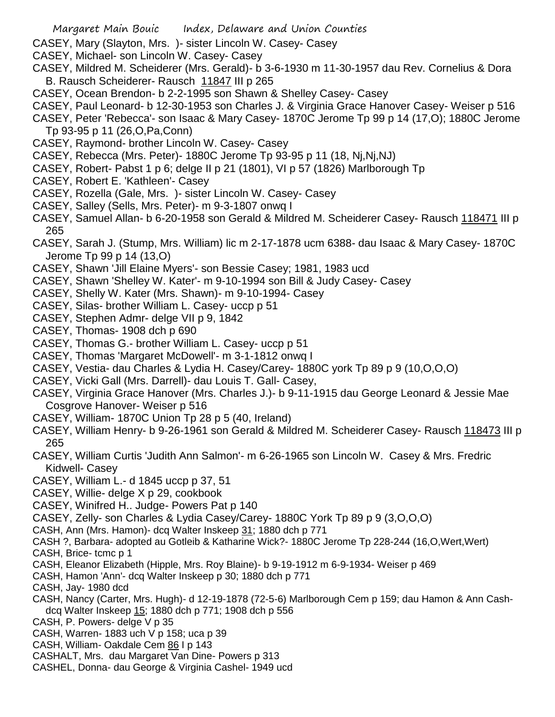- Margaret Main Bouic Index, Delaware and Union Counties
- CASEY, Mary (Slayton, Mrs. )- sister Lincoln W. Casey- Casey
- CASEY, Michael- son Lincoln W. Casey- Casey
- CASEY, Mildred M. Scheiderer (Mrs. Gerald)- b 3-6-1930 m 11-30-1957 dau Rev. Cornelius & Dora B. Rausch Scheiderer- Rausch 11847 III p 265
- CASEY, Ocean Brendon- b 2-2-1995 son Shawn & Shelley Casey- Casey
- CASEY, Paul Leonard- b 12-30-1953 son Charles J. & Virginia Grace Hanover Casey- Weiser p 516
- CASEY, Peter 'Rebecca'- son Isaac & Mary Casey- 1870C Jerome Tp 99 p 14 (17,O); 1880C Jerome Tp 93-95 p 11 (26,O,Pa,Conn)
- CASEY, Raymond- brother Lincoln W. Casey- Casey
- CASEY, Rebecca (Mrs. Peter)- 1880C Jerome Tp 93-95 p 11 (18, Nj,Nj,NJ)
- CASEY, Robert- Pabst 1 p 6; delge II p 21 (1801), VI p 57 (1826) Marlborough Tp
- CASEY, Robert E. 'Kathleen'- Casey
- CASEY, Rozella (Gale, Mrs. )- sister Lincoln W. Casey- Casey
- CASEY, Salley (Sells, Mrs. Peter)- m 9-3-1807 onwq I
- CASEY, Samuel Allan- b 6-20-1958 son Gerald & Mildred M. Scheiderer Casey- Rausch 118471 III p 265
- CASEY, Sarah J. (Stump, Mrs. William) lic m 2-17-1878 ucm 6388- dau Isaac & Mary Casey- 1870C Jerome Tp 99 p 14 (13,O)
- CASEY, Shawn 'Jill Elaine Myers'- son Bessie Casey; 1981, 1983 ucd
- CASEY, Shawn 'Shelley W. Kater'- m 9-10-1994 son Bill & Judy Casey- Casey
- CASEY, Shelly W. Kater (Mrs. Shawn)- m 9-10-1994- Casey
- CASEY, Silas- brother William L. Casey- uccp p 51
- CASEY, Stephen Admr- delge VII p 9, 1842
- CASEY, Thomas- 1908 dch p 690
- CASEY, Thomas G.- brother William L. Casey- uccp p 51
- CASEY, Thomas 'Margaret McDowell'- m 3-1-1812 onwq I
- CASEY, Vestia- dau Charles & Lydia H. Casey/Carey- 1880C york Tp 89 p 9 (10,O,O,O)
- CASEY, Vicki Gall (Mrs. Darrell)- dau Louis T. Gall- Casey,
- CASEY, Virginia Grace Hanover (Mrs. Charles J.)- b 9-11-1915 dau George Leonard & Jessie Mae Cosgrove Hanover- Weiser p 516
- CASEY, William- 1870C Union Tp 28 p 5 (40, Ireland)
- CASEY, William Henry- b 9-26-1961 son Gerald & Mildred M. Scheiderer Casey- Rausch 118473 III p 265
- CASEY, William Curtis 'Judith Ann Salmon'- m 6-26-1965 son Lincoln W. Casey & Mrs. Fredric Kidwell- Casey
- CASEY, William L.- d 1845 uccp p 37, 51
- CASEY, Willie- delge X p 29, cookbook
- CASEY, Winifred H.. Judge- Powers Pat p 140
- CASEY, Zelly- son Charles & Lydia Casey/Carey- 1880C York Tp 89 p 9 (3,O,O,O)
- CASH, Ann (Mrs. Hamon)- dcq Walter Inskeep 31; 1880 dch p 771
- CASH ?, Barbara- adopted au Gotleib & Katharine Wick?- 1880C Jerome Tp 228-244 (16,O,Wert,Wert)
- CASH, Brice- tcmc p 1
- CASH, Eleanor Elizabeth (Hipple, Mrs. Roy Blaine)- b 9-19-1912 m 6-9-1934- Weiser p 469
- CASH, Hamon 'Ann'- dcq Walter Inskeep p 30; 1880 dch p 771
- CASH, Jay- 1980 dcd
- CASH, Nancy (Carter, Mrs. Hugh)- d 12-19-1878 (72-5-6) Marlborough Cem p 159; dau Hamon & Ann Cashdcq Walter Inskeep 15; 1880 dch p 771; 1908 dch p 556
- CASH, P. Powers- delge V p 35
- CASH, Warren- 1883 uch V p 158; uca p 39
- CASH, William- Oakdale Cem 86 I p 143
- CASHALT, Mrs. dau Margaret Van Dine- Powers p 313
- CASHEL, Donna- dau George & Virginia Cashel- 1949 ucd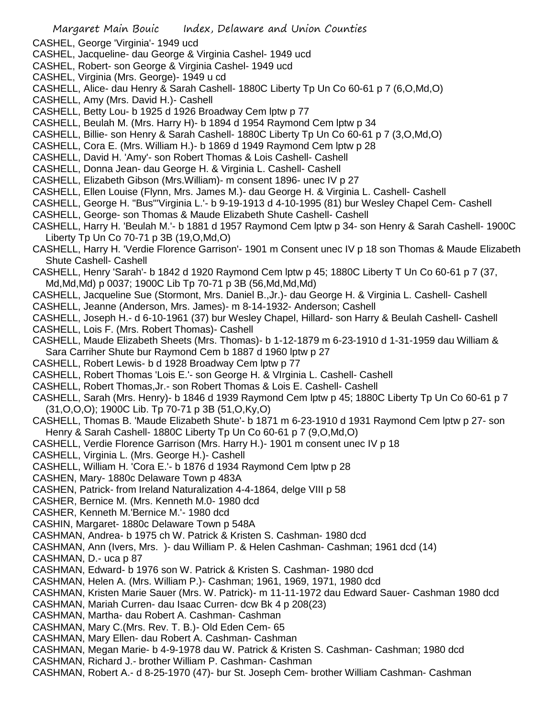CASHEL, George 'Virginia'- 1949 ucd

- CASHEL, Jacqueline- dau George & Virginia Cashel- 1949 ucd
- CASHEL, Robert- son George & Virginia Cashel- 1949 ucd
- CASHEL, Virginia (Mrs. George)- 1949 u cd
- CASHELL, Alice- dau Henry & Sarah Cashell- 1880C Liberty Tp Un Co 60-61 p 7 (6,O,Md,O)
- CASHELL, Amy (Mrs. David H.)- Cashell
- CASHELL, Betty Lou- b 1925 d 1926 Broadway Cem lptw p 77
- CASHELL, Beulah M. (Mrs. Harry H)- b 1894 d 1954 Raymond Cem lptw p 34
- CASHELL, Billie- son Henry & Sarah Cashell- 1880C Liberty Tp Un Co 60-61 p 7 (3,O,Md,O)
- CASHELL, Cora E. (Mrs. William H.)- b 1869 d 1949 Raymond Cem lptw p 28
- CASHELL, David H. 'Amy'- son Robert Thomas & Lois Cashell- Cashell
- CASHELL, Donna Jean- dau George H. & Virginia L. Cashell- Cashell
- CASHELL, Elizabeth Gibson (Mrs.William)- m consent 1896- unec IV p 27
- CASHELL, Ellen Louise (Flynn, Mrs. James M.)- dau George H. & Virginia L. Cashell- Cashell
- CASHELL, George H. "Bus"'Virginia L.'- b 9-19-1913 d 4-10-1995 (81) bur Wesley Chapel Cem- Cashell CASHELL, George- son Thomas & Maude Elizabeth Shute Cashell- Cashell
- CASHELL, Harry H. 'Beulah M.'- b 1881 d 1957 Raymond Cem lptw p 34- son Henry & Sarah Cashell- 1900C Liberty Tp Un Co 70-71 p 3B (19,O,Md,O)
- CASHELL, Harry H. 'Verdie Florence Garrison'- 1901 m Consent unec IV p 18 son Thomas & Maude Elizabeth Shute Cashell- Cashell
- CASHELL, Henry 'Sarah'- b 1842 d 1920 Raymond Cem lptw p 45; 1880C Liberty T Un Co 60-61 p 7 (37, Md,Md,Md) p 0037; 1900C Lib Tp 70-71 p 3B (56,Md,Md,Md)
- CASHELL, Jacqueline Sue (Stormont, Mrs. Daniel B.,Jr.)- dau George H. & Virginia L. Cashell- Cashell
- CASHELL, Jeanne (Anderson, Mrs. James)- m 8-14-1932- Anderson; Cashell
- CASHELL, Joseph H.- d 6-10-1961 (37) bur Wesley Chapel, Hillard- son Harry & Beulah Cashell- Cashell
- CASHELL, Lois F. (Mrs. Robert Thomas)- Cashell
- CASHELL, Maude Elizabeth Sheets (Mrs. Thomas)- b 1-12-1879 m 6-23-1910 d 1-31-1959 dau William &
- Sara Carriher Shute bur Raymond Cem b 1887 d 1960 lptw p 27
- CASHELL, Robert Lewis- b d 1928 Broadway Cem lptw p 77
- CASHELL, Robert Thomas 'Lois E.'- son George H. & VIrginia L. Cashell- Cashell
- CASHELL, Robert Thomas,Jr.- son Robert Thomas & Lois E. Cashell- Cashell
- CASHELL, Sarah (Mrs. Henry)- b 1846 d 1939 Raymond Cem lptw p 45; 1880C Liberty Tp Un Co 60-61 p 7 (31,O,O,O); 1900C Lib. Tp 70-71 p 3B (51,O,Ky,O)
- CASHELL, Thomas B. 'Maude Elizabeth Shute'- b 1871 m 6-23-1910 d 1931 Raymond Cem lptw p 27- son Henry & Sarah Cashell- 1880C Liberty Tp Un Co 60-61 p 7 (9,O,Md,O)
- CASHELL, Verdie Florence Garrison (Mrs. Harry H.)- 1901 m consent unec IV p 18
- CASHELL, Virginia L. (Mrs. George H.)- Cashell
- CASHELL, William H. 'Cora E.'- b 1876 d 1934 Raymond Cem lptw p 28
- CASHEN, Mary- 1880c Delaware Town p 483A
- CASHEN, Patrick- from Ireland Naturalization 4-4-1864, delge VIII p 58
- CASHER, Bernice M. (Mrs. Kenneth M.0- 1980 dcd
- CASHER, Kenneth M.'Bernice M.'- 1980 dcd
- CASHIN, Margaret- 1880c Delaware Town p 548A
- CASHMAN, Andrea- b 1975 ch W. Patrick & Kristen S. Cashman- 1980 dcd
- CASHMAN, Ann (Ivers, Mrs. )- dau William P. & Helen Cashman- Cashman; 1961 dcd (14)
- CASHMAN, D.- uca p 87
- CASHMAN, Edward- b 1976 son W. Patrick & Kristen S. Cashman- 1980 dcd
- CASHMAN, Helen A. (Mrs. William P.)- Cashman; 1961, 1969, 1971, 1980 dcd
- CASHMAN, Kristen Marie Sauer (Mrs. W. Patrick)- m 11-11-1972 dau Edward Sauer- Cashman 1980 dcd
- CASHMAN, Mariah Curren- dau Isaac Curren- dcw Bk 4 p 208(23)
- CASHMAN, Martha- dau Robert A. Cashman- Cashman
- CASHMAN, Mary C.(Mrs. Rev. T. B.)- Old Eden Cem- 65
- CASHMAN, Mary Ellen- dau Robert A. Cashman- Cashman
- CASHMAN, Megan Marie- b 4-9-1978 dau W. Patrick & Kristen S. Cashman- Cashman; 1980 dcd
- CASHMAN, Richard J.- brother William P. Cashman- Cashman
- CASHMAN, Robert A.- d 8-25-1970 (47)- bur St. Joseph Cem- brother William Cashman- Cashman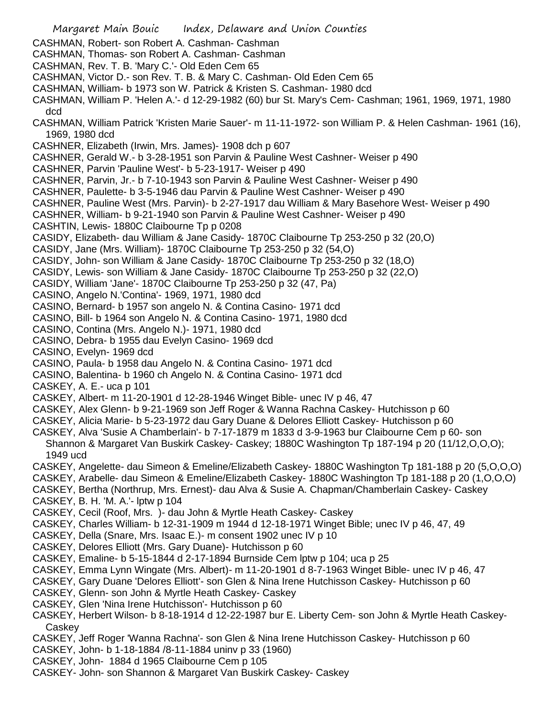- Margaret Main Bouic Index, Delaware and Union Counties CASHMAN, Robert- son Robert A. Cashman- Cashman CASHMAN, Thomas- son Robert A. Cashman- Cashman CASHMAN, Rev. T. B. 'Mary C.'- Old Eden Cem 65 CASHMAN, Victor D.- son Rev. T. B. & Mary C. Cashman- Old Eden Cem 65 CASHMAN, William- b 1973 son W. Patrick & Kristen S. Cashman- 1980 dcd CASHMAN, William P. 'Helen A.'- d 12-29-1982 (60) bur St. Mary's Cem- Cashman; 1961, 1969, 1971, 1980 dcd CASHMAN, William Patrick 'Kristen Marie Sauer'- m 11-11-1972- son William P. & Helen Cashman- 1961 (16), 1969, 1980 dcd CASHNER, Elizabeth (Irwin, Mrs. James)- 1908 dch p 607 CASHNER, Gerald W.- b 3-28-1951 son Parvin & Pauline West Cashner- Weiser p 490 CASHNER, Parvin 'Pauline West'- b 5-23-1917- Weiser p 490 CASHNER, Parvin, Jr.- b 7-10-1943 son Parvin & Pauline West Cashner- Weiser p 490 CASHNER, Paulette- b 3-5-1946 dau Parvin & Pauline West Cashner- Weiser p 490 CASHNER, Pauline West (Mrs. Parvin)- b 2-27-1917 dau William & Mary Basehore West- Weiser p 490 CASHNER, William- b 9-21-1940 son Parvin & Pauline West Cashner- Weiser p 490 CASHTIN, Lewis- 1880C Claibourne Tp p 0208 CASIDY, Elizabeth- dau William & Jane Casidy- 1870C Claibourne Tp 253-250 p 32 (20,O) CASIDY, Jane (Mrs. William)- 1870C Claibourne Tp 253-250 p 32 (54,O) CASIDY, John- son William & Jane Casidy- 1870C Claibourne Tp 253-250 p 32 (18,O) CASIDY, Lewis- son William & Jane Casidy- 1870C Claibourne Tp 253-250 p 32 (22,O) CASIDY, William 'Jane'- 1870C Claibourne Tp 253-250 p 32 (47, Pa) CASINO, Angelo N.'Contina'- 1969, 1971, 1980 dcd CASINO, Bernard- b 1957 son angelo N. & Contina Casino- 1971 dcd CASINO, Bill- b 1964 son Angelo N. & Contina Casino- 1971, 1980 dcd CASINO, Contina (Mrs. Angelo N.)- 1971, 1980 dcd CASINO, Debra- b 1955 dau Evelyn Casino- 1969 dcd CASINO, Evelyn- 1969 dcd CASINO, Paula- b 1958 dau Angelo N. & Contina Casino- 1971 dcd CASINO, Balentina- b 1960 ch Angelo N. & Contina Casino- 1971 dcd CASKEY, A. E.- uca p 101 CASKEY, Albert- m 11-20-1901 d 12-28-1946 Winget Bible- unec IV p 46, 47 CASKEY, Alex Glenn- b 9-21-1969 son Jeff Roger & Wanna Rachna Caskey- Hutchisson p 60 CASKEY, Alicia Marie- b 5-23-1972 dau Gary Duane & Delores Elliott Caskey- Hutchisson p 60 CASKEY, Alva 'Susie A Chamberlain'- b 7-17-1879 m 1833 d 3-9-1963 bur Claibourne Cem p 60- son Shannon & Margaret Van Buskirk Caskey- Caskey; 1880C Washington Tp 187-194 p 20 (11/12,O,O,O); 1949 ucd CASKEY, Angelette- dau Simeon & Emeline/Elizabeth Caskey- 1880C Washington Tp 181-188 p 20 (5,O,O,O) CASKEY, Arabelle- dau Simeon & Emeline/Elizabeth Caskey- 1880C Washington Tp 181-188 p 20 (1,O,O,O) CASKEY, Bertha (Northrup, Mrs. Ernest)- dau Alva & Susie A. Chapman/Chamberlain Caskey- Caskey CASKEY, B. H. 'M. A.'- lptw p 104 CASKEY, Cecil (Roof, Mrs. )- dau John & Myrtle Heath Caskey- Caskey CASKEY, Charles William- b 12-31-1909 m 1944 d 12-18-1971 Winget Bible; unec IV p 46, 47, 49 CASKEY, Della (Snare, Mrs. Isaac E.)- m consent 1902 unec IV p 10 CASKEY, Delores Elliott (Mrs. Gary Duane)- Hutchisson p 60 CASKEY, Emaline- b 5-15-1844 d 2-17-1894 Burnside Cem lptw p 104; uca p 25 CASKEY, Emma Lynn Wingate (Mrs. Albert)- m 11-20-1901 d 8-7-1963 Winget Bible- unec IV p 46, 47 CASKEY, Gary Duane 'Delores Elliott'- son Glen & Nina Irene Hutchisson Caskey- Hutchisson p 60 CASKEY, Glenn- son John & Myrtle Heath Caskey- Caskey CASKEY, Glen 'Nina Irene Hutchisson'- Hutchisson p 60 CASKEY, Herbert Wilson- b 8-18-1914 d 12-22-1987 bur E. Liberty Cem- son John & Myrtle Heath Caskey-**Caskey** CASKEY, Jeff Roger 'Wanna Rachna'- son Glen & Nina Irene Hutchisson Caskey- Hutchisson p 60 CASKEY, John- b 1-18-1884 /8-11-1884 uninv p 33 (1960)
- CASKEY, John- 1884 d 1965 Claibourne Cem p 105
- CASKEY- John- son Shannon & Margaret Van Buskirk Caskey- Caskey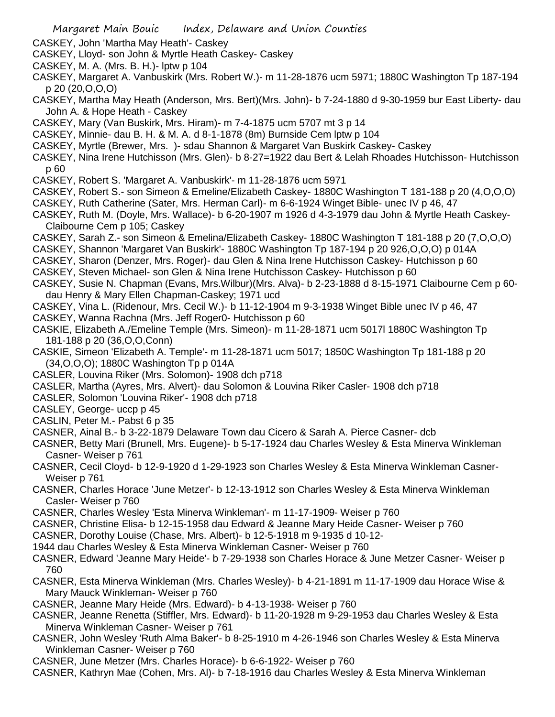- CASKEY, John 'Martha May Heath'- Caskey
- CASKEY, Lloyd- son John & Myrtle Heath Caskey- Caskey
- CASKEY, M. A. (Mrs. B. H.)- lptw p 104
- CASKEY, Margaret A. Vanbuskirk (Mrs. Robert W.)- m 11-28-1876 ucm 5971; 1880C Washington Tp 187-194 p 20 (20,O,O,O)
- CASKEY, Martha May Heath (Anderson, Mrs. Bert)(Mrs. John)- b 7-24-1880 d 9-30-1959 bur East Liberty- dau John A. & Hope Heath - Caskey
- CASKEY, Mary (Van Buskirk, Mrs. Hiram)- m 7-4-1875 ucm 5707 mt 3 p 14
- CASKEY, Minnie- dau B. H. & M. A. d 8-1-1878 (8m) Burnside Cem lptw p 104
- CASKEY, Myrtle (Brewer, Mrs. )- sdau Shannon & Margaret Van Buskirk Caskey- Caskey
- CASKEY, Nina Irene Hutchisson (Mrs. Glen)- b 8-27=1922 dau Bert & Lelah Rhoades Hutchisson- Hutchisson p 60
- CASKEY, Robert S. 'Margaret A. Vanbuskirk'- m 11-28-1876 ucm 5971
- CASKEY, Robert S.- son Simeon & Emeline/Elizabeth Caskey- 1880C Washington T 181-188 p 20 (4,O,O,O)
- CASKEY, Ruth Catherine (Sater, Mrs. Herman Carl)- m 6-6-1924 Winget Bible- unec IV p 46, 47
- CASKEY, Ruth M. (Doyle, Mrs. Wallace)- b 6-20-1907 m 1926 d 4-3-1979 dau John & Myrtle Heath Caskey-Claibourne Cem p 105; Caskey
- CASKEY, Sarah Z.- son Simeon & Emelina/Elizabeth Caskey- 1880C Washington T 181-188 p 20 (7,O,O,O)
- CASKEY, Shannon 'Margaret Van Buskirk'- 1880C Washington Tp 187-194 p 20 926,O,O,O) p 014A
- CASKEY, Sharon (Denzer, Mrs. Roger)- dau Glen & Nina Irene Hutchisson Caskey- Hutchisson p 60
- CASKEY, Steven Michael- son Glen & Nina Irene Hutchisson Caskey- Hutchisson p 60
- CASKEY, Susie N. Chapman (Evans, Mrs.Wilbur)(Mrs. Alva)- b 2-23-1888 d 8-15-1971 Claibourne Cem p 60 dau Henry & Mary Ellen Chapman-Caskey; 1971 ucd
- CASKEY, Vina L. (Ridenour, Mrs. Cecil W.)- b 11-12-1904 m 9-3-1938 Winget Bible unec IV p 46, 47 CASKEY, Wanna Rachna (Mrs. Jeff Roger0- Hutchisson p 60
- CASKIE, Elizabeth A./Emeline Temple (Mrs. Simeon)- m 11-28-1871 ucm 5017l 1880C Washington Tp 181-188 p 20 (36,O,O,Conn)
- CASKIE, Simeon 'Elizabeth A. Temple'- m 11-28-1871 ucm 5017; 1850C Washington Tp 181-188 p 20 (34,O,O,O); 1880C Washington Tp p 014A
- CASLER, Louvina Riker (Mrs. Solomon)- 1908 dch p718
- CASLER, Martha (Ayres, Mrs. Alvert)- dau Solomon & Louvina Riker Casler- 1908 dch p718
- CASLER, Solomon 'Louvina Riker'- 1908 dch p718
- CASLEY, George- uccp p 45
- CASLIN, Peter M.- Pabst 6 p 35
- CASNER, Ainal B.- b 3-22-1879 Delaware Town dau Cicero & Sarah A. Pierce Casner- dcb
- CASNER, Betty Mari (Brunell, Mrs. Eugene)- b 5-17-1924 dau Charles Wesley & Esta Minerva Winkleman Casner- Weiser p 761
- CASNER, Cecil Cloyd- b 12-9-1920 d 1-29-1923 son Charles Wesley & Esta Minerva Winkleman Casner-Weiser p 761
- CASNER, Charles Horace 'June Metzer'- b 12-13-1912 son Charles Wesley & Esta Minerva Winkleman Casler- Weiser p 760
- CASNER, Charles Wesley 'Esta Minerva Winkleman'- m 11-17-1909- Weiser p 760
- CASNER, Christine Elisa- b 12-15-1958 dau Edward & Jeanne Mary Heide Casner- Weiser p 760
- CASNER, Dorothy Louise (Chase, Mrs. Albert)- b 12-5-1918 m 9-1935 d 10-12-
- 1944 dau Charles Wesley & Esta Minerva Winkleman Casner- Weiser p 760
- CASNER, Edward 'Jeanne Mary Heide'- b 7-29-1938 son Charles Horace & June Metzer Casner- Weiser p 760
- CASNER, Esta Minerva Winkleman (Mrs. Charles Wesley)- b 4-21-1891 m 11-17-1909 dau Horace Wise & Mary Mauck Winkleman- Weiser p 760
- CASNER, Jeanne Mary Heide (Mrs. Edward)- b 4-13-1938- Weiser p 760
- CASNER, Jeanne Renetta (Stiffler, Mrs. Edward)- b 11-20-1928 m 9-29-1953 dau Charles Wesley & Esta Minerva Winkleman Casner- Weiser p 761
- CASNER, John Wesley 'Ruth Alma Baker'- b 8-25-1910 m 4-26-1946 son Charles Wesley & Esta Minerva Winkleman Casner- Weiser p 760
- CASNER, June Metzer (Mrs. Charles Horace)- b 6-6-1922- Weiser p 760
- CASNER, Kathryn Mae (Cohen, Mrs. Al)- b 7-18-1916 dau Charles Wesley & Esta Minerva Winkleman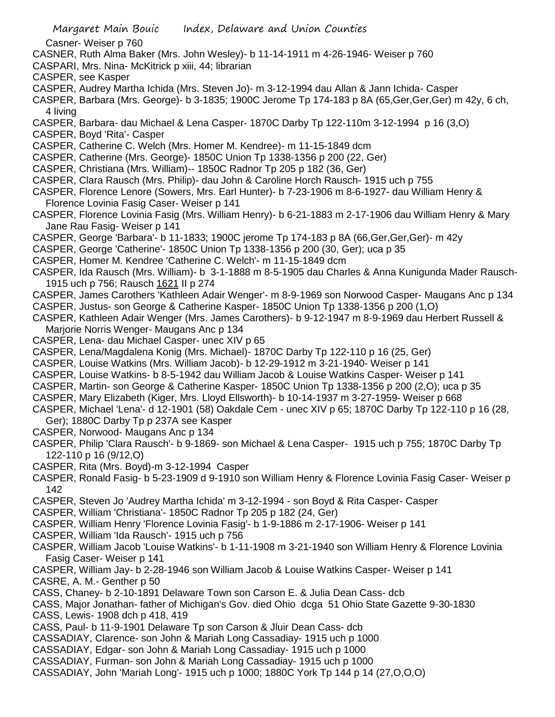Casner- Weiser p 760

- CASNER, Ruth Alma Baker (Mrs. John Wesley)- b 11-14-1911 m 4-26-1946- Weiser p 760
- CASPARI, Mrs. Nina- McKitrick p xiii, 44; librarian
- CASPER, see Kasper
- CASPER, Audrey Martha Ichida (Mrs. Steven Jo)- m 3-12-1994 dau Allan & Jann Ichida- Casper
- CASPER, Barbara (Mrs. George)- b 3-1835; 1900C Jerome Tp 174-183 p 8A (65,Ger,Ger,Ger) m 42y, 6 ch, 4 living
- CASPER, Barbara- dau Michael & Lena Casper- 1870C Darby Tp 122-110m 3-12-1994 p 16 (3,O)
- CASPER, Boyd 'Rita'- Casper
- CASPER, Catherine C. Welch (Mrs. Homer M. Kendree)- m 11-15-1849 dcm
- CASPER, Catherine (Mrs. George)- 1850C Union Tp 1338-1356 p 200 (22, Ger)
- CASPER, Christiana (Mrs. William)-- 1850C Radnor Tp 205 p 182 (36, Ger)
- CASPER, Clara Rausch (Mrs. Philip)- dau John & Caroline Horch Rausch- 1915 uch p 755
- CASPER, Florence Lenore (Sowers, Mrs. Earl Hunter)- b 7-23-1906 m 8-6-1927- dau William Henry & Florence Lovinia Fasig Caser- Weiser p 141
- CASPER, Florence Lovinia Fasig (Mrs. William Henry)- b 6-21-1883 m 2-17-1906 dau William Henry & Mary Jane Rau Fasig- Weiser p 141
- CASPER, George 'Barbara'- b 11-1833; 1900C jerome Tp 174-183 p 8A (66,Ger,Ger,Ger)- m 42y
- CASPER, George 'Catherine'- 1850C Union Tp 1338-1356 p 200 (30, Ger); uca p 35
- CASPER, Homer M. Kendree 'Catherine C. Welch'- m 11-15-1849 dcm
- CASPER, Ida Rausch (Mrs. William)- b 3-1-1888 m 8-5-1905 dau Charles & Anna Kunigunda Mader Rausch-1915 uch p 756; Rausch 1621 II p 274
- CASPER, James Carothers 'Kathleen Adair Wenger'- m 8-9-1969 son Norwood Casper- Maugans Anc p 134 CASPER, Justus- son George & Catherine Kasper- 1850C Union Tp 1338-1356 p 200 (1,O)
- CASPER, Kathleen Adair Wenger (Mrs. James Carothers)- b 9-12-1947 m 8-9-1969 dau Herbert Russell & Marjorie Norris Wenger- Maugans Anc p 134
- CASPER, Lena- dau Michael Casper- unec XIV p 65
- CASPER, Lena/Magdalena Konig (Mrs. Michael)- 1870C Darby Tp 122-110 p 16 (25, Ger)
- CASPER, Louise Watkins (Mrs. William Jacob)- b 12-29-1912 m 3-21-1940- Weiser p 141
- CASPER, Louise Watkins- b 8-5-1942 dau William Jacob & Louise Watkins Casper- Weiser p 141
- CASPER, Martin- son George & Catherine Kasper- 1850C Union Tp 1338-1356 p 200 (2,O); uca p 35
- CASPER, Mary Elizabeth (Kiger, Mrs. Lloyd Ellsworth)- b 10-14-1937 m 3-27-1959- Weiser p 668
- CASPER, Michael 'Lena'- d 12-1901 (58) Oakdale Cem unec XIV p 65; 1870C Darby Tp 122-110 p 16 (28, Ger); 1880C Darby Tp p 237A see Kasper
- CASPER, Norwood- Maugans Anc p 134
- CASPER, Philip 'Clara Rausch'- b 9-1869- son Michael & Lena Casper- 1915 uch p 755; 1870C Darby Tp 122-110 p 16 (9/12,O)
- CASPER, Rita (Mrs. Boyd)-m 3-12-1994 Casper
- CASPER, Ronald Fasig- b 5-23-1909 d 9-1910 son William Henry & Florence Lovinia Fasig Caser- Weiser p 142
- CASPER, Steven Jo 'Audrey Martha Ichida' m 3-12-1994 son Boyd & Rita Casper- Casper
- CASPER, William 'Christiana'- 1850C Radnor Tp 205 p 182 (24, Ger)
- CASPER, William Henry 'Florence Lovinia Fasig'- b 1-9-1886 m 2-17-1906- Weiser p 141
- CASPER, William 'Ida Rausch'- 1915 uch p 756
- CASPER, William Jacob 'Louise Watkins'- b 1-11-1908 m 3-21-1940 son William Henry & Florence Lovinia Fasig Caser- Weiser p 141
- CASPER, William Jay- b 2-28-1946 son William Jacob & Louise Watkins Casper- Weiser p 141 CASRE, A. M.- Genther p 50
- CASS, Chaney- b 2-10-1891 Delaware Town son Carson E. & Julia Dean Cass- dcb
- CASS, Major Jonathan- father of Michigan's Gov. died Ohio dcga 51 Ohio State Gazette 9-30-1830
- CASS, Lewis- 1908 dch p 418, 419
- CASS, Paul- b 11-9-1901 Delaware Tp son Carson & Jluir Dean Cass- dcb
- CASSADIAY, Clarence- son John & Mariah Long Cassadiay- 1915 uch p 1000
- CASSADIAY, Edgar- son John & Mariah Long Cassadiay- 1915 uch p 1000
- CASSADIAY, Furman- son John & Mariah Long Cassadiay- 1915 uch p 1000
- CASSADIAY, John 'Mariah Long'- 1915 uch p 1000; 1880C York Tp 144 p 14 (27,O,O,O)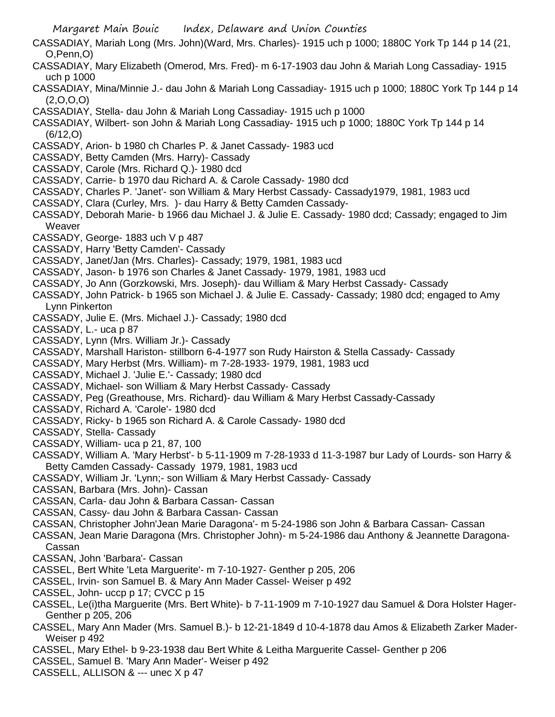- CASSADIAY, Mariah Long (Mrs. John)(Ward, Mrs. Charles)- 1915 uch p 1000; 1880C York Tp 144 p 14 (21, O,Penn,O)
- CASSADIAY, Mary Elizabeth (Omerod, Mrs. Fred)- m 6-17-1903 dau John & Mariah Long Cassadiay- 1915 uch p 1000
- CASSADIAY, Mina/Minnie J.- dau John & Mariah Long Cassadiay- 1915 uch p 1000; 1880C York Tp 144 p 14 (2,O,O,O)
- CASSADIAY, Stella- dau John & Mariah Long Cassadiay- 1915 uch p 1000
- CASSADIAY, Wilbert- son John & Mariah Long Cassadiay- 1915 uch p 1000; 1880C York Tp 144 p 14 (6/12,O)
- CASSADY, Arion- b 1980 ch Charles P. & Janet Cassady- 1983 ucd
- CASSADY, Betty Camden (Mrs. Harry)- Cassady
- CASSADY, Carole (Mrs. Richard Q.)- 1980 dcd
- CASSADY, Carrie- b 1970 dau Richard A. & Carole Cassady- 1980 dcd
- CASSADY, Charles P. 'Janet'- son William & Mary Herbst Cassady- Cassady1979, 1981, 1983 ucd
- CASSADY, Clara (Curley, Mrs. )- dau Harry & Betty Camden Cassady-
- CASSADY, Deborah Marie- b 1966 dau Michael J. & Julie E. Cassady- 1980 dcd; Cassady; engaged to Jim **Weaver**
- CASSADY, George- 1883 uch V p 487
- CASSADY, Harry 'Betty Camden'- Cassady
- CASSADY, Janet/Jan (Mrs. Charles)- Cassady; 1979, 1981, 1983 ucd
- CASSADY, Jason- b 1976 son Charles & Janet Cassady- 1979, 1981, 1983 ucd
- CASSADY, Jo Ann (Gorzkowski, Mrs. Joseph)- dau William & Mary Herbst Cassady- Cassady
- CASSADY, John Patrick- b 1965 son Michael J. & Julie E. Cassady- Cassady; 1980 dcd; engaged to Amy Lynn Pinkerton
- CASSADY, Julie E. (Mrs. Michael J.)- Cassady; 1980 dcd
- CASSADY, L.- uca p 87
- CASSADY, Lynn (Mrs. William Jr.)- Cassady
- CASSADY, Marshall Hariston- stillborn 6-4-1977 son Rudy Hairston & Stella Cassady- Cassady
- CASSADY, Mary Herbst (Mrs. William)- m 7-28-1933- 1979, 1981, 1983 ucd
- CASSADY, Michael J. 'Julie E.'- Cassady; 1980 dcd
- CASSADY, Michael- son William & Mary Herbst Cassady- Cassady
- CASSADY, Peg (Greathouse, Mrs. Richard)- dau William & Mary Herbst Cassady-Cassady
- CASSADY, Richard A. 'Carole'- 1980 dcd
- CASSADY, Ricky- b 1965 son Richard A. & Carole Cassady- 1980 dcd
- CASSADY, Stella- Cassady
- CASSADY, William- uca p 21, 87, 100
- CASSADY, William A. 'Mary Herbst'- b 5-11-1909 m 7-28-1933 d 11-3-1987 bur Lady of Lourds- son Harry & Betty Camden Cassady- Cassady 1979, 1981, 1983 ucd
- CASSADY, William Jr. 'Lynn;- son William & Mary Herbst Cassady- Cassady
- CASSAN, Barbara (Mrs. John)- Cassan
- CASSAN, Carla- dau John & Barbara Cassan- Cassan
- CASSAN, Cassy- dau John & Barbara Cassan- Cassan
- CASSAN, Christopher John'Jean Marie Daragona'- m 5-24-1986 son John & Barbara Cassan- Cassan
- CASSAN, Jean Marie Daragona (Mrs. Christopher John)- m 5-24-1986 dau Anthony & Jeannette Daragona-Cassan
- CASSAN, John 'Barbara'- Cassan
- CASSEL, Bert White 'Leta Marguerite'- m 7-10-1927- Genther p 205, 206
- CASSEL, Irvin- son Samuel B. & Mary Ann Mader Cassel- Weiser p 492
- CASSEL, John- uccp p 17; CVCC p 15
- CASSEL, Le(i)tha Marguerite (Mrs. Bert White)- b 7-11-1909 m 7-10-1927 dau Samuel & Dora Holster Hager-Genther p 205, 206
- CASSEL, Mary Ann Mader (Mrs. Samuel B.)- b 12-21-1849 d 10-4-1878 dau Amos & Elizabeth Zarker Mader-Weiser p 492
- CASSEL, Mary Ethel- b 9-23-1938 dau Bert White & Leitha Marguerite Cassel- Genther p 206
- CASSEL, Samuel B. 'Mary Ann Mader'- Weiser p 492
- CASSELL, ALLISON & --- unec X p 47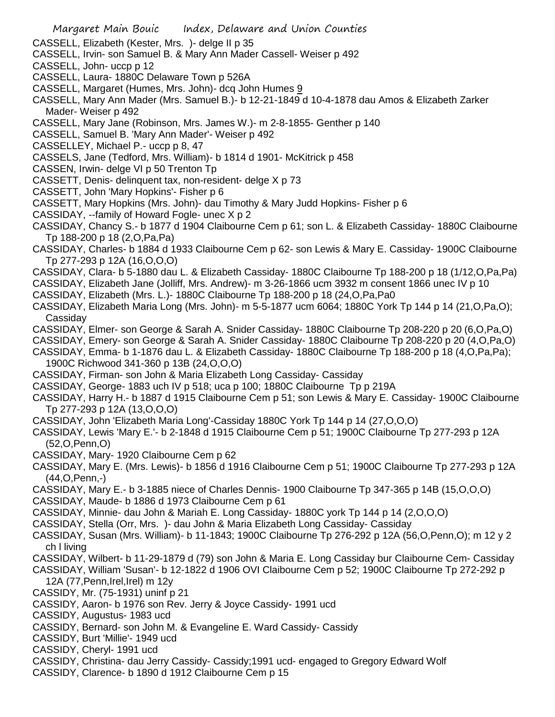CASSELL, Elizabeth (Kester, Mrs. )- delge II p 35

- CASSELL, Irvin- son Samuel B. & Mary Ann Mader Cassell- Weiser p 492
- CASSELL, John- uccp p 12
- CASSELL, Laura- 1880C Delaware Town p 526A
- CASSELL, Margaret (Humes, Mrs. John)- dcq John Humes 9
- CASSELL, Mary Ann Mader (Mrs. Samuel B.)- b 12-21-1849 d 10-4-1878 dau Amos & Elizabeth Zarker Mader- Weiser p 492
- CASSELL, Mary Jane (Robinson, Mrs. James W.)- m 2-8-1855- Genther p 140
- CASSELL, Samuel B. 'Mary Ann Mader'- Weiser p 492
- CASSELLEY, Michael P.- uccp p 8, 47
- CASSELS, Jane (Tedford, Mrs. William)- b 1814 d 1901- McKitrick p 458
- CASSEN, Irwin- delge VI p 50 Trenton Tp
- CASSETT, Denis- delinquent tax, non-resident- delge X p 73
- CASSETT, John 'Mary Hopkins'- Fisher p 6
- CASSETT, Mary Hopkins (Mrs. John)- dau Timothy & Mary Judd Hopkins- Fisher p 6
- CASSIDAY, --family of Howard Fogle- unec X p 2
- CASSIDAY, Chancy S.- b 1877 d 1904 Claibourne Cem p 61; son L. & Elizabeth Cassiday- 1880C Claibourne Tp 188-200 p 18 (2,O,Pa,Pa)
- CASSIDAY, Charles- b 1884 d 1933 Claibourne Cem p 62- son Lewis & Mary E. Cassiday- 1900C Claibourne Tp 277-293 p 12A (16,O,O,O)
- CASSIDAY, Clara- b 5-1880 dau L. & Elizabeth Cassiday- 1880C Claibourne Tp 188-200 p 18 (1/12,O,Pa,Pa)
- CASSIDAY, Elizabeth Jane (Jolliff, Mrs. Andrew)- m 3-26-1866 ucm 3932 m consent 1866 unec IV p 10
- CASSIDAY, Elizabeth (Mrs. L.)- 1880C Claibourne Tp 188-200 p 18 (24,O,Pa,Pa0
- CASSIDAY, Elizabeth Maria Long (Mrs. John)- m 5-5-1877 ucm 6064; 1880C York Tp 144 p 14 (21,O,Pa,O); **Cassidav**
- CASSIDAY, Elmer- son George & Sarah A. Snider Cassiday- 1880C Claibourne Tp 208-220 p 20 (6,O,Pa,O)
- CASSIDAY, Emery- son George & Sarah A. Snider Cassiday- 1880C Claibourne Tp 208-220 p 20 (4,O,Pa,O)
- CASSIDAY, Emma- b 1-1876 dau L. & Elizabeth Cassiday- 1880C Claibourne Tp 188-200 p 18 (4,O,Pa,Pa);
- 1900C Richwood 341-360 p 13B (24,O,O,O)
- CASSIDAY, Firman- son John & Maria Elizabeth Long Cassiday- Cassiday
- CASSIDAY, George- 1883 uch IV p 518; uca p 100; 1880C Claibourne Tp p 219A
- CASSIDAY, Harry H.- b 1887 d 1915 Claibourne Cem p 51; son Lewis & Mary E. Cassiday- 1900C Claibourne Tp 277-293 p 12A (13,O,O,O)
- CASSIDAY, John 'Elizabeth Maria Long'-Cassiday 1880C York Tp 144 p 14 (27,O,O,O)
- CASSIDAY, Lewis 'Mary E.'- b 2-1848 d 1915 Claibourne Cem p 51; 1900C Claibourne Tp 277-293 p 12A (52,O,Penn,O)
- CASSIDAY, Mary- 1920 Claibourne Cem p 62
- CASSIDAY, Mary E. (Mrs. Lewis)- b 1856 d 1916 Claibourne Cem p 51; 1900C Claibourne Tp 277-293 p 12A (44,O,Penn,-)
- CASSIDAY, Mary E.- b 3-1885 niece of Charles Dennis- 1900 Claibourne Tp 347-365 p 14B (15,O,O,O)
- CASSIDAY, Maude- b 1886 d 1973 Claibourne Cem p 61
- CASSIDAY, Minnie- dau John & Mariah E. Long Cassiday- 1880C york Tp 144 p 14 (2,O,O,O)
- CASSIDAY, Stella (Orr, Mrs. )- dau John & Maria Elizabeth Long Cassiday- Cassiday
- CASSIDAY, Susan (Mrs. William)- b 11-1843; 1900C Claibourne Tp 276-292 p 12A (56,O,Penn,O); m 12 y 2 ch l living
- CASSIDAY, Wilbert- b 11-29-1879 d (79) son John & Maria E. Long Cassiday bur Claibourne Cem- Cassiday
- CASSIDAY, William 'Susan'- b 12-1822 d 1906 OVI Claibourne Cem p 52; 1900C Claibourne Tp 272-292 p 12A (77,Penn,Irel,Irel) m 12y
- CASSIDY, Mr. (75-1931) uninf p 21
- CASSIDY, Aaron- b 1976 son Rev. Jerry & Joyce Cassidy- 1991 ucd
- CASSIDY, Augustus- 1983 ucd
- CASSIDY, Bernard- son John M. & Evangeline E. Ward Cassidy- Cassidy
- CASSIDY, Burt 'Millie'- 1949 ucd
- CASSIDY, Cheryl- 1991 ucd
- CASSIDY, Christina- dau Jerry Cassidy- Cassidy;1991 ucd- engaged to Gregory Edward Wolf
- CASSIDY, Clarence- b 1890 d 1912 Claibourne Cem p 15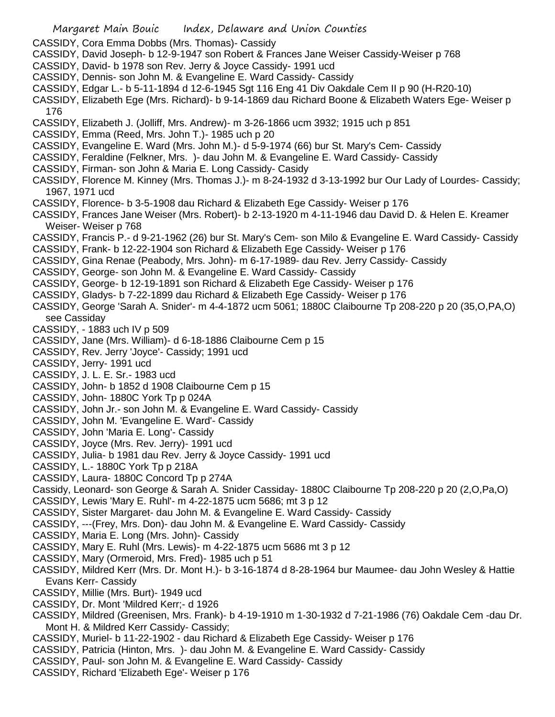CASSIDY, Cora Emma Dobbs (Mrs. Thomas)- Cassidy

- CASSIDY, David Joseph- b 12-9-1947 son Robert & Frances Jane Weiser Cassidy-Weiser p 768
- CASSIDY, David- b 1978 son Rev. Jerry & Joyce Cassidy- 1991 ucd
- CASSIDY, Dennis- son John M. & Evangeline E. Ward Cassidy- Cassidy
- CASSIDY, Edgar L.- b 5-11-1894 d 12-6-1945 Sgt 116 Eng 41 Div Oakdale Cem II p 90 (H-R20-10)
- CASSIDY, Elizabeth Ege (Mrs. Richard)- b 9-14-1869 dau Richard Boone & Elizabeth Waters Ege- Weiser p 176
- CASSIDY, Elizabeth J. (Jolliff, Mrs. Andrew)- m 3-26-1866 ucm 3932; 1915 uch p 851
- CASSIDY, Emma (Reed, Mrs. John T.)- 1985 uch p 20
- CASSIDY, Evangeline E. Ward (Mrs. John M.)- d 5-9-1974 (66) bur St. Mary's Cem- Cassidy
- CASSIDY, Feraldine (Felkner, Mrs. )- dau John M. & Evangeline E. Ward Cassidy- Cassidy
- CASSIDY, Firman- son John & Maria E. Long Cassidy- Casidy
- CASSIDY, Florence M. Kinney (Mrs. Thomas J.)- m 8-24-1932 d 3-13-1992 bur Our Lady of Lourdes- Cassidy; 1967, 1971 ucd
- CASSIDY, Florence- b 3-5-1908 dau Richard & Elizabeth Ege Cassidy- Weiser p 176
- CASSIDY, Frances Jane Weiser (Mrs. Robert)- b 2-13-1920 m 4-11-1946 dau David D. & Helen E. Kreamer Weiser- Weiser p 768
- CASSIDY, Francis P.- d 9-21-1962 (26) bur St. Mary's Cem- son Milo & Evangeline E. Ward Cassidy- Cassidy
- CASSIDY, Frank- b 12-22-1904 son Richard & Elizabeth Ege Cassidy- Weiser p 176
- CASSIDY, Gina Renae (Peabody, Mrs. John)- m 6-17-1989- dau Rev. Jerry Cassidy- Cassidy
- CASSIDY, George- son John M. & Evangeline E. Ward Cassidy- Cassidy
- CASSIDY, George- b 12-19-1891 son Richard & Elizabeth Ege Cassidy- Weiser p 176
- CASSIDY, Gladys- b 7-22-1899 dau Richard & Elizabeth Ege Cassidy- Weiser p 176
- CASSIDY, George 'Sarah A. Snider'- m 4-4-1872 ucm 5061; 1880C Claibourne Tp 208-220 p 20 (35,O,PA,O) see Cassiday
- CASSIDY, 1883 uch IV p 509
- CASSIDY, Jane (Mrs. William)- d 6-18-1886 Claibourne Cem p 15
- CASSIDY, Rev. Jerry 'Joyce'- Cassidy; 1991 ucd
- CASSIDY, Jerry- 1991 ucd
- CASSIDY, J. L. E. Sr.- 1983 ucd
- CASSIDY, John- b 1852 d 1908 Claibourne Cem p 15
- CASSIDY, John- 1880C York Tp p 024A
- CASSIDY, John Jr.- son John M. & Evangeline E. Ward Cassidy- Cassidy
- CASSIDY, John M. 'Evangeline E. Ward'- Cassidy
- CASSIDY, John 'Maria E. Long'- Cassidy
- CASSIDY, Joyce (Mrs. Rev. Jerry)- 1991 ucd
- CASSIDY, Julia- b 1981 dau Rev. Jerry & Joyce Cassidy- 1991 ucd
- CASSIDY, L.- 1880C York Tp p 218A
- CASSIDY, Laura- 1880C Concord Tp p 274A
- Cassidy, Leonard- son George & Sarah A. Snider Cassiday- 1880C Claibourne Tp 208-220 p 20 (2,O,Pa,O)
- CASSIDY, Lewis 'Mary E. Ruhl'- m 4-22-1875 ucm 5686; mt 3 p 12
- CASSIDY, Sister Margaret- dau John M. & Evangeline E. Ward Cassidy- Cassidy
- CASSIDY, ---(Frey, Mrs. Don)- dau John M. & Evangeline E. Ward Cassidy- Cassidy
- CASSIDY, Maria E. Long (Mrs. John)- Cassidy
- CASSIDY, Mary E. Ruhl (Mrs. Lewis)- m 4-22-1875 ucm 5686 mt 3 p 12
- CASSIDY, Mary (Ormeroid, Mrs. Fred)- 1985 uch p 51
- CASSIDY, Mildred Kerr (Mrs. Dr. Mont H.)- b 3-16-1874 d 8-28-1964 bur Maumee- dau John Wesley & Hattie Evans Kerr- Cassidy
- CASSIDY, Millie (Mrs. Burt)- 1949 ucd
- CASSIDY, Dr. Mont 'Mildred Kerr;- d 1926
- CASSIDY, Mildred (Greenisen, Mrs. Frank)- b 4-19-1910 m 1-30-1932 d 7-21-1986 (76) Oakdale Cem -dau Dr. Mont H. & Mildred Kerr Cassidy- Cassidy;
- CASSIDY, Muriel- b 11-22-1902 dau Richard & Elizabeth Ege Cassidy- Weiser p 176
- CASSIDY, Patricia (Hinton, Mrs. )- dau John M. & Evangeline E. Ward Cassidy- Cassidy
- CASSIDY, Paul- son John M. & Evangeline E. Ward Cassidy- Cassidy
- CASSIDY, Richard 'Elizabeth Ege'- Weiser p 176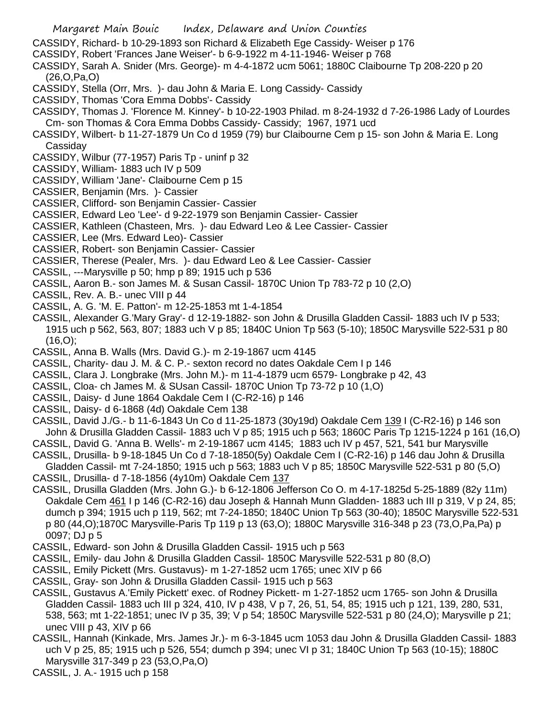CASSIDY, Richard- b 10-29-1893 son Richard & Elizabeth Ege Cassidy- Weiser p 176

- CASSIDY, Robert 'Frances Jane Weiser'- b 6-9-1922 m 4-11-1946- Weiser p 768
- CASSIDY, Sarah A. Snider (Mrs. George)- m 4-4-1872 ucm 5061; 1880C Claibourne Tp 208-220 p 20 (26,O,Pa,O)
- CASSIDY, Stella (Orr, Mrs. )- dau John & Maria E. Long Cassidy- Cassidy
- CASSIDY, Thomas 'Cora Emma Dobbs'- Cassidy
- CASSIDY, Thomas J. 'Florence M. Kinney'- b 10-22-1903 Philad. m 8-24-1932 d 7-26-1986 Lady of Lourdes Cm- son Thomas & Cora Emma Dobbs Cassidy- Cassidy; 1967, 1971 ucd
- CASSIDY, Wilbert- b 11-27-1879 Un Co d 1959 (79) bur Claibourne Cem p 15- son John & Maria E. Long Cassiday
- CASSIDY, Wilbur (77-1957) Paris Tp uninf p 32
- CASSIDY, William- 1883 uch IV p 509
- CASSIDY, William 'Jane'- Claibourne Cem p 15
- CASSIER, Benjamin (Mrs. )- Cassier
- CASSIER, Clifford- son Benjamin Cassier- Cassier
- CASSIER, Edward Leo 'Lee'- d 9-22-1979 son Benjamin Cassier- Cassier
- CASSIER, Kathleen (Chasteen, Mrs. )- dau Edward Leo & Lee Cassier- Cassier
- CASSIER, Lee (Mrs. Edward Leo)- Cassier
- CASSIER, Robert- son Benjamin Cassier- Cassier
- CASSIER, Therese (Pealer, Mrs. )- dau Edward Leo & Lee Cassier- Cassier
- CASSIL, ---Marysville p 50; hmp p 89; 1915 uch p 536
- CASSIL, Aaron B.- son James M. & Susan Cassil- 1870C Union Tp 783-72 p 10 (2,O)
- CASSIL, Rev. A. B.- unec VIII p 44
- CASSIL, A. G. 'M. E. Patton'- m 12-25-1853 mt 1-4-1854
- CASSIL, Alexander G.'Mary Gray'- d 12-19-1882- son John & Drusilla Gladden Cassil- 1883 uch IV p 533; 1915 uch p 562, 563, 807; 1883 uch V p 85; 1840C Union Tp 563 (5-10); 1850C Marysville 522-531 p 80  $(16, O);$
- CASSIL, Anna B. Walls (Mrs. David G.)- m 2-19-1867 ucm 4145
- CASSIL, Charity- dau J. M. & C. P.- sexton record no dates Oakdale Cem I p 146
- CASSIL, Clara J. Longbrake (Mrs. John M.)- m 11-4-1879 ucm 6579- Longbrake p 42, 43
- CASSIL, Cloa- ch James M. & SUsan Cassil- 1870C Union Tp 73-72 p 10 (1,O)
- CASSIL, Daisy- d June 1864 Oakdale Cem I (C-R2-16) p 146
- CASSIL, Daisy- d 6-1868 (4d) Oakdale Cem 138
- CASSIL, David J./G.- b 11-6-1843 Un Co d 11-25-1873 (30y19d) Oakdale Cem 139 I (C-R2-16) p 146 son John & Drusilla Gladden Cassil- 1883 uch V p 85; 1915 uch p 563; 1860C Paris Tp 1215-1224 p 161 (16,O)
- CASSIL, David G. 'Anna B. Wells'- m 2-19-1867 ucm 4145; 1883 uch IV p 457, 521, 541 bur Marysville
- CASSIL, Drusilla- b 9-18-1845 Un Co d 7-18-1850(5y) Oakdale Cem I (C-R2-16) p 146 dau John & Drusilla Gladden Cassil- mt 7-24-1850; 1915 uch p 563; 1883 uch V p 85; 1850C Marysville 522-531 p 80 (5,O)
- CASSIL, Drusilla- d 7-18-1856 (4y10m) Oakdale Cem 137
- CASSIL, Drusilla Gladden (Mrs. John G.)- b 6-12-1806 Jefferson Co O. m 4-17-1825d 5-25-1889 (82y 11m) Oakdale Cem 461 I p 146 (C-R2-16) dau Joseph & Hannah Munn Gladden- 1883 uch III p 319, V p 24, 85; dumch p 394; 1915 uch p 119, 562; mt 7-24-1850; 1840C Union Tp 563 (30-40); 1850C Marysville 522-531 p 80 (44,O);1870C Marysville-Paris Tp 119 p 13 (63,O); 1880C Marysville 316-348 p 23 (73,O,Pa,Pa) p 0097; DJ p 5
- CASSIL, Edward- son John & Drusilla Gladden Cassil- 1915 uch p 563
- CASSIL, Emily- dau John & Drusilla Gladden Cassil- 1850C Marysville 522-531 p 80 (8,O)
- CASSIL, Emily Pickett (Mrs. Gustavus)- m 1-27-1852 ucm 1765; unec XIV p 66
- CASSIL, Gray- son John & Drusilla Gladden Cassil- 1915 uch p 563
- CASSIL, Gustavus A.'Emily Pickett' exec. of Rodney Pickett- m 1-27-1852 ucm 1765- son John & Drusilla Gladden Cassil- 1883 uch III p 324, 410, IV p 438, V p 7, 26, 51, 54, 85; 1915 uch p 121, 139, 280, 531, 538, 563; mt 1-22-1851; unec IV p 35, 39; V p 54; 1850C Marysville 522-531 p 80 (24,O); Marysville p 21; unec VIII p 43, XIV p 66
- CASSIL, Hannah (Kinkade, Mrs. James Jr.)- m 6-3-1845 ucm 1053 dau John & Drusilla Gladden Cassil- 1883 uch V p 25, 85; 1915 uch p 526, 554; dumch p 394; unec VI p 31; 1840C Union Tp 563 (10-15); 1880C Marysville 317-349 p 23 (53,O,Pa,O)
- CASSIL, J. A.- 1915 uch p 158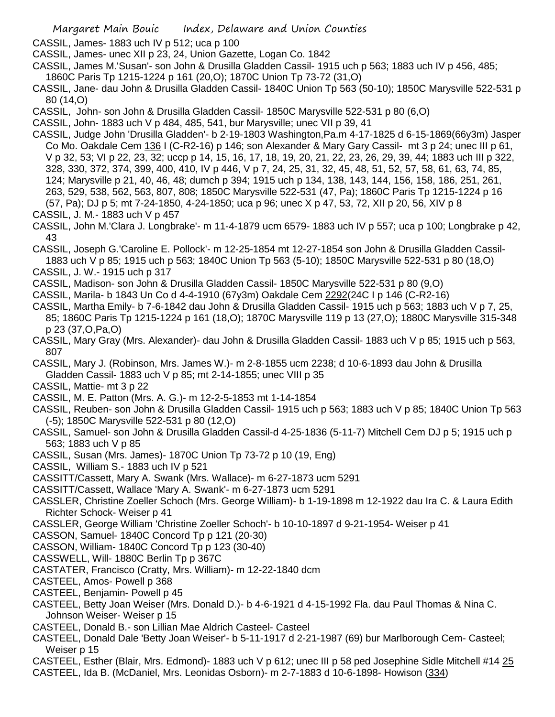CASSIL, James- 1883 uch IV p 512; uca p 100

- CASSIL, James- unec XII p 23, 24, Union Gazette, Logan Co. 1842
- CASSIL, James M.'Susan'- son John & Drusilla Gladden Cassil- 1915 uch p 563; 1883 uch IV p 456, 485; 1860C Paris Tp 1215-1224 p 161 (20,O); 1870C Union Tp 73-72 (31,O)
- CASSIL, Jane- dau John & Drusilla Gladden Cassil- 1840C Union Tp 563 (50-10); 1850C Marysville 522-531 p 80 (14,O)
- CASSIL, John- son John & Drusilla Gladden Cassil- 1850C Marysville 522-531 p 80 (6,O)
- CASSIL, John- 1883 uch V p 484, 485, 541, bur Marysville; unec VII p 39, 41
- CASSIL, Judge John 'Drusilla Gladden'- b 2-19-1803 Washington,Pa.m 4-17-1825 d 6-15-1869(66y3m) Jasper Co Mo. Oakdale Cem 136 I (C-R2-16) p 146; son Alexander & Mary Gary Cassil- mt 3 p 24; unec III p 61, V p 32, 53; VI p 22, 23, 32; uccp p 14, 15, 16, 17, 18, 19, 20, 21, 22, 23, 26, 29, 39, 44; 1883 uch III p 322, 328, 330, 372, 374, 399, 400, 410, IV p 446, V p 7, 24, 25, 31, 32, 45, 48, 51, 52, 57, 58, 61, 63, 74, 85, 124; Marysville p 21, 40, 46, 48; dumch p 394; 1915 uch p 134, 138, 143, 144, 156, 158, 186, 251, 261, 263, 529, 538, 562, 563, 807, 808; 1850C Marysville 522-531 (47, Pa); 1860C Paris Tp 1215-1224 p 16 (57, Pa); DJ p 5; mt 7-24-1850, 4-24-1850; uca p 96; unec X p 47, 53, 72, XII p 20, 56, XIV p 8
- CASSIL, J. M.- 1883 uch V p 457
- CASSIL, John M.'Clara J. Longbrake'- m 11-4-1879 ucm 6579- 1883 uch IV p 557; uca p 100; Longbrake p 42, 43
- CASSIL, Joseph G.'Caroline E. Pollock'- m 12-25-1854 mt 12-27-1854 son John & Drusilla Gladden Cassil-1883 uch V p 85; 1915 uch p 563; 1840C Union Tp 563 (5-10); 1850C Marysville 522-531 p 80 (18,O)
- CASSIL, J. W.- 1915 uch p 317
- CASSIL, Madison- son John & Drusilla Gladden Cassil- 1850C Marysville 522-531 p 80 (9,O)
- CASSIL, Marila- b 1843 Un Co d 4-4-1910 (67y3m) Oakdale Cem 2292(24C I p 146 (C-R2-16)
- CASSIL, Martha Emily- b 7-6-1842 dau John & Drusilla Gladden Cassil- 1915 uch p 563; 1883 uch V p 7, 25, 85; 1860C Paris Tp 1215-1224 p 161 (18,O); 1870C Marysville 119 p 13 (27,O); 1880C Marysville 315-348 p 23 (37,O,Pa,O)
- CASSIL, Mary Gray (Mrs. Alexander)- dau John & Drusilla Gladden Cassil- 1883 uch V p 85; 1915 uch p 563, 807
- CASSIL, Mary J. (Robinson, Mrs. James W.)- m 2-8-1855 ucm 2238; d 10-6-1893 dau John & Drusilla Gladden Cassil- 1883 uch V p 85; mt 2-14-1855; unec VIII p 35
- CASSIL, Mattie- mt 3 p 22
- CASSIL, M. E. Patton (Mrs. A. G.)- m 12-2-5-1853 mt 1-14-1854
- CASSIL, Reuben- son John & Drusilla Gladden Cassil- 1915 uch p 563; 1883 uch V p 85; 1840C Union Tp 563 (-5); 1850C Marysville 522-531 p 80 (12,O)
- CASSIL, Samuel- son John & Drusilla Gladden Cassil-d 4-25-1836 (5-11-7) Mitchell Cem DJ p 5; 1915 uch p 563; 1883 uch V p 85
- CASSIL, Susan (Mrs. James)- 1870C Union Tp 73-72 p 10 (19, Eng)
- CASSIL, William S.- 1883 uch IV p 521
- CASSITT/Cassett, Mary A. Swank (Mrs. Wallace)- m 6-27-1873 ucm 5291
- CASSITT/Cassett, Wallace 'Mary A. Swank'- m 6-27-1873 ucm 5291
- CASSLER, Christine Zoeller Schoch (Mrs. George William)- b 1-19-1898 m 12-1922 dau Ira C. & Laura Edith Richter Schock- Weiser p 41
- CASSLER, George William 'Christine Zoeller Schoch'- b 10-10-1897 d 9-21-1954- Weiser p 41
- CASSON, Samuel- 1840C Concord Tp p 121 (20-30)
- CASSON, William- 1840C Concord Tp p 123 (30-40)
- CASSWELL, Will- 1880C Berlin Tp p 367C
- CASTATER, Francisco (Cratty, Mrs. William)- m 12-22-1840 dcm
- CASTEEL, Amos- Powell p 368
- CASTEEL, Benjamin- Powell p 45
- CASTEEL, Betty Joan Weiser (Mrs. Donald D.)- b 4-6-1921 d 4-15-1992 Fla. dau Paul Thomas & Nina C. Johnson Weiser- Weiser p 15
- CASTEEL, Donald B.- son Lillian Mae Aldrich Casteel- Casteel
- CASTEEL, Donald Dale 'Betty Joan Weiser'- b 5-11-1917 d 2-21-1987 (69) bur Marlborough Cem- Casteel; Weiser p 15
- CASTEEL, Esther (Blair, Mrs. Edmond)- 1883 uch V p 612; unec III p 58 ped Josephine Sidle Mitchell #14 25 CASTEEL, Ida B. (McDaniel, Mrs. Leonidas Osborn)- m 2-7-1883 d 10-6-1898- Howison (334)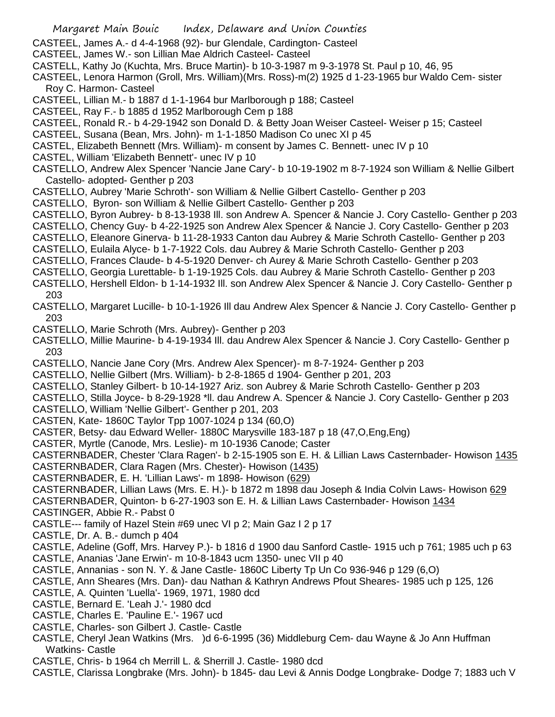- CASTEEL, James A.- d 4-4-1968 (92)- bur Glendale, Cardington- Casteel
- CASTEEL, James W.- son Lillian Mae Aldrich Casteel- Casteel
- CASTELL, Kathy Jo (Kuchta, Mrs. Bruce Martin)- b 10-3-1987 m 9-3-1978 St. Paul p 10, 46, 95
- CASTEEL, Lenora Harmon (Groll, Mrs. William)(Mrs. Ross)-m(2) 1925 d 1-23-1965 bur Waldo Cem- sister Roy C. Harmon- Casteel
- CASTEEL, Lillian M.- b 1887 d 1-1-1964 bur Marlborough p 188; Casteel
- CASTEEL, Ray F.- b 1885 d 1952 Marlborough Cem p 188
- CASTEEL, Ronald R.- b 4-29-1942 son Donald D. & Betty Joan Weiser Casteel- Weiser p 15; Casteel
- CASTEEL, Susana (Bean, Mrs. John)- m 1-1-1850 Madison Co unec XI p 45
- CASTEL, Elizabeth Bennett (Mrs. William)- m consent by James C. Bennett- unec IV p 10
- CASTEL, William 'Elizabeth Bennett'- unec IV p 10
- CASTELLO, Andrew Alex Spencer 'Nancie Jane Cary'- b 10-19-1902 m 8-7-1924 son William & Nellie Gilbert Castello- adopted- Genther p 203
- CASTELLO, Aubrey 'Marie Schroth'- son William & Nellie Gilbert Castello- Genther p 203
- CASTELLO, Byron- son William & Nellie Gilbert Castello- Genther p 203
- CASTELLO, Byron Aubrey- b 8-13-1938 Ill. son Andrew A. Spencer & Nancie J. Cory Castello- Genther p 203
- CASTELLO, Chency Guy- b 4-22-1925 son Andrew Alex Spencer & Nancie J. Cory Castello- Genther p 203
- CASTELLO, Eleanore Ginerva- b 11-28-1933 Canton dau Aubrey & Marie Schroth Castello- Genther p 203
- CASTELLO, Eulaila Alyce- b 1-7-1922 Cols. dau Aubrey & Marie Schroth Castello- Genther p 203
- CASTELLO, Frances Claude- b 4-5-1920 Denver- ch Aurey & Marie Schroth Castello- Genther p 203
- CASTELLO, Georgia Lurettable- b 1-19-1925 Cols. dau Aubrey & Marie Schroth Castello- Genther p 203
- CASTELLO, Hershell Eldon- b 1-14-1932 Ill. son Andrew Alex Spencer & Nancie J. Cory Castello- Genther p 203
- CASTELLO, Margaret Lucille- b 10-1-1926 Ill dau Andrew Alex Spencer & Nancie J. Cory Castello- Genther p 203
- CASTELLO, Marie Schroth (Mrs. Aubrey)- Genther p 203
- CASTELLO, Millie Maurine- b 4-19-1934 Ill. dau Andrew Alex Spencer & Nancie J. Cory Castello- Genther p 203
- CASTELLO, Nancie Jane Cory (Mrs. Andrew Alex Spencer)- m 8-7-1924- Genther p 203
- CASTELLO, Nellie Gilbert (Mrs. William)- b 2-8-1865 d 1904- Genther p 201, 203
- CASTELLO, Stanley Gilbert- b 10-14-1927 Ariz. son Aubrey & Marie Schroth Castello- Genther p 203
- CASTELLO, Stilla Joyce- b 8-29-1928 \*ll. dau Andrew A. Spencer & Nancie J. Cory Castello- Genther p 203
- CASTELLO, William 'Nellie Gilbert'- Genther p 201, 203
- CASTEN, Kate- 1860C Taylor Tpp 1007-1024 p 134 (60,O)
- CASTER, Betsy- dau Edward Weller- 1880C Marysville 183-187 p 18 (47,O,Eng,Eng)
- CASTER, Myrtle (Canode, Mrs. Leslie)- m 10-1936 Canode; Caster
- CASTERNBADER, Chester 'Clara Ragen'- b 2-15-1905 son E. H. & Lillian Laws Casternbader- Howison 1435
- CASTERNBADER, Clara Ragen (Mrs. Chester)- Howison (1435)
- CASTERNBADER, E. H. 'Lillian Laws'- m 1898- Howison (629)
- CASTERNBADER, Lillian Laws (Mrs. E. H.)- b 1872 m 1898 dau Joseph & India Colvin Laws- Howison 629
- CASTERNBADER, Quinton- b 6-27-1903 son E. H. & Lillian Laws Casternbader- Howison 1434 CASTINGER, Abbie R.- Pabst 0
- CASTLE--- family of Hazel Stein #69 unec VI p 2; Main Gaz I 2 p 17
- CASTLE, Dr. A. B.- dumch p 404
- CASTLE, Adeline (Goff, Mrs. Harvey P.)- b 1816 d 1900 dau Sanford Castle- 1915 uch p 761; 1985 uch p 63 CASTLE, Ananias 'Jane Erwin'- m 10-8-1843 ucm 1350- unec VII p 40
- CASTLE, Annanias son N. Y. & Jane Castle- 1860C Liberty Tp Un Co 936-946 p 129 (6,O)
- CASTLE, Ann Sheares (Mrs. Dan)- dau Nathan & Kathryn Andrews Pfout Sheares- 1985 uch p 125, 126
- CASTLE, A. Quinten 'Luella'- 1969, 1971, 1980 dcd
- CASTLE, Bernard E. 'Leah J.'- 1980 dcd
- CASTLE, Charles E. 'Pauline E.'- 1967 ucd
- CASTLE, Charles- son Gilbert J. Castle- Castle
- CASTLE, Cheryl Jean Watkins (Mrs. )d 6-6-1995 (36) Middleburg Cem- dau Wayne & Jo Ann Huffman Watkins- Castle
- CASTLE, Chris- b 1964 ch Merrill L. & Sherrill J. Castle- 1980 dcd
- CASTLE, Clarissa Longbrake (Mrs. John)- b 1845- dau Levi & Annis Dodge Longbrake- Dodge 7; 1883 uch V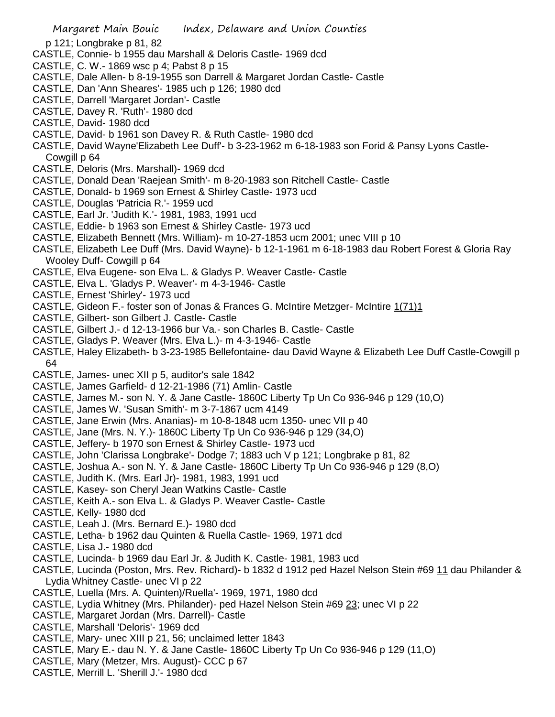- p 121; Longbrake p 81, 82
- CASTLE, Connie- b 1955 dau Marshall & Deloris Castle- 1969 dcd
- CASTLE, C. W.- 1869 wsc p 4; Pabst 8 p 15
- CASTLE, Dale Allen- b 8-19-1955 son Darrell & Margaret Jordan Castle- Castle
- CASTLE, Dan 'Ann Sheares'- 1985 uch p 126; 1980 dcd
- CASTLE, Darrell 'Margaret Jordan'- Castle
- CASTLE, Davey R. 'Ruth'- 1980 dcd
- CASTLE, David- 1980 dcd
- CASTLE, David- b 1961 son Davey R. & Ruth Castle- 1980 dcd
- CASTLE, David Wayne'Elizabeth Lee Duff'- b 3-23-1962 m 6-18-1983 son Forid & Pansy Lyons Castle-Cowgill p 64
- CASTLE, Deloris (Mrs. Marshall)- 1969 dcd
- CASTLE, Donald Dean 'Raejean Smith'- m 8-20-1983 son Ritchell Castle- Castle
- CASTLE, Donald- b 1969 son Ernest & Shirley Castle- 1973 ucd
- CASTLE, Douglas 'Patricia R.'- 1959 ucd
- CASTLE, Earl Jr. 'Judith K.'- 1981, 1983, 1991 ucd
- CASTLE, Eddie- b 1963 son Ernest & Shirley Castle- 1973 ucd
- CASTLE, Elizabeth Bennett (Mrs. William)- m 10-27-1853 ucm 2001; unec VIII p 10
- CASTLE, Elizabeth Lee Duff (Mrs. David Wayne)- b 12-1-1961 m 6-18-1983 dau Robert Forest & Gloria Ray Wooley Duff- Cowgill p 64
- CASTLE, Elva Eugene- son Elva L. & Gladys P. Weaver Castle- Castle
- CASTLE, Elva L. 'Gladys P. Weaver'- m 4-3-1946- Castle
- CASTLE, Ernest 'Shirley'- 1973 ucd
- CASTLE, Gideon F.- foster son of Jonas & Frances G. McIntire Metzger- McIntire 1(71)1
- CASTLE, Gilbert- son Gilbert J. Castle- Castle
- CASTLE, Gilbert J.- d 12-13-1966 bur Va.- son Charles B. Castle- Castle
- CASTLE, Gladys P. Weaver (Mrs. Elva L.)- m 4-3-1946- Castle
- CASTLE, Haley Elizabeth- b 3-23-1985 Bellefontaine- dau David Wayne & Elizabeth Lee Duff Castle-Cowgill p 64
- CASTLE, James- unec XII p 5, auditor's sale 1842
- CASTLE, James Garfield- d 12-21-1986 (71) Amlin- Castle
- CASTLE, James M.- son N. Y. & Jane Castle- 1860C Liberty Tp Un Co 936-946 p 129 (10,O)
- CASTLE, James W. 'Susan Smith'- m 3-7-1867 ucm 4149
- CASTLE, Jane Erwin (Mrs. Ananias)- m 10-8-1848 ucm 1350- unec VII p 40
- CASTLE, Jane (Mrs. N. Y.)- 1860C Liberty Tp Un Co 936-946 p 129 (34,O)
- CASTLE, Jeffery- b 1970 son Ernest & Shirley Castle- 1973 ucd
- CASTLE, John 'Clarissa Longbrake'- Dodge 7; 1883 uch V p 121; Longbrake p 81, 82
- CASTLE, Joshua A.- son N. Y. & Jane Castle- 1860C Liberty Tp Un Co 936-946 p 129 (8,O)
- CASTLE, Judith K. (Mrs. Earl Jr)- 1981, 1983, 1991 ucd
- CASTLE, Kasey- son Cheryl Jean Watkins Castle- Castle
- CASTLE, Keith A.- son Elva L. & Gladys P. Weaver Castle- Castle
- CASTLE, Kelly- 1980 dcd
- CASTLE, Leah J. (Mrs. Bernard E.)- 1980 dcd
- CASTLE, Letha- b 1962 dau Quinten & Ruella Castle- 1969, 1971 dcd
- CASTLE, Lisa J.- 1980 dcd
- CASTLE, Lucinda- b 1969 dau Earl Jr. & Judith K. Castle- 1981, 1983 ucd
- CASTLE, Lucinda (Poston, Mrs. Rev. Richard)- b 1832 d 1912 ped Hazel Nelson Stein #69 11 dau Philander & Lydia Whitney Castle- unec VI p 22
- CASTLE, Luella (Mrs. A. Quinten)/Ruella'- 1969, 1971, 1980 dcd
- CASTLE, Lydia Whitney (Mrs. Philander)- ped Hazel Nelson Stein #69 23; unec VI p 22
- CASTLE, Margaret Jordan (Mrs. Darrell)- Castle
- CASTLE, Marshall 'Deloris'- 1969 dcd
- CASTLE, Mary- unec XIII p 21, 56; unclaimed letter 1843
- CASTLE, Mary E.- dau N. Y. & Jane Castle- 1860C Liberty Tp Un Co 936-946 p 129 (11,O)
- CASTLE, Mary (Metzer, Mrs. August)- CCC p 67
- CASTLE, Merrill L. 'Sherill J.'- 1980 dcd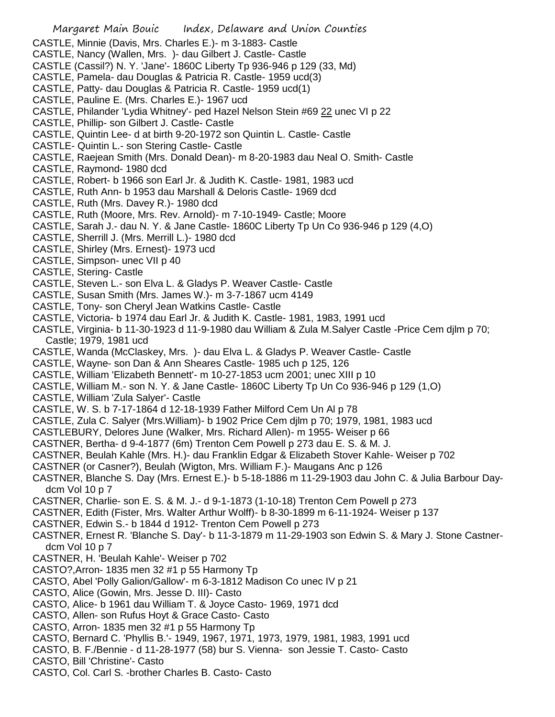- CASTLE, Minnie (Davis, Mrs. Charles E.)- m 3-1883- Castle
- CASTLE, Nancy (Wallen, Mrs. )- dau Gilbert J. Castle- Castle
- CASTLE (Cassil?) N. Y. 'Jane'- 1860C Liberty Tp 936-946 p 129 (33, Md)
- CASTLE, Pamela- dau Douglas & Patricia R. Castle- 1959 ucd(3)
- CASTLE, Patty- dau Douglas & Patricia R. Castle- 1959 ucd(1)
- CASTLE, Pauline E. (Mrs. Charles E.)- 1967 ucd
- CASTLE, Philander 'Lydia Whitney'- ped Hazel Nelson Stein #69 22 unec VI p 22
- CASTLE, Phillip- son Gilbert J. Castle- Castle
- CASTLE, Quintin Lee- d at birth 9-20-1972 son Quintin L. Castle- Castle
- CASTLE- Quintin L.- son Stering Castle- Castle
- CASTLE, Raejean Smith (Mrs. Donald Dean)- m 8-20-1983 dau Neal O. Smith- Castle
- CASTLE, Raymond- 1980 dcd
- CASTLE, Robert- b 1966 son Earl Jr. & Judith K. Castle- 1981, 1983 ucd
- CASTLE, Ruth Ann- b 1953 dau Marshall & Deloris Castle- 1969 dcd
- CASTLE, Ruth (Mrs. Davey R.)- 1980 dcd
- CASTLE, Ruth (Moore, Mrs. Rev. Arnold)- m 7-10-1949- Castle; Moore
- CASTLE, Sarah J.- dau N. Y. & Jane Castle- 1860C Liberty Tp Un Co 936-946 p 129 (4,O)
- CASTLE, Sherrill J. (Mrs. Merrill L.)- 1980 dcd
- CASTLE, Shirley (Mrs. Ernest)- 1973 ucd
- CASTLE, Simpson- unec VII p 40
- CASTLE, Stering- Castle
- CASTLE, Steven L.- son Elva L. & Gladys P. Weaver Castle- Castle
- CASTLE, Susan Smith (Mrs. James W.)- m 3-7-1867 ucm 4149
- CASTLE, Tony- son Cheryl Jean Watkins Castle- Castle
- CASTLE, Victoria- b 1974 dau Earl Jr. & Judith K. Castle- 1981, 1983, 1991 ucd
- CASTLE, Virginia- b 11-30-1923 d 11-9-1980 dau William & Zula M.Salyer Castle -Price Cem djlm p 70; Castle; 1979, 1981 ucd
- CASTLE, Wanda (McClaskey, Mrs. )- dau Elva L. & Gladys P. Weaver Castle- Castle
- CASTLE, Wayne- son Dan & Ann Sheares Castle- 1985 uch p 125, 126
- CASTLE, William 'Elizabeth Bennett'- m 10-27-1853 ucm 2001; unec XIII p 10
- CASTLE, William M.- son N. Y. & Jane Castle- 1860C Liberty Tp Un Co 936-946 p 129 (1,O)
- CASTLE, William 'Zula Salyer'- Castle
- CASTLE, W. S. b 7-17-1864 d 12-18-1939 Father Milford Cem Un Al p 78
- CASTLE, Zula C. Salyer (Mrs.William)- b 1902 Price Cem djlm p 70; 1979, 1981, 1983 ucd
- CASTLEBURY, Delores June (Walker, Mrs. Richard Allen)- m 1955- Weiser p 66
- CASTNER, Bertha- d 9-4-1877 (6m) Trenton Cem Powell p 273 dau E. S. & M. J.
- CASTNER, Beulah Kahle (Mrs. H.)- dau Franklin Edgar & Elizabeth Stover Kahle- Weiser p 702
- CASTNER (or Casner?), Beulah (Wigton, Mrs. William F.)- Maugans Anc p 126
- CASTNER, Blanche S. Day (Mrs. Ernest E.)- b 5-18-1886 m 11-29-1903 dau John C. & Julia Barbour Daydcm Vol 10 p 7
- CASTNER, Charlie- son E. S. & M. J.- d 9-1-1873 (1-10-18) Trenton Cem Powell p 273
- CASTNER, Edith (Fister, Mrs. Walter Arthur Wolff)- b 8-30-1899 m 6-11-1924- Weiser p 137
- CASTNER, Edwin S.- b 1844 d 1912- Trenton Cem Powell p 273
- CASTNER, Ernest R. 'Blanche S. Day'- b 11-3-1879 m 11-29-1903 son Edwin S. & Mary J. Stone Castnerdcm Vol 10 p 7
- CASTNER, H. 'Beulah Kahle'- Weiser p 702
- CASTO?,Arron- 1835 men 32 #1 p 55 Harmony Tp
- CASTO, Abel 'Polly Galion/Gallow'- m 6-3-1812 Madison Co unec IV p 21
- CASTO, Alice (Gowin, Mrs. Jesse D. III)- Casto
- CASTO, Alice- b 1961 dau William T. & Joyce Casto- 1969, 1971 dcd
- CASTO, Allen- son Rufus Hoyt & Grace Casto- Casto
- CASTO, Arron- 1835 men 32 #1 p 55 Harmony Tp
- CASTO, Bernard C. 'Phyllis B.'- 1949, 1967, 1971, 1973, 1979, 1981, 1983, 1991 ucd
- CASTO, B. F./Bennie d 11-28-1977 (58) bur S. Vienna- son Jessie T. Casto- Casto
- CASTO, Bill 'Christine'- Casto
- CASTO, Col. Carl S. -brother Charles B. Casto- Casto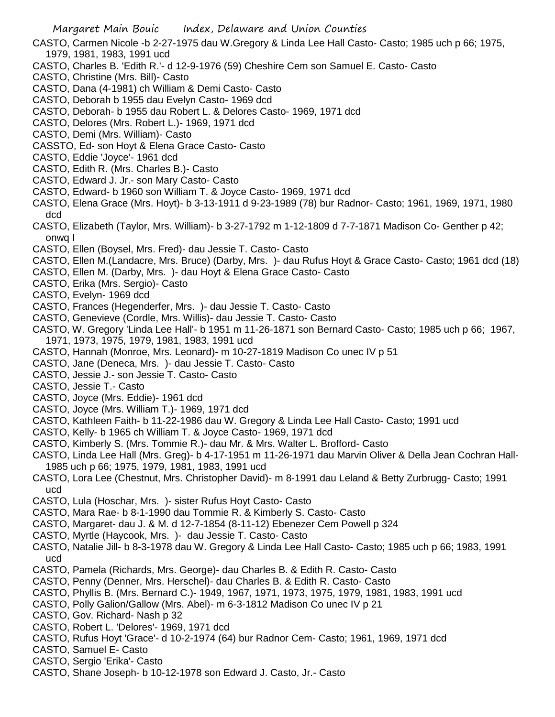- CASTO, Carmen Nicole -b 2-27-1975 dau W.Gregory & Linda Lee Hall Casto- Casto; 1985 uch p 66; 1975, 1979, 1981, 1983, 1991 ucd
- CASTO, Charles B. 'Edith R.'- d 12-9-1976 (59) Cheshire Cem son Samuel E. Casto- Casto
- CASTO, Christine (Mrs. Bill)- Casto
- CASTO, Dana (4-1981) ch William & Demi Casto- Casto
- CASTO, Deborah b 1955 dau Evelyn Casto- 1969 dcd
- CASTO, Deborah- b 1955 dau Robert L. & Delores Casto- 1969, 1971 dcd
- CASTO, Delores (Mrs. Robert L.)- 1969, 1971 dcd
- CASTO, Demi (Mrs. William)- Casto
- CASSTO, Ed- son Hoyt & Elena Grace Casto- Casto
- CASTO, Eddie 'Joyce'- 1961 dcd
- CASTO, Edith R. (Mrs. Charles B.)- Casto
- CASTO, Edward J. Jr.- son Mary Casto- Casto
- CASTO, Edward- b 1960 son William T. & Joyce Casto- 1969, 1971 dcd
- CASTO, Elena Grace (Mrs. Hoyt)- b 3-13-1911 d 9-23-1989 (78) bur Radnor- Casto; 1961, 1969, 1971, 1980 dcd
- CASTO, Elizabeth (Taylor, Mrs. William)- b 3-27-1792 m 1-12-1809 d 7-7-1871 Madison Co- Genther p 42; onwq I
- CASTO, Ellen (Boysel, Mrs. Fred)- dau Jessie T. Casto- Casto
- CASTO, Ellen M.(Landacre, Mrs. Bruce) (Darby, Mrs. )- dau Rufus Hoyt & Grace Casto- Casto; 1961 dcd (18)
- CASTO, Ellen M. (Darby, Mrs. )- dau Hoyt & Elena Grace Casto- Casto
- CASTO, Erika (Mrs. Sergio)- Casto
- CASTO, Evelyn- 1969 dcd
- CASTO, Frances (Hegenderfer, Mrs. )- dau Jessie T. Casto- Casto
- CASTO, Genevieve (Cordle, Mrs. Willis)- dau Jessie T. Casto- Casto
- CASTO, W. Gregory 'Linda Lee Hall'- b 1951 m 11-26-1871 son Bernard Casto- Casto; 1985 uch p 66; 1967, 1971, 1973, 1975, 1979, 1981, 1983, 1991 ucd
- CASTO, Hannah (Monroe, Mrs. Leonard)- m 10-27-1819 Madison Co unec IV p 51
- CASTO, Jane (Deneca, Mrs. )- dau Jessie T. Casto- Casto
- CASTO, Jessie J.- son Jessie T. Casto- Casto
- CASTO, Jessie T.- Casto
- CASTO, Joyce (Mrs. Eddie)- 1961 dcd
- CASTO, Joyce (Mrs. William T.)- 1969, 1971 dcd
- CASTO, Kathleen Faith- b 11-22-1986 dau W. Gregory & Linda Lee Hall Casto- Casto; 1991 ucd
- CASTO, Kelly- b 1965 ch William T. & Joyce Casto- 1969, 1971 dcd
- CASTO, Kimberly S. (Mrs. Tommie R.)- dau Mr. & Mrs. Walter L. Brofford- Casto
- CASTO, Linda Lee Hall (Mrs. Greg)- b 4-17-1951 m 11-26-1971 dau Marvin Oliver & Della Jean Cochran Hall-1985 uch p 66; 1975, 1979, 1981, 1983, 1991 ucd
- CASTO, Lora Lee (Chestnut, Mrs. Christopher David)- m 8-1991 dau Leland & Betty Zurbrugg- Casto; 1991 ucd
- CASTO, Lula (Hoschar, Mrs. )- sister Rufus Hoyt Casto- Casto
- CASTO, Mara Rae- b 8-1-1990 dau Tommie R. & Kimberly S. Casto- Casto
- CASTO, Margaret- dau J. & M. d 12-7-1854 (8-11-12) Ebenezer Cem Powell p 324
- CASTO, Myrtle (Haycook, Mrs. )- dau Jessie T. Casto- Casto
- CASTO, Natalie Jill- b 8-3-1978 dau W. Gregory & Linda Lee Hall Casto- Casto; 1985 uch p 66; 1983, 1991 ucd
- CASTO, Pamela (Richards, Mrs. George)- dau Charles B. & Edith R. Casto- Casto
- CASTO, Penny (Denner, Mrs. Herschel)- dau Charles B. & Edith R. Casto- Casto
- CASTO, Phyllis B. (Mrs. Bernard C.)- 1949, 1967, 1971, 1973, 1975, 1979, 1981, 1983, 1991 ucd
- CASTO, Polly Galion/Gallow (Mrs. Abel)- m 6-3-1812 Madison Co unec IV p 21
- CASTO, Gov. Richard- Nash p 32
- CASTO, Robert L. 'Delores'- 1969, 1971 dcd
- CASTO, Rufus Hoyt 'Grace'- d 10-2-1974 (64) bur Radnor Cem- Casto; 1961, 1969, 1971 dcd
- CASTO, Samuel E- Casto
- CASTO, Sergio 'Erika'- Casto
- CASTO, Shane Joseph- b 10-12-1978 son Edward J. Casto, Jr.- Casto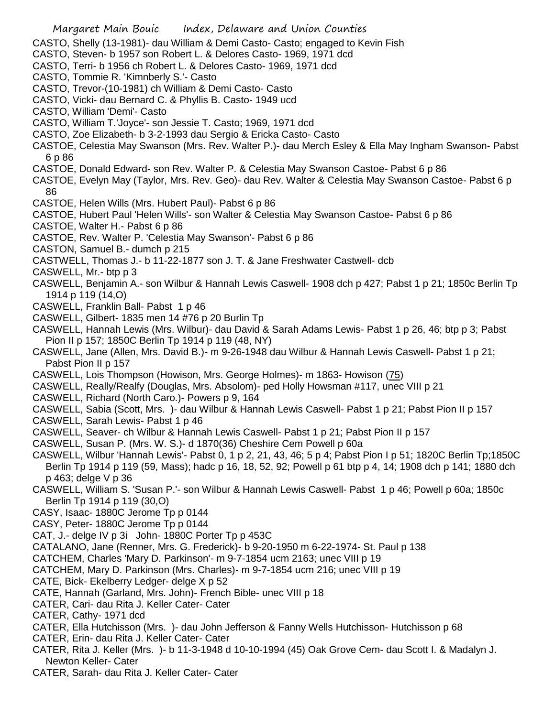- Margaret Main Bouic Index, Delaware and Union Counties
- CASTO, Shelly (13-1981)- dau William & Demi Casto- Casto; engaged to Kevin Fish
- CASTO, Steven- b 1957 son Robert L. & Delores Casto- 1969, 1971 dcd
- CASTO, Terri- b 1956 ch Robert L. & Delores Casto- 1969, 1971 dcd
- CASTO, Tommie R. 'Kimnberly S.'- Casto
- CASTO, Trevor-(10-1981) ch William & Demi Casto- Casto
- CASTO, Vicki- dau Bernard C. & Phyllis B. Casto- 1949 ucd
- CASTO, William 'Demi'- Casto
- CASTO, William T.'Joyce'- son Jessie T. Casto; 1969, 1971 dcd
- CASTO, Zoe Elizabeth- b 3-2-1993 dau Sergio & Ericka Casto- Casto
- CASTOE, Celestia May Swanson (Mrs. Rev. Walter P.)- dau Merch Esley & Ella May Ingham Swanson- Pabst 6 p 86
- CASTOE, Donald Edward- son Rev. Walter P. & Celestia May Swanson Castoe- Pabst 6 p 86
- CASTOE, Evelyn May (Taylor, Mrs. Rev. Geo)- dau Rev. Walter & Celestia May Swanson Castoe- Pabst 6 p 86
- CASTOE, Helen Wills (Mrs. Hubert Paul)- Pabst 6 p 86
- CASTOE, Hubert Paul 'Helen Wills'- son Walter & Celestia May Swanson Castoe- Pabst 6 p 86
- CASTOE, Walter H.- Pabst 6 p 86
- CASTOE, Rev. Walter P. 'Celestia May Swanson'- Pabst 6 p 86
- CASTON, Samuel B.- dumch p 215
- CASTWELL, Thomas J.- b 11-22-1877 son J. T. & Jane Freshwater Castwell- dcb
- CASWELL, Mr.- btp p 3
- CASWELL, Benjamin A.- son Wilbur & Hannah Lewis Caswell- 1908 dch p 427; Pabst 1 p 21; 1850c Berlin Tp 1914 p 119 (14,O)
- CASWELL, Franklin Ball- Pabst 1 p 46
- CASWELL, Gilbert- 1835 men 14 #76 p 20 Burlin Tp
- CASWELL, Hannah Lewis (Mrs. Wilbur)- dau David & Sarah Adams Lewis- Pabst 1 p 26, 46; btp p 3; Pabst Pion II p 157; 1850C Berlin Tp 1914 p 119 (48, NY)
- CASWELL, Jane (Allen, Mrs. David B.)- m 9-26-1948 dau Wilbur & Hannah Lewis Caswell- Pabst 1 p 21; Pabst Pion II p 157
- CASWELL, Lois Thompson (Howison, Mrs. George Holmes)- m 1863- Howison (75)
- CASWELL, Really/Realfy (Douglas, Mrs. Absolom)- ped Holly Howsman #117, unec VIII p 21
- CASWELL, Richard (North Caro.)- Powers p 9, 164
- CASWELL, Sabia (Scott, Mrs. )- dau Wilbur & Hannah Lewis Caswell- Pabst 1 p 21; Pabst Pion II p 157
- CASWELL, Sarah Lewis- Pabst 1 p 46
- CASWELL, Seaver- ch Wilbur & Hannah Lewis Caswell- Pabst 1 p 21; Pabst Pion II p 157
- CASWELL, Susan P. (Mrs. W. S.)- d 1870(36) Cheshire Cem Powell p 60a
- CASWELL, Wilbur 'Hannah Lewis'- Pabst 0, 1 p 2, 21, 43, 46; 5 p 4; Pabst Pion I p 51; 1820C Berlin Tp;1850C Berlin Tp 1914 p 119 (59, Mass); hadc p 16, 18, 52, 92; Powell p 61 btp p 4, 14; 1908 dch p 141; 1880 dch p 463; delge V p 36
- CASWELL, William S. 'Susan P.'- son Wilbur & Hannah Lewis Caswell- Pabst 1 p 46; Powell p 60a; 1850c Berlin Tp 1914 p 119 (30,O)
- CASY, Isaac- 1880C Jerome Tp p 0144
- CASY, Peter- 1880C Jerome Tp p 0144
- CAT, J.- delge IV p 3i John- 1880C Porter Tp p 453C
- CATALANO, Jane (Renner, Mrs. G. Frederick)- b 9-20-1950 m 6-22-1974- St. Paul p 138
- CATCHEM, Charles 'Mary D. Parkinson'- m 9-7-1854 ucm 2163; unec VIII p 19
- CATCHEM, Mary D. Parkinson (Mrs. Charles)- m 9-7-1854 ucm 216; unec VIII p 19
- CATE, Bick- Ekelberry Ledger- delge X p 52
- CATE, Hannah (Garland, Mrs. John)- French Bible- unec VIII p 18
- CATER, Cari- dau Rita J. Keller Cater- Cater
- CATER, Cathy- 1971 dcd
- CATER, Ella Hutchisson (Mrs. )- dau John Jefferson & Fanny Wells Hutchisson- Hutchisson p 68
- CATER, Erin- dau Rita J. Keller Cater- Cater
- CATER, Rita J. Keller (Mrs. )- b 11-3-1948 d 10-10-1994 (45) Oak Grove Cem- dau Scott I. & Madalyn J. Newton Keller- Cater
- CATER, Sarah- dau Rita J. Keller Cater- Cater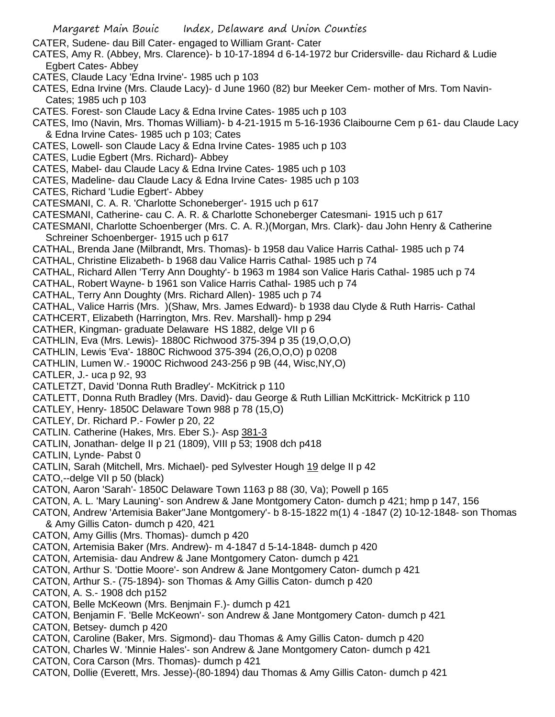Margaret Main Bouic Index, Delaware and Union Counties CATER, Sudene- dau Bill Cater- engaged to William Grant- Cater CATES, Amy R. (Abbey, Mrs. Clarence)- b 10-17-1894 d 6-14-1972 bur Cridersville- dau Richard & Ludie Egbert Cates- Abbey CATES, Claude Lacy 'Edna Irvine'- 1985 uch p 103 CATES, Edna Irvine (Mrs. Claude Lacy)- d June 1960 (82) bur Meeker Cem- mother of Mrs. Tom Navin-Cates; 1985 uch p 103 CATES. Forest- son Claude Lacy & Edna Irvine Cates- 1985 uch p 103 CATES, Imo (Navin, Mrs. Thomas William)- b 4-21-1915 m 5-16-1936 Claibourne Cem p 61- dau Claude Lacy & Edna Irvine Cates- 1985 uch p 103; Cates CATES, Lowell- son Claude Lacy & Edna Irvine Cates- 1985 uch p 103 CATES, Ludie Egbert (Mrs. Richard)- Abbey CATES, Mabel- dau Claude Lacy & Edna Irvine Cates- 1985 uch p 103 CATES, Madeline- dau Claude Lacy & Edna Irvine Cates- 1985 uch p 103 CATES, Richard 'Ludie Egbert'- Abbey CATESMANI, C. A. R. 'Charlotte Schoneberger'- 1915 uch p 617 CATESMANI, Catherine- cau C. A. R. & Charlotte Schoneberger Catesmani- 1915 uch p 617 CATESMANI, Charlotte Schoenberger (Mrs. C. A. R.)(Morgan, Mrs. Clark)- dau John Henry & Catherine Schreiner Schoenberger- 1915 uch p 617 CATHAL, Brenda Jane (Milbrandt, Mrs. Thomas)- b 1958 dau Valice Harris Cathal- 1985 uch p 74 CATHAL, Christine Elizabeth- b 1968 dau Valice Harris Cathal- 1985 uch p 74 CATHAL, Richard Allen 'Terry Ann Doughty'- b 1963 m 1984 son Valice Haris Cathal- 1985 uch p 74 CATHAL, Robert Wayne- b 1961 son Valice Harris Cathal- 1985 uch p 74 CATHAL, Terry Ann Doughty (Mrs. Richard Allen)- 1985 uch p 74 CATHAL, Valice Harris (Mrs. )(Shaw, Mrs. James Edward)- b 1938 dau Clyde & Ruth Harris- Cathal CATHCERT, Elizabeth (Harrington, Mrs. Rev. Marshall)- hmp p 294 CATHER, Kingman- graduate Delaware HS 1882, delge VII p 6 CATHLIN, Eva (Mrs. Lewis)- 1880C Richwood 375-394 p 35 (19,O,O,O) CATHLIN, Lewis 'Eva'- 1880C Richwood 375-394 (26,O,O,O) p 0208 CATHLIN, Lumen W.- 1900C Richwood 243-256 p 9B (44, Wisc,NY,O) CATLER, J.- uca p 92, 93 CATLETZT, David 'Donna Ruth Bradley'- McKitrick p 110 CATLETT, Donna Ruth Bradley (Mrs. David)- dau George & Ruth Lillian McKittrick- McKitrick p 110 CATLEY, Henry- 1850C Delaware Town 988 p 78 (15,O) CATLEY, Dr. Richard P.- Fowler p 20, 22 CATLIN. Catherine (Hakes, Mrs. Eber S.)- Asp 381-3 CATLIN, Jonathan- delge II p 21 (1809), VIII p 53; 1908 dch p418 CATLIN, Lynde- Pabst 0 CATLIN, Sarah (Mitchell, Mrs. Michael)- ped Sylvester Hough 19 delge II p 42 CATO,--delge VII p 50 (black) CATON, Aaron 'Sarah'- 1850C Delaware Town 1163 p 88 (30, Va); Powell p 165 CATON, A. L. 'Mary Launing'- son Andrew & Jane Montgomery Caton- dumch p 421; hmp p 147, 156 CATON, Andrew 'Artemisia Baker''Jane Montgomery'- b 8-15-1822 m(1) 4 -1847 (2) 10-12-1848- son Thomas & Amy Gillis Caton- dumch p 420, 421 CATON, Amy Gillis (Mrs. Thomas)- dumch p 420 CATON, Artemisia Baker (Mrs. Andrew)- m 4-1847 d 5-14-1848- dumch p 420 CATON, Artemisia- dau Andrew & Jane Montgomery Caton- dumch p 421 CATON, Arthur S. 'Dottie Moore'- son Andrew & Jane Montgomery Caton- dumch p 421 CATON, Arthur S.- (75-1894)- son Thomas & Amy Gillis Caton- dumch p 420 CATON, A. S.- 1908 dch p152 CATON, Belle McKeown (Mrs. Benjmain F.)- dumch p 421 CATON, Benjamin F. 'Belle McKeown'- son Andrew & Jane Montgomery Caton- dumch p 421 CATON, Betsey- dumch p 420 CATON, Caroline (Baker, Mrs. Sigmond)- dau Thomas & Amy Gillis Caton- dumch p 420 CATON, Charles W. 'Minnie Hales'- son Andrew & Jane Montgomery Caton- dumch p 421 CATON, Cora Carson (Mrs. Thomas)- dumch p 421 CATON, Dollie (Everett, Mrs. Jesse)-(80-1894) dau Thomas & Amy Gillis Caton- dumch p 421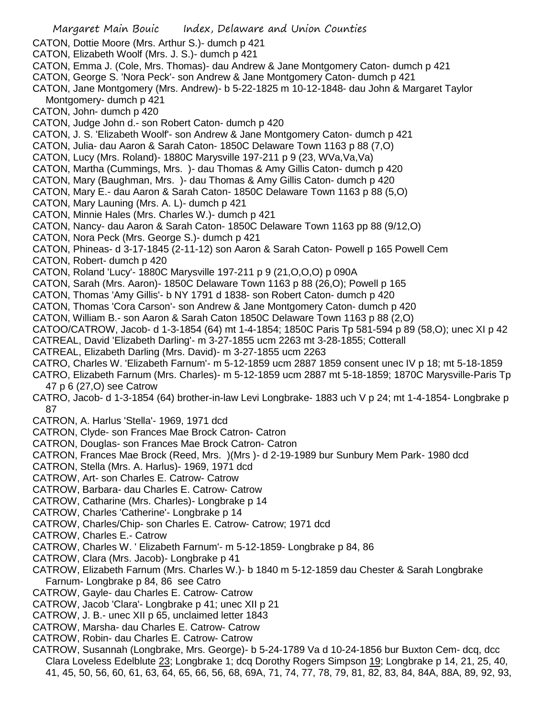Margaret Main Bouic Index, Delaware and Union Counties CATON, Dottie Moore (Mrs. Arthur S.)- dumch p 421 CATON, Elizabeth Woolf (Mrs. J. S.)- dumch p 421 CATON, Emma J. (Cole, Mrs. Thomas)- dau Andrew & Jane Montgomery Caton- dumch p 421 CATON, George S. 'Nora Peck'- son Andrew & Jane Montgomery Caton- dumch p 421 CATON, Jane Montgomery (Mrs. Andrew)- b 5-22-1825 m 10-12-1848- dau John & Margaret Taylor Montgomery- dumch p 421 CATON, John- dumch p 420 CATON, Judge John d.- son Robert Caton- dumch p 420 CATON, J. S. 'Elizabeth Woolf'- son Andrew & Jane Montgomery Caton- dumch p 421 CATON, Julia- dau Aaron & Sarah Caton- 1850C Delaware Town 1163 p 88 (7,O) CATON, Lucy (Mrs. Roland)- 1880C Marysville 197-211 p 9 (23, WVa,Va,Va) CATON, Martha (Cummings, Mrs. )- dau Thomas & Amy Gillis Caton- dumch p 420 CATON, Mary (Baughman, Mrs. )- dau Thomas & Amy Gillis Caton- dumch p 420 CATON, Mary E.- dau Aaron & Sarah Caton- 1850C Delaware Town 1163 p 88 (5,O) CATON, Mary Launing (Mrs. A. L)- dumch p 421 CATON, Minnie Hales (Mrs. Charles W.)- dumch p 421 CATON, Nancy- dau Aaron & Sarah Caton- 1850C Delaware Town 1163 pp 88 (9/12,O) CATON, Nora Peck (Mrs. George S.)- dumch p 421 CATON, Phineas- d 3-17-1845 (2-11-12) son Aaron & Sarah Caton- Powell p 165 Powell Cem CATON, Robert- dumch p 420 CATON, Roland 'Lucy'- 1880C Marysville 197-211 p 9 (21,O,O,O) p 090A CATON, Sarah (Mrs. Aaron)- 1850C Delaware Town 1163 p 88 (26,O); Powell p 165 CATON, Thomas 'Amy Gillis'- b NY 1791 d 1838- son Robert Caton- dumch p 420 CATON, Thomas 'Cora Carson'- son Andrew & Jane Montgomery Caton- dumch p 420 CATON, William B.- son Aaron & Sarah Caton 1850C Delaware Town 1163 p 88 (2,O) CATOO/CATROW, Jacob- d 1-3-1854 (64) mt 1-4-1854; 1850C Paris Tp 581-594 p 89 (58,O); unec XI p 42 CATREAL, David 'Elizabeth Darling'- m 3-27-1855 ucm 2263 mt 3-28-1855; Cotterall CATREAL, Elizabeth Darling (Mrs. David)- m 3-27-1855 ucm 2263 CATRO, Charles W. 'Elizabeth Farnum'- m 5-12-1859 ucm 2887 1859 consent unec IV p 18; mt 5-18-1859 CATRO, Elizabeth Farnum (Mrs. Charles)- m 5-12-1859 ucm 2887 mt 5-18-1859; 1870C Marysville-Paris Tp 47 p 6 (27,O) see Catrow CATRO, Jacob- d 1-3-1854 (64) brother-in-law Levi Longbrake- 1883 uch V p 24; mt 1-4-1854- Longbrake p 87 CATRON, A. Harlus 'Stella'- 1969, 1971 dcd CATRON, Clyde- son Frances Mae Brock Catron- Catron CATRON, Douglas- son Frances Mae Brock Catron- Catron CATRON, Frances Mae Brock (Reed, Mrs. )(Mrs )- d 2-19-1989 bur Sunbury Mem Park- 1980 dcd CATRON, Stella (Mrs. A. Harlus)- 1969, 1971 dcd CATROW, Art- son Charles E. Catrow- Catrow CATROW, Barbara- dau Charles E. Catrow- Catrow CATROW, Catharine (Mrs. Charles)- Longbrake p 14 CATROW, Charles 'Catherine'- Longbrake p 14 CATROW, Charles/Chip- son Charles E. Catrow- Catrow; 1971 dcd CATROW, Charles E.- Catrow CATROW, Charles W. ' Elizabeth Farnum'- m 5-12-1859- Longbrake p 84, 86 CATROW, Clara (Mrs. Jacob)- Longbrake p 41 CATROW, Elizabeth Farnum (Mrs. Charles W.)- b 1840 m 5-12-1859 dau Chester & Sarah Longbrake Farnum- Longbrake p 84, 86 see Catro CATROW, Gayle- dau Charles E. Catrow- Catrow CATROW, Jacob 'Clara'- Longbrake p 41; unec XII p 21 CATROW, J. B.- unec XII p 65, unclaimed letter 1843 CATROW, Marsha- dau Charles E. Catrow- Catrow CATROW, Robin- dau Charles E. Catrow- Catrow CATROW, Susannah (Longbrake, Mrs. George)- b 5-24-1789 Va d 10-24-1856 bur Buxton Cem- dcq, dcc Clara Loveless Edelblute 23; Longbrake 1; dcq Dorothy Rogers Simpson 19; Longbrake p 14, 21, 25, 40, 41, 45, 50, 56, 60, 61, 63, 64, 65, 66, 56, 68, 69A, 71, 74, 77, 78, 79, 81, 82, 83, 84, 84A, 88A, 89, 92, 93,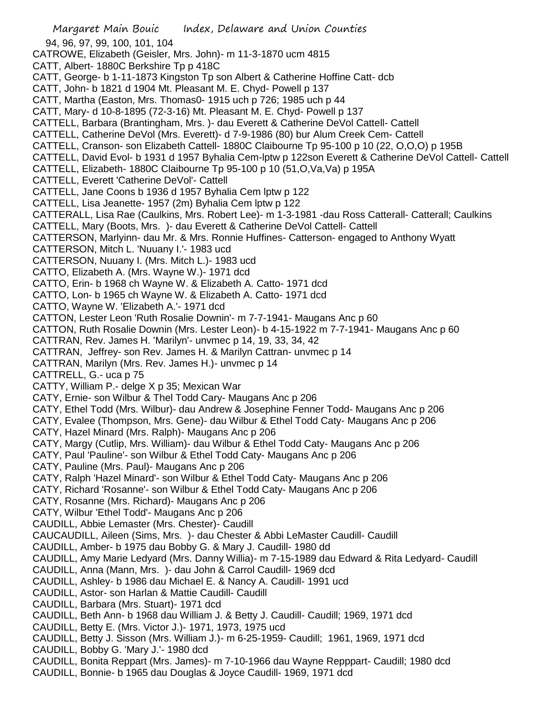Margaret Main Bouic Index, Delaware and Union Counties 94, 96, 97, 99, 100, 101, 104 CATROWE, Elizabeth (Geisler, Mrs. John)- m 11-3-1870 ucm 4815 CATT, Albert- 1880C Berkshire Tp p 418C CATT, George- b 1-11-1873 Kingston Tp son Albert & Catherine Hoffine Catt- dcb CATT, John- b 1821 d 1904 Mt. Pleasant M. E. Chyd- Powell p 137 CATT, Martha (Easton, Mrs. Thomas0- 1915 uch p 726; 1985 uch p 44 CATT, Mary- d 10-8-1895 (72-3-16) Mt. Pleasant M. E. Chyd- Powell p 137 CATTELL, Barbara (Brantingham, Mrs. )- dau Everett & Catherine DeVol Cattell- Cattell CATTELL, Catherine DeVol (Mrs. Everett)- d 7-9-1986 (80) bur Alum Creek Cem- Cattell CATTELL, Cranson- son Elizabeth Cattell- 1880C Claibourne Tp 95-100 p 10 (22, O,O,O) p 195B CATTELL, David Evol- b 1931 d 1957 Byhalia Cem-lptw p 122son Everett & Catherine DeVol Cattell- Cattell CATTELL, Elizabeth- 1880C Claibourne Tp 95-100 p 10 (51,O,Va,Va) p 195A CATTELL, Everett 'Catherine DeVol'- Cattell CATTELL, Jane Coons b 1936 d 1957 Byhalia Cem lptw p 122 CATTELL, Lisa Jeanette- 1957 (2m) Byhalia Cem lptw p 122 CATTERALL, Lisa Rae (Caulkins, Mrs. Robert Lee)- m 1-3-1981 -dau Ross Catterall- Catterall; Caulkins CATTELL, Mary (Boots, Mrs. )- dau Everett & Catherine DeVol Cattell- Cattell CATTERSON, Marlyinn- dau Mr. & Mrs. Ronnie Huffines- Catterson- engaged to Anthony Wyatt CATTERSON, Mitch L. 'Nuuany I.'- 1983 ucd CATTERSON, Nuuany I. (Mrs. Mitch L.)- 1983 ucd CATTO, Elizabeth A. (Mrs. Wayne W.)- 1971 dcd CATTO, Erin- b 1968 ch Wayne W. & Elizabeth A. Catto- 1971 dcd CATTO, Lon- b 1965 ch Wayne W. & Elizabeth A. Catto- 1971 dcd CATTO, Wayne W. 'Elizabeth A.'- 1971 dcd CATTON, Lester Leon 'Ruth Rosalie Downin'- m 7-7-1941- Maugans Anc p 60 CATTON, Ruth Rosalie Downin (Mrs. Lester Leon)- b 4-15-1922 m 7-7-1941- Maugans Anc p 60 CATTRAN, Rev. James H. 'Marilyn'- unvmec p 14, 19, 33, 34, 42 CATTRAN, Jeffrey- son Rev. James H. & Marilyn Cattran- unvmec p 14 CATTRAN, Marilyn (Mrs. Rev. James H.)- unvmec p 14 CATTRELL, G.- uca p 75 CATTY, William P.- delge X p 35; Mexican War CATY, Ernie- son Wilbur & Thel Todd Cary- Maugans Anc p 206 CATY, Ethel Todd (Mrs. Wilbur)- dau Andrew & Josephine Fenner Todd- Maugans Anc p 206 CATY, Evalee (Thompson, Mrs. Gene)- dau Wilbur & Ethel Todd Caty- Maugans Anc p 206 CATY, Hazel Minard (Mrs. Ralph)- Maugans Anc p 206 CATY, Margy (Cutlip, Mrs. William)- dau Wilbur & Ethel Todd Caty- Maugans Anc p 206 CATY, Paul 'Pauline'- son Wilbur & Ethel Todd Caty- Maugans Anc p 206 CATY, Pauline (Mrs. Paul)- Maugans Anc p 206 CATY, Ralph 'Hazel Minard'- son Wilbur & Ethel Todd Caty- Maugans Anc p 206 CATY, Richard 'Rosanne'- son Wilbur & Ethel Todd Caty- Maugans Anc p 206 CATY, Rosanne (Mrs. Richard)- Maugans Anc p 206 CATY, Wilbur 'Ethel Todd'- Maugans Anc p 206 CAUDILL, Abbie Lemaster (Mrs. Chester)- Caudill CAUCAUDILL, Aileen (Sims, Mrs. )- dau Chester & Abbi LeMaster Caudill- Caudill CAUDILL, Amber- b 1975 dau Bobby G. & Mary J. Caudill- 1980 dd CAUDILL, Amy Marie Ledyard (Mrs. Danny Willia)- m 7-15-1989 dau Edward & Rita Ledyard- Caudill CAUDILL, Anna (Mann, Mrs. )- dau John & Carrol Caudill- 1969 dcd CAUDILL, Ashley- b 1986 dau Michael E. & Nancy A. Caudill- 1991 ucd CAUDILL, Astor- son Harlan & Mattie Caudill- Caudill CAUDILL, Barbara (Mrs. Stuart)- 1971 dcd CAUDILL, Beth Ann- b 1968 dau William J. & Betty J. Caudill- Caudill; 1969, 1971 dcd CAUDILL, Betty E. (Mrs. Victor J.)- 1971, 1973, 1975 ucd CAUDILL, Betty J. Sisson (Mrs. William J.)- m 6-25-1959- Caudill; 1961, 1969, 1971 dcd CAUDILL, Bobby G. 'Mary J.'- 1980 dcd CAUDILL, Bonita Reppart (Mrs. James)- m 7-10-1966 dau Wayne Repppart- Caudill; 1980 dcd CAUDILL, Bonnie- b 1965 dau Douglas & Joyce Caudill- 1969, 1971 dcd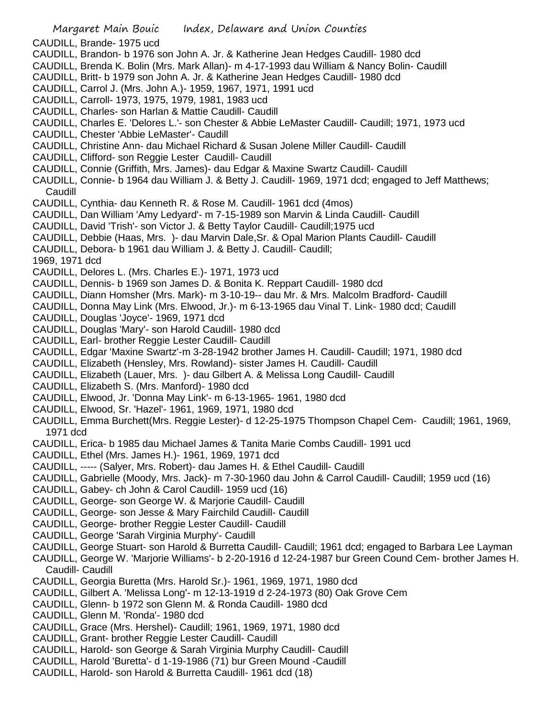Margaret Main Bouic Index, Delaware and Union Counties CAUDILL, Brande- 1975 ucd CAUDILL, Brandon- b 1976 son John A. Jr. & Katherine Jean Hedges Caudill- 1980 dcd CAUDILL, Brenda K. Bolin (Mrs. Mark Allan)- m 4-17-1993 dau William & Nancy Bolin- Caudill CAUDILL, Britt- b 1979 son John A. Jr. & Katherine Jean Hedges Caudill- 1980 dcd CAUDILL, Carrol J. (Mrs. John A.)- 1959, 1967, 1971, 1991 ucd CAUDILL, Carroll- 1973, 1975, 1979, 1981, 1983 ucd CAUDILL, Charles- son Harlan & Mattie Caudill- Caudill CAUDILL, Charles E. 'Delores L.'- son Chester & Abbie LeMaster Caudill- Caudill; 1971, 1973 ucd CAUDILL, Chester 'Abbie LeMaster'- Caudill CAUDILL, Christine Ann- dau Michael Richard & Susan Jolene Miller Caudill- Caudill CAUDILL, Clifford- son Reggie Lester Caudill- Caudill CAUDILL, Connie (Griffith, Mrs. James)- dau Edgar & Maxine Swartz Caudill- Caudill CAUDILL, Connie- b 1964 dau William J. & Betty J. Caudill- 1969, 1971 dcd; engaged to Jeff Matthews; Caudill CAUDILL, Cynthia- dau Kenneth R. & Rose M. Caudill- 1961 dcd (4mos) CAUDILL, Dan William 'Amy Ledyard'- m 7-15-1989 son Marvin & Linda Caudill- Caudill CAUDILL, David 'Trish'- son Victor J. & Betty Taylor Caudill- Caudill;1975 ucd CAUDILL, Debbie (Haas, Mrs. )- dau Marvin Dale,Sr. & Opal Marion Plants Caudill- Caudill CAUDILL, Debora- b 1961 dau William J. & Betty J. Caudill- Caudill; 1969, 1971 dcd CAUDILL, Delores L. (Mrs. Charles E.)- 1971, 1973 ucd CAUDILL, Dennis- b 1969 son James D. & Bonita K. Reppart Caudill- 1980 dcd CAUDILL, Diann Homsher (Mrs. Mark)- m 3-10-19-- dau Mr. & Mrs. Malcolm Bradford- Caudill CAUDILL, Donna May Link (Mrs. Elwood, Jr.)- m 6-13-1965 dau Vinal T. Link- 1980 dcd; Caudill CAUDILL, Douglas 'Joyce'- 1969, 1971 dcd CAUDILL, Douglas 'Mary'- son Harold Caudill- 1980 dcd CAUDILL, Earl- brother Reggie Lester Caudill- Caudill CAUDILL, Edgar 'Maxine Swartz'-m 3-28-1942 brother James H. Caudill- Caudill; 1971, 1980 dcd CAUDILL, Elizabeth (Hensley, Mrs. Rowland)- sister James H. Caudill- Caudill CAUDILL, Elizabeth (Lauer, Mrs. )- dau Gilbert A. & Melissa Long Caudill- Caudill CAUDILL, Elizabeth S. (Mrs. Manford)- 1980 dcd CAUDILL, Elwood, Jr. 'Donna May Link'- m 6-13-1965- 1961, 1980 dcd CAUDILL, Elwood, Sr. 'Hazel'- 1961, 1969, 1971, 1980 dcd CAUDILL, Emma Burchett(Mrs. Reggie Lester)- d 12-25-1975 Thompson Chapel Cem- Caudill; 1961, 1969, 1971 dcd CAUDILL, Erica- b 1985 dau Michael James & Tanita Marie Combs Caudill- 1991 ucd CAUDILL, Ethel (Mrs. James H.)- 1961, 1969, 1971 dcd CAUDILL, ----- (Salyer, Mrs. Robert)- dau James H. & Ethel Caudill- Caudill CAUDILL, Gabrielle (Moody, Mrs. Jack)- m 7-30-1960 dau John & Carrol Caudill- Caudill; 1959 ucd (16) CAUDILL, Gabey- ch John & Carol Caudill- 1959 ucd (16) CAUDILL, George- son George W. & Marjorie Caudill- Caudill CAUDILL, George- son Jesse & Mary Fairchild Caudill- Caudill CAUDILL, George- brother Reggie Lester Caudill- Caudill CAUDILL, George 'Sarah Virginia Murphy'- Caudill CAUDILL, George Stuart- son Harold & Burretta Caudill- Caudill; 1961 dcd; engaged to Barbara Lee Layman CAUDILL, George W. 'Marjorie Williams'- b 2-20-1916 d 12-24-1987 bur Green Cound Cem- brother James H. Caudill- Caudill CAUDILL, Georgia Buretta (Mrs. Harold Sr.)- 1961, 1969, 1971, 1980 dcd

- CAUDILL, Gilbert A. 'Melissa Long'- m 12-13-1919 d 2-24-1973 (80) Oak Grove Cem
- CAUDILL, Glenn- b 1972 son Glenn M. & Ronda Caudill- 1980 dcd
- CAUDILL, Glenn M. 'Ronda'- 1980 dcd
- CAUDILL, Grace (Mrs. Hershel)- Caudill; 1961, 1969, 1971, 1980 dcd
- CAUDILL, Grant- brother Reggie Lester Caudill- Caudill
- CAUDILL, Harold- son George & Sarah Virginia Murphy Caudill- Caudill
- CAUDILL, Harold 'Buretta'- d 1-19-1986 (71) bur Green Mound -Caudill
- CAUDILL, Harold- son Harold & Burretta Caudill- 1961 dcd (18)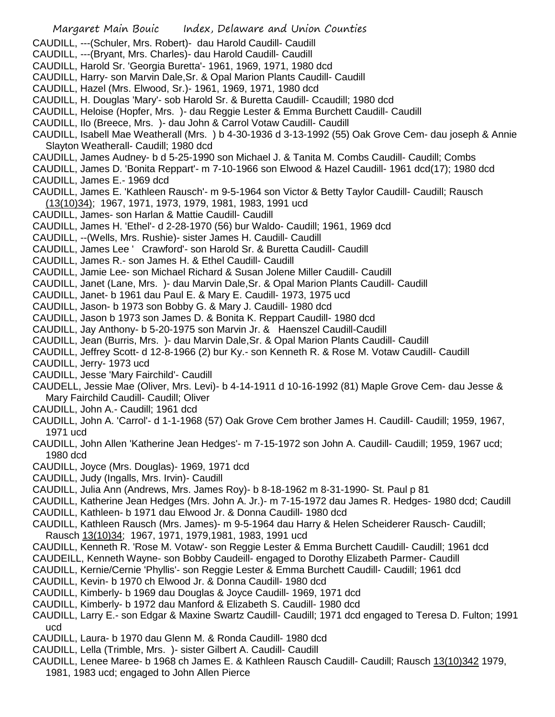- Margaret Main Bouic Index, Delaware and Union Counties CAUDILL, ---(Schuler, Mrs. Robert)- dau Harold Caudill- Caudill CAUDILL, ---(Bryant, Mrs. Charles)- dau Harold Caudill- Caudill CAUDILL, Harold Sr. 'Georgia Buretta'- 1961, 1969, 1971, 1980 dcd CAUDILL, Harry- son Marvin Dale,Sr. & Opal Marion Plants Caudill- Caudill CAUDILL, Hazel (Mrs. Elwood, Sr.)- 1961, 1969, 1971, 1980 dcd CAUDILL, H. Douglas 'Mary'- sob Harold Sr. & Buretta Caudill- Ccaudill; 1980 dcd CAUDILL, Heloise (Hopfer, Mrs. )- dau Reggie Lester & Emma Burchett Caudill- Caudill CAUDILL, Ilo (Breece, Mrs. )- dau John & Carrol Votaw Caudill- Caudill CAUDILL, Isabell Mae Weatherall (Mrs. ) b 4-30-1936 d 3-13-1992 (55) Oak Grove Cem- dau joseph & Annie Slayton Weatherall- Caudill; 1980 dcd CAUDILL, James Audney- b d 5-25-1990 son Michael J. & Tanita M. Combs Caudill- Caudill; Combs CAUDILL, James D. 'Bonita Reppart'- m 7-10-1966 son Elwood & Hazel Caudill- 1961 dcd(17); 1980 dcd CAUDILL, James E.- 1969 dcd CAUDILL, James E. 'Kathleen Rausch'- m 9-5-1964 son Victor & Betty Taylor Caudill- Caudill; Rausch (13(10)34); 1967, 1971, 1973, 1979, 1981, 1983, 1991 ucd CAUDILL, James- son Harlan & Mattie Caudill- Caudill CAUDILL, James H. 'Ethel'- d 2-28-1970 (56) bur Waldo- Caudill; 1961, 1969 dcd CAUDILL, --(Wells, Mrs. Rushie)- sister James H. Caudill- Caudill CAUDILL, James Lee ' Crawford'- son Harold Sr. & Buretta Caudill- Caudill CAUDILL, James R.- son James H. & Ethel Caudill- Caudill CAUDILL, Jamie Lee- son Michael Richard & Susan Jolene Miller Caudill- Caudill CAUDILL, Janet (Lane, Mrs. )- dau Marvin Dale,Sr. & Opal Marion Plants Caudill- Caudill CAUDILL, Janet- b 1961 dau Paul E. & Mary E. Caudill- 1973, 1975 ucd CAUDILL, Jason- b 1973 son Bobby G. & Mary J. Caudill- 1980 dcd CAUDILL, Jason b 1973 son James D. & Bonita K. Reppart Caudill- 1980 dcd CAUDILL, Jay Anthony- b 5-20-1975 son Marvin Jr. & Haenszel Caudill-Caudill CAUDILL, Jean (Burris, Mrs. )- dau Marvin Dale,Sr. & Opal Marion Plants Caudill- Caudill CAUDILL, Jeffrey Scott- d 12-8-1966 (2) bur Ky.- son Kenneth R. & Rose M. Votaw Caudill- Caudill
- CAUDILL, Jerry- 1973 ucd
- CAUDILL, Jesse 'Mary Fairchild'- Caudill
- CAUDELL, Jessie Mae (Oliver, Mrs. Levi)- b 4-14-1911 d 10-16-1992 (81) Maple Grove Cem- dau Jesse & Mary Fairchild Caudill- Caudill; Oliver
- CAUDILL, John A.- Caudill; 1961 dcd
- CAUDILL, John A. 'Carrol'- d 1-1-1968 (57) Oak Grove Cem brother James H. Caudill- Caudill; 1959, 1967, 1971 ucd
- CAUDILL, John Allen 'Katherine Jean Hedges'- m 7-15-1972 son John A. Caudill- Caudill; 1959, 1967 ucd; 1980 dcd
- CAUDILL, Joyce (Mrs. Douglas)- 1969, 1971 dcd
- CAUDILL, Judy (Ingalls, Mrs. Irvin)- Caudill
- CAUDILL, Julia Ann (Andrews, Mrs. James Roy)- b 8-18-1962 m 8-31-1990- St. Paul p 81
- CAUDILL, Katherine Jean Hedges (Mrs. John A. Jr.)- m 7-15-1972 dau James R. Hedges- 1980 dcd; Caudill
- CAUDILL, Kathleen- b 1971 dau Elwood Jr. & Donna Caudill- 1980 dcd
- CAUDILL, Kathleen Rausch (Mrs. James)- m 9-5-1964 dau Harry & Helen Scheiderer Rausch- Caudill; Rausch 13(10)34; 1967, 1971, 1979,1981, 1983, 1991 ucd
- CAUDILL, Kenneth R. 'Rose M. Votaw'- son Reggie Lester & Emma Burchett Caudill- Caudill; 1961 dcd
- CAUDEILL, Kenneth Wayne- son Bobby Caudeill- engaged to Dorothy Elizabeth Parmer- Caudill
- CAUDILL, Kernie/Cernie 'Phyllis'- son Reggie Lester & Emma Burchett Caudill- Caudill; 1961 dcd
- CAUDILL, Kevin- b 1970 ch Elwood Jr. & Donna Caudill- 1980 dcd
- CAUDILL, Kimberly- b 1969 dau Douglas & Joyce Caudill- 1969, 1971 dcd
- CAUDILL, Kimberly- b 1972 dau Manford & Elizabeth S. Caudill- 1980 dcd
- CAUDILL, Larry E.- son Edgar & Maxine Swartz Caudill- Caudill; 1971 dcd engaged to Teresa D. Fulton; 1991 ucd
- CAUDILL, Laura- b 1970 dau Glenn M. & Ronda Caudill- 1980 dcd
- CAUDILL, Lella (Trimble, Mrs. )- sister Gilbert A. Caudill- Caudill
- CAUDILL, Lenee Maree- b 1968 ch James E. & Kathleen Rausch Caudill- Caudill; Rausch 13(10)342 1979, 1981, 1983 ucd; engaged to John Allen Pierce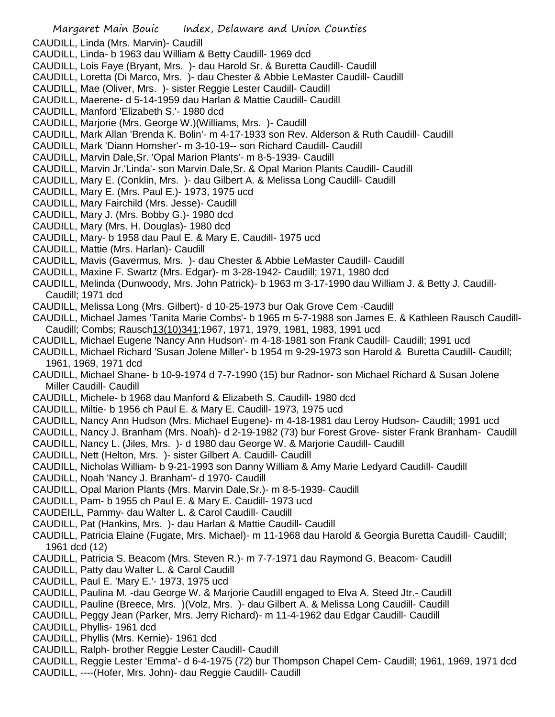- CAUDILL, Linda (Mrs. Marvin)- Caudill
- CAUDILL, Linda- b 1963 dau William & Betty Caudill- 1969 dcd
- CAUDILL, Lois Faye (Bryant, Mrs. )- dau Harold Sr. & Buretta Caudill- Caudill
- CAUDILL, Loretta (Di Marco, Mrs. )- dau Chester & Abbie LeMaster Caudill- Caudill
- CAUDILL, Mae (Oliver, Mrs. )- sister Reggie Lester Caudill- Caudill
- CAUDILL, Maerene- d 5-14-1959 dau Harlan & Mattie Caudill- Caudill
- CAUDILL, Manford 'Elizabeth S.'- 1980 dcd
- CAUDILL, Marjorie (Mrs. George W.)(Williams, Mrs. )- Caudill
- CAUDILL, Mark Allan 'Brenda K. Bolin'- m 4-17-1933 son Rev. Alderson & Ruth Caudill- Caudill
- CAUDILL, Mark 'Diann Homsher'- m 3-10-19-- son Richard Caudill- Caudill
- CAUDILL, Marvin Dale,Sr. 'Opal Marion Plants'- m 8-5-1939- Caudill
- CAUDILL, Marvin Jr.'Linda'- son Marvin Dale,Sr. & Opal Marion Plants Caudill- Caudill
- CAUDILL, Mary E. (Conklin, Mrs. )- dau Gilbert A. & Melissa Long Caudill- Caudill
- CAUDILL, Mary E. (Mrs. Paul E.)- 1973, 1975 ucd
- CAUDILL, Mary Fairchild (Mrs. Jesse)- Caudill
- CAUDILL, Mary J. (Mrs. Bobby G.)- 1980 dcd
- CAUDILL, Mary (Mrs. H. Douglas)- 1980 dcd
- CAUDILL, Mary- b 1958 dau Paul E. & Mary E. Caudill- 1975 ucd
- CAUDILL, Mattie (Mrs. Harlan)- Caudill
- CAUDILL, Mavis (Gavermus, Mrs. )- dau Chester & Abbie LeMaster Caudill- Caudill
- CAUDILL, Maxine F. Swartz (Mrs. Edgar)- m 3-28-1942- Caudill; 1971, 1980 dcd
- CAUDILL, Melinda (Dunwoody, Mrs. John Patrick)- b 1963 m 3-17-1990 dau William J. & Betty J. Caudill-Caudill; 1971 dcd
- CAUDILL, Melissa Long (Mrs. Gilbert)- d 10-25-1973 bur Oak Grove Cem -Caudill
- CAUDILL, Michael James 'Tanita Marie Combs'- b 1965 m 5-7-1988 son James E. & Kathleen Rausch Caudill-Caudill; Combs; Rausch13(10)341;1967, 1971, 1979, 1981, 1983, 1991 ucd
- CAUDILL, Michael Eugene 'Nancy Ann Hudson'- m 4-18-1981 son Frank Caudill- Caudill; 1991 ucd
- CAUDILL, Michael Richard 'Susan Jolene Miller'- b 1954 m 9-29-1973 son Harold & Buretta Caudill- Caudill; 1961, 1969, 1971 dcd
- CAUDILL, Michael Shane- b 10-9-1974 d 7-7-1990 (15) bur Radnor- son Michael Richard & Susan Jolene Miller Caudill- Caudill
- CAUDILL, Michele- b 1968 dau Manford & Elizabeth S. Caudill- 1980 dcd
- CAUDILL, Miltie- b 1956 ch Paul E. & Mary E. Caudill- 1973, 1975 ucd
- CAUDILL, Nancy Ann Hudson (Mrs. Michael Eugene)- m 4-18-1981 dau Leroy Hudson- Caudill; 1991 ucd
- CAUDILL, Nancy J. Branham (Mrs. Noah)- d 2-19-1982 (73) bur Forest Grove- sister Frank Branham- Caudill
- CAUDILL, Nancy L. (Jiles, Mrs. )- d 1980 dau George W. & Marjorie Caudill- Caudill
- CAUDILL, Nett (Helton, Mrs. )- sister Gilbert A. Caudill- Caudill
- CAUDILL, Nicholas William- b 9-21-1993 son Danny William & Amy Marie Ledyard Caudill- Caudill
- CAUDILL, Noah 'Nancy J. Branham'- d 1970- Caudill
- CAUDILL, Opal Marion Plants (Mrs. Marvin Dale,Sr.)- m 8-5-1939- Caudill
- CAUDILL, Pam- b 1955 ch Paul E. & Mary E. Caudill- 1973 ucd
- CAUDEILL, Pammy- dau Walter L. & Carol Caudill- Caudill
- CAUDILL, Pat (Hankins, Mrs. )- dau Harlan & Mattie Caudill- Caudill
- CAUDILL, Patricia Elaine (Fugate, Mrs. Michael)- m 11-1968 dau Harold & Georgia Buretta Caudill- Caudill; 1961 dcd (12)
- CAUDILL, Patricia S. Beacom (Mrs. Steven R.)- m 7-7-1971 dau Raymond G. Beacom- Caudill
- CAUDILL, Patty dau Walter L. & Carol Caudill
- CAUDILL, Paul E. 'Mary E.'- 1973, 1975 ucd
- CAUDILL, Paulina M. -dau George W. & Marjorie Caudill engaged to Elva A. Steed Jtr.- Caudill
- CAUDILL, Pauline (Breece, Mrs. )(Volz, Mrs. )- dau Gilbert A. & Melissa Long Caudill- Caudill
- CAUDILL, Peggy Jean (Parker, Mrs. Jerry Richard)- m 11-4-1962 dau Edgar Caudill- Caudill
- CAUDILL, Phyllis- 1961 dcd
- CAUDILL, Phyllis (Mrs. Kernie)- 1961 dcd
- CAUDILL, Ralph- brother Reggie Lester Caudill- Caudill
- CAUDILL, Reggie Lester 'Emma'- d 6-4-1975 (72) bur Thompson Chapel Cem- Caudill; 1961, 1969, 1971 dcd
- CAUDILL, ----(Hofer, Mrs. John)- dau Reggie Caudill- Caudill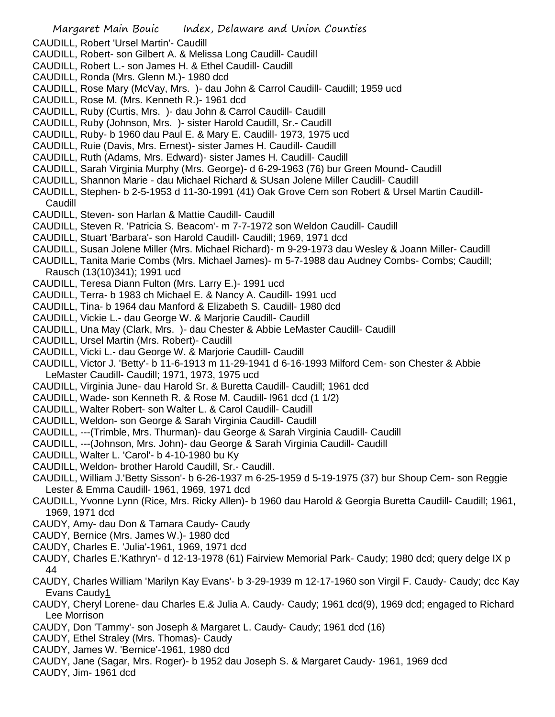- CAUDILL, Robert 'Ursel Martin'- Caudill
- CAUDILL, Robert- son Gilbert A. & Melissa Long Caudill- Caudill
- CAUDILL, Robert L.- son James H. & Ethel Caudill- Caudill
- CAUDILL, Ronda (Mrs. Glenn M.)- 1980 dcd
- CAUDILL, Rose Mary (McVay, Mrs. )- dau John & Carrol Caudill- Caudill; 1959 ucd
- CAUDILL, Rose M. (Mrs. Kenneth R.)- 1961 dcd
- CAUDILL, Ruby (Curtis, Mrs. )- dau John & Carrol Caudill- Caudill
- CAUDILL, Ruby (Johnson, Mrs. )- sister Harold Caudill, Sr.- Caudill
- CAUDILL, Ruby- b 1960 dau Paul E. & Mary E. Caudill- 1973, 1975 ucd
- CAUDILL, Ruie (Davis, Mrs. Ernest)- sister James H. Caudill- Caudill
- CAUDILL, Ruth (Adams, Mrs. Edward)- sister James H. Caudill- Caudill
- CAUDILL, Sarah Virginia Murphy (Mrs. George)- d 6-29-1963 (76) bur Green Mound- Caudill
- CAUDILL, Shannon Marie dau Michael Richard & SUsan Jolene Miller Caudill- Caudill
- CAUDILL, Stephen- b 2-5-1953 d 11-30-1991 (41) Oak Grove Cem son Robert & Ursel Martin Caudill-Caudill
- CAUDILL, Steven- son Harlan & Mattie Caudill- Caudill
- CAUDILL, Steven R. 'Patricia S. Beacom'- m 7-7-1972 son Weldon Caudill- Caudill
- CAUDILL, Stuart 'Barbara'- son Harold Caudill- Caudill; 1969, 1971 dcd
- CAUDILL, Susan Jolene Miller (Mrs. Michael Richard)- m 9-29-1973 dau Wesley & Joann Miller- Caudill
- CAUDILL, Tanita Marie Combs (Mrs. Michael James)- m 5-7-1988 dau Audney Combs- Combs; Caudill; Rausch (13(10)341); 1991 ucd
- CAUDILL, Teresa Diann Fulton (Mrs. Larry E.)- 1991 ucd
- CAUDILL, Terra- b 1983 ch Michael E. & Nancy A. Caudill- 1991 ucd
- CAUDILL, Tina- b 1964 dau Manford & Elizabeth S. Caudill- 1980 dcd
- CAUDILL, Vickie L.- dau George W. & Marjorie Caudill- Caudill
- CAUDILL, Una May (Clark, Mrs. )- dau Chester & Abbie LeMaster Caudill- Caudill
- CAUDILL, Ursel Martin (Mrs. Robert)- Caudill
- CAUDILL, Vicki L.- dau George W. & Marjorie Caudill- Caudill
- CAUDILL, Victor J. 'Betty'- b 11-6-1913 m 11-29-1941 d 6-16-1993 Milford Cem- son Chester & Abbie LeMaster Caudill- Caudill; 1971, 1973, 1975 ucd
- CAUDILL, Virginia June- dau Harold Sr. & Buretta Caudill- Caudill; 1961 dcd
- CAUDILL, Wade- son Kenneth R. & Rose M. Caudill- l961 dcd (1 1/2)
- CAUDILL, Walter Robert- son Walter L. & Carol Caudill- Caudill
- CAUDILL, Weldon- son George & Sarah Virginia Caudill- Caudill
- CAUDILL, ---(Trimble, Mrs. Thurman)- dau George & Sarah Virginia Caudill- Caudill
- CAUDILL, ---(Johnson, Mrs. John)- dau George & Sarah Virginia Caudill- Caudill
- CAUDILL, Walter L. 'Carol'- b 4-10-1980 bu Ky
- CAUDILL, Weldon- brother Harold Caudill, Sr.- Caudill.
- CAUDILL, William J.'Betty Sisson'- b 6-26-1937 m 6-25-1959 d 5-19-1975 (37) bur Shoup Cem- son Reggie Lester & Emma Caudill- 1961, 1969, 1971 dcd
- CAUDILL, Yvonne Lynn (Rice, Mrs. Ricky Allen)- b 1960 dau Harold & Georgia Buretta Caudill- Caudill; 1961, 1969, 1971 dcd
- CAUDY, Amy- dau Don & Tamara Caudy- Caudy
- CAUDY, Bernice (Mrs. James W.)- 1980 dcd
- CAUDY, Charles E. 'Julia'-1961, 1969, 1971 dcd
- CAUDY, Charles E.'Kathryn'- d 12-13-1978 (61) Fairview Memorial Park- Caudy; 1980 dcd; query delge IX p 44
- CAUDY, Charles William 'Marilyn Kay Evans'- b 3-29-1939 m 12-17-1960 son Virgil F. Caudy- Caudy; dcc Kay Evans Caudy1
- CAUDY, Cheryl Lorene- dau Charles E.& Julia A. Caudy- Caudy; 1961 dcd(9), 1969 dcd; engaged to Richard Lee Morrison
- CAUDY, Don 'Tammy'- son Joseph & Margaret L. Caudy- Caudy; 1961 dcd (16)
- CAUDY, Ethel Straley (Mrs. Thomas)- Caudy
- CAUDY, James W. 'Bernice'-1961, 1980 dcd
- CAUDY, Jane (Sagar, Mrs. Roger)- b 1952 dau Joseph S. & Margaret Caudy- 1961, 1969 dcd
- CAUDY, Jim- 1961 dcd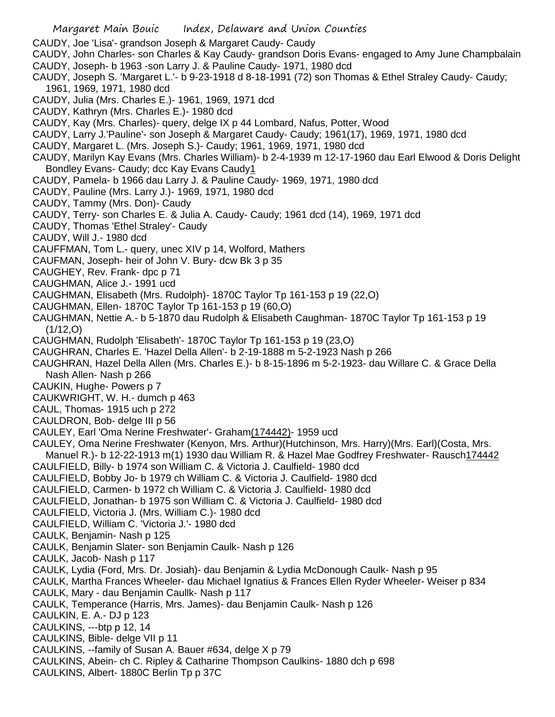- CAUDY, Joe 'Lisa'- grandson Joseph & Margaret Caudy- Caudy
- CAUDY, John Charles- son Charles & Kay Caudy- grandson Doris Evans- engaged to Amy June Champbalain CAUDY, Joseph- b 1963 -son Larry J. & Pauline Caudy- 1971, 1980 dcd
- CAUDY, Joseph S. 'Margaret L.'- b 9-23-1918 d 8-18-1991 (72) son Thomas & Ethel Straley Caudy- Caudy; 1961, 1969, 1971, 1980 dcd
- CAUDY, Julia (Mrs. Charles E.)- 1961, 1969, 1971 dcd
- CAUDY, Kathryn (Mrs. Charles E.)- 1980 dcd
- CAUDY, Kay (Mrs. Charles)- query, delge IX p 44 Lombard, Nafus, Potter, Wood
- CAUDY, Larry J.'Pauline'- son Joseph & Margaret Caudy- Caudy; 1961(17), 1969, 1971, 1980 dcd
- CAUDY, Margaret L. (Mrs. Joseph S.)- Caudy; 1961, 1969, 1971, 1980 dcd
- CAUDY, Marilyn Kay Evans (Mrs. Charles William)- b 2-4-1939 m 12-17-1960 dau Earl Elwood & Doris Delight Bondley Evans- Caudy; dcc Kay Evans Caudy1
- CAUDY, Pamela- b 1966 dau Larry J. & Pauline Caudy- 1969, 1971, 1980 dcd
- CAUDY, Pauline (Mrs. Larry J.)- 1969, 1971, 1980 dcd
- CAUDY, Tammy (Mrs. Don)- Caudy
- CAUDY, Terry- son Charles E. & Julia A. Caudy- Caudy; 1961 dcd (14), 1969, 1971 dcd
- CAUDY, Thomas 'Ethel Straley'- Caudy
- CAUDY, Will J.- 1980 dcd
- CAUFFMAN, Tom L.- query, unec XIV p 14, Wolford, Mathers
- CAUFMAN, Joseph- heir of John V. Bury- dcw Bk 3 p 35
- CAUGHEY, Rev. Frank- dpc p 71
- CAUGHMAN, Alice J.- 1991 ucd
- CAUGHMAN, Elisabeth (Mrs. Rudolph)- 1870C Taylor Tp 161-153 p 19 (22,O)
- CAUGHMAN, Ellen- 1870C Taylor Tp 161-153 p 19 (60,O)
- CAUGHMAN, Nettie A.- b 5-1870 dau Rudolph & Elisabeth Caughman- 1870C Taylor Tp 161-153 p 19 (1/12,O)
- CAUGHMAN, Rudolph 'Elisabeth'- 1870C Taylor Tp 161-153 p 19 (23,O)
- CAUGHRAN, Charles E. 'Hazel Della Allen'- b 2-19-1888 m 5-2-1923 Nash p 266
- CAUGHRAN, Hazel Della Allen (Mrs. Charles E.)- b 8-15-1896 m 5-2-1923- dau Willare C. & Grace Della Nash Allen- Nash p 266
- CAUKIN, Hughe- Powers p 7
- CAUKWRIGHT, W. H.- dumch p 463
- CAUL, Thomas- 1915 uch p 272
- CAULDRON, Bob- delge III p 56
- CAULEY, Earl 'Oma Nerine Freshwater'- Graham(174442)- 1959 ucd
- CAULEY, Oma Nerine Freshwater (Kenyon, Mrs. Arthur)(Hutchinson, Mrs. Harry)(Mrs. Earl)(Costa, Mrs.
- Manuel R.)- b 12-22-1913 m(1) 1930 dau William R. & Hazel Mae Godfrey Freshwater- Rausch174442 CAULFIELD, Billy- b 1974 son William C. & Victoria J. Caulfield- 1980 dcd
- CAULFIELD, Bobby Jo- b 1979 ch William C. & Victoria J. Caulfield- 1980 dcd
- CAULFIELD, Carmen- b 1972 ch William C. & Victoria J. Caulfield- 1980 dcd
- CAULFIELD, Jonathan- b 1975 son William C. & Victoria J. Caulfield- 1980 dcd
- CAULFIELD, Victoria J. (Mrs. William C.)- 1980 dcd
- CAULFIELD, William C. 'Victoria J.'- 1980 dcd
- CAULK, Benjamin- Nash p 125
- CAULK, Benjamin Slater- son Benjamin Caulk- Nash p 126
- CAULK, Jacob- Nash p 117
- CAULK, Lydia (Ford, Mrs. Dr. Josiah)- dau Benjamin & Lydia McDonough Caulk- Nash p 95
- CAULK, Martha Frances Wheeler- dau Michael Ignatius & Frances Ellen Ryder Wheeler- Weiser p 834
- CAULK, Mary dau Benjamin Caullk- Nash p 117
- CAULK, Temperance (Harris, Mrs. James)- dau Benjamin Caulk- Nash p 126
- CAULKIN, E. A.- DJ p 123
- CAULKINS, ---btp p 12, 14
- CAULKINS, Bible- delge VII p 11
- CAULKINS, --family of Susan A. Bauer #634, delge X p 79
- CAULKINS, Abein- ch C. Ripley & Catharine Thompson Caulkins- 1880 dch p 698
- CAULKINS, Albert- 1880C Berlin Tp p 37C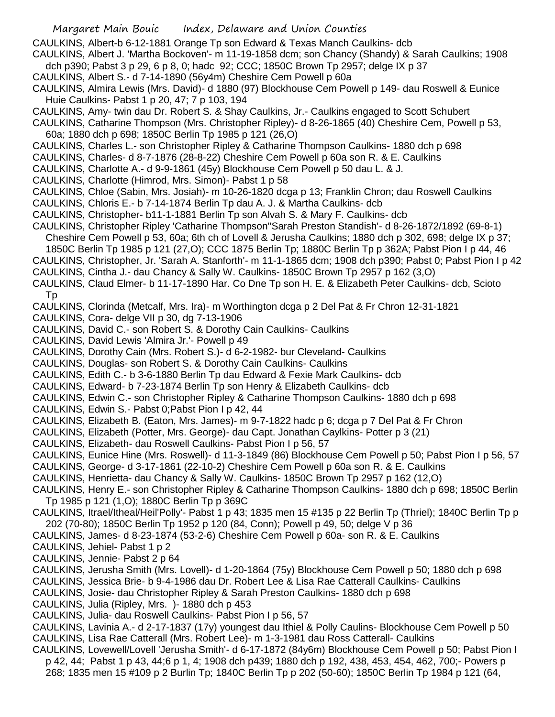CAULKINS, Albert-b 6-12-1881 Orange Tp son Edward & Texas Manch Caulkins- dcb

CAULKINS, Albert J. 'Martha Bockoven'- m 11-19-1858 dcm; son Chancy (Shandy) & Sarah Caulkins; 1908 dch p390; Pabst 3 p 29, 6 p 8, 0; hadc 92; CCC; 1850C Brown Tp 2957; delge IX p 37

- CAULKINS, Albert S.- d 7-14-1890 (56y4m) Cheshire Cem Powell p 60a
- CAULKINS, Almira Lewis (Mrs. David)- d 1880 (97) Blockhouse Cem Powell p 149- dau Roswell & Eunice Huie Caulkins- Pabst 1 p 20, 47; 7 p 103, 194
- CAULKINS, Amy- twin dau Dr. Robert S. & Shay Caulkins, Jr.- Caulkins engaged to Scott Schubert
- CAULKINS, Catharine Thompson (Mrs. Christopher Ripley)- d 8-26-1865 (40) Cheshire Cem, Powell p 53, 60a; 1880 dch p 698; 1850C Berlin Tp 1985 p 121 (26,O)
- CAULKINS, Charles L.- son Christopher Ripley & Catharine Thompson Caulkins- 1880 dch p 698
- CAULKINS, Charles- d 8-7-1876 (28-8-22) Cheshire Cem Powell p 60a son R. & E. Caulkins
- CAULKINS, Charlotte A.- d 9-9-1861 (45y) Blockhouse Cem Powell p 50 dau L. & J.
- CAULKINS, Charlotte (Himrod, Mrs. Simon)- Pabst 1 p 58
- CAULKINS, Chloe (Sabin, Mrs. Josiah)- m 10-26-1820 dcga p 13; Franklin Chron; dau Roswell Caulkins
- CAULKINS, Chloris E.- b 7-14-1874 Berlin Tp dau A. J. & Martha Caulkins- dcb
- CAULKINS, Christopher- b11-1-1881 Berlin Tp son Alvah S. & Mary F. Caulkins- dcb
- CAULKINS, Christopher Ripley 'Catharine Thompson''Sarah Preston Standish'- d 8-26-1872/1892 (69-8-1) Cheshire Cem Powell p 53, 60a; 6th ch of Lovell & Jerusha Caulkins; 1880 dch p 302, 698; delge IX p 37;
- 1850C Berlin Tp 1985 p 121 (27,O); CCC 1875 Berlin Tp; 1880C Berlin Tp p 362A; Pabst Pion I p 44, 46
- CAULKINS, Christopher, Jr. 'Sarah A. Stanforth'- m 11-1-1865 dcm; 1908 dch p390; Pabst 0; Pabst Pion I p 42
- CAULKINS, Cintha J.- dau Chancy & Sally W. Caulkins- 1850C Brown Tp 2957 p 162 (3,O)
- CAULKINS, Claud Elmer- b 11-17-1890 Har. Co Dne Tp son H. E. & Elizabeth Peter Caulkins- dcb, Scioto Tp
- CAULKINS, Clorinda (Metcalf, Mrs. Ira)- m Worthington dcga p 2 Del Pat & Fr Chron 12-31-1821
- CAULKINS, Cora- delge VII p 30, dg 7-13-1906
- CAULKINS, David C.- son Robert S. & Dorothy Cain Caulkins- Caulkins
- CAULKINS, David Lewis 'Almira Jr.'- Powell p 49
- CAULKINS, Dorothy Cain (Mrs. Robert S.)- d 6-2-1982- bur Cleveland- Caulkins
- CAULKINS, Douglas- son Robert S. & Dorothy Cain Caulkins- Caulkins
- CAULKINS, Edith C.- b 3-6-1880 Berlin Tp dau Edward & Fexie Mark Caulkins- dcb
- CAULKINS, Edward- b 7-23-1874 Berlin Tp son Henry & Elizabeth Caulkins- dcb
- CAULKINS, Edwin C.- son Christopher Ripley & Catharine Thompson Caulkins- 1880 dch p 698
- CAULKINS, Edwin S.- Pabst 0;Pabst Pion I p 42, 44
- CAULKINS, Elizabeth B. (Eaton, Mrs. James)- m 9-7-1822 hadc p 6; dcga p 7 Del Pat & Fr Chron
- CAULKINS, Elizabeth (Potter, Mrs. George)- dau Capt. Jonathan Caylkins- Potter p 3 (21)
- CAULKINS, Elizabeth- dau Roswell Caulkins- Pabst Pion I p 56, 57
- CAULKINS, Eunice Hine (Mrs. Roswell)- d 11-3-1849 (86) Blockhouse Cem Powell p 50; Pabst Pion I p 56, 57
- CAULKINS, George- d 3-17-1861 (22-10-2) Cheshire Cem Powell p 60a son R. & E. Caulkins
- CAULKINS, Henrietta- dau Chancy & Sally W. Caulkins- 1850C Brown Tp 2957 p 162 (12,O)
- CAULKINS, Henry E.- son Christopher Ripley & Catharine Thompson Caulkins- 1880 dch p 698; 1850C Berlin Tp 1985 p 121 (1,O); 1880C Berlin Tp p 369C
- CAULKINS, Itrael/Itheal/Heil'Polly'- Pabst 1 p 43; 1835 men 15 #135 p 22 Berlin Tp (Thriel); 1840C Berlin Tp p 202 (70-80); 1850C Berlin Tp 1952 p 120 (84, Conn); Powell p 49, 50; delge V p 36
- CAULKINS, James- d 8-23-1874 (53-2-6) Cheshire Cem Powell p 60a- son R. & E. Caulkins
- CAULKINS, Jehiel- Pabst 1 p 2
- CAULKINS, Jennie- Pabst 2 p 64
- CAULKINS, Jerusha Smith (Mrs. Lovell)- d 1-20-1864 (75y) Blockhouse Cem Powell p 50; 1880 dch p 698
- CAULKINS, Jessica Brie- b 9-4-1986 dau Dr. Robert Lee & Lisa Rae Catterall Caulkins- Caulkins
- CAULKINS, Josie- dau Christopher Ripley & Sarah Preston Caulkins- 1880 dch p 698
- CAULKINS, Julia (Ripley, Mrs. )- 1880 dch p 453
- CAULKINS, Julia- dau Roswell Caulkins- Pabst Pion I p 56, 57
- CAULKINS, Lavinia A.- d 2-17-1837 (17y) youngest dau Ithiel & Polly Caulins- Blockhouse Cem Powell p 50 CAULKINS, Lisa Rae Catterall (Mrs. Robert Lee)- m 1-3-1981 dau Ross Catterall- Caulkins
- CAULKINS, Lovewell/Lovell 'Jerusha Smith'- d 6-17-1872 (84y6m) Blockhouse Cem Powell p 50; Pabst Pion I p 42, 44; Pabst 1 p 43, 44;6 p 1, 4; 1908 dch p439; 1880 dch p 192, 438, 453, 454, 462, 700;- Powers p 268; 1835 men 15 #109 p 2 Burlin Tp; 1840C Berlin Tp p 202 (50-60); 1850C Berlin Tp 1984 p 121 (64,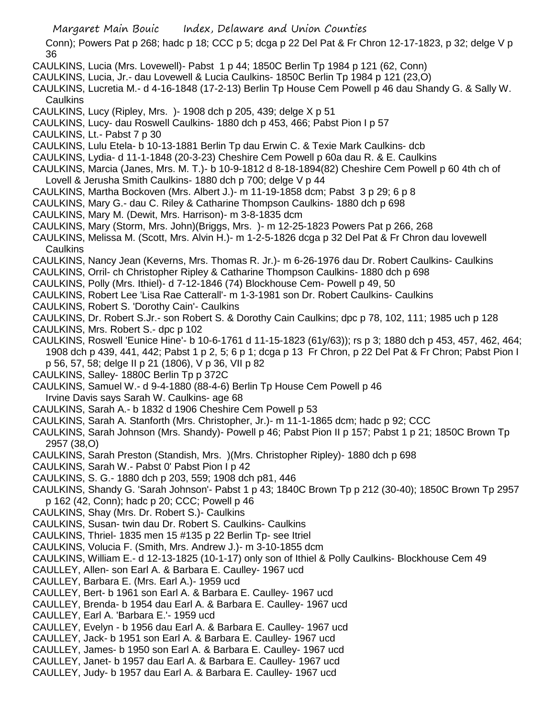- Margaret Main Bouic Index, Delaware and Union Counties
- Conn); Powers Pat p 268; hadc p 18; CCC p 5; dcga p 22 Del Pat & Fr Chron 12-17-1823, p 32; delge V p 36
- CAULKINS, Lucia (Mrs. Lovewell)- Pabst 1 p 44; 1850C Berlin Tp 1984 p 121 (62, Conn)
- CAULKINS, Lucia, Jr.- dau Lovewell & Lucia Caulkins- 1850C Berlin Tp 1984 p 121 (23,O)
- CAULKINS, Lucretia M.- d 4-16-1848 (17-2-13) Berlin Tp House Cem Powell p 46 dau Shandy G. & Sally W. **Caulkins**
- CAULKINS, Lucy (Ripley, Mrs. )- 1908 dch p 205, 439; delge X p 51
- CAULKINS, Lucy- dau Roswell Caulkins- 1880 dch p 453, 466; Pabst Pion I p 57
- CAULKINS, Lt.- Pabst 7 p 30
- CAULKINS, Lulu Etela- b 10-13-1881 Berlin Tp dau Erwin C. & Texie Mark Caulkins- dcb
- CAULKINS, Lydia- d 11-1-1848 (20-3-23) Cheshire Cem Powell p 60a dau R. & E. Caulkins
- CAULKINS, Marcia (Janes, Mrs. M. T.)- b 10-9-1812 d 8-18-1894(82) Cheshire Cem Powell p 60 4th ch of Lovell & Jerusha Smith Caulkins- 1880 dch p 700; delge V p 44
- CAULKINS, Martha Bockoven (Mrs. Albert J.)- m 11-19-1858 dcm; Pabst 3 p 29; 6 p 8
- CAULKINS, Mary G.- dau C. Riley & Catharine Thompson Caulkins- 1880 dch p 698
- CAULKINS, Mary M. (Dewit, Mrs. Harrison)- m 3-8-1835 dcm
- CAULKINS, Mary (Storm, Mrs. John)(Briggs, Mrs. )- m 12-25-1823 Powers Pat p 266, 268
- CAULKINS, Melissa M. (Scott, Mrs. Alvin H.)- m 1-2-5-1826 dcga p 32 Del Pat & Fr Chron dau lovewell Caulkins
- CAULKINS, Nancy Jean (Keverns, Mrs. Thomas R. Jr.)- m 6-26-1976 dau Dr. Robert Caulkins- Caulkins
- CAULKINS, Orril- ch Christopher Ripley & Catharine Thompson Caulkins- 1880 dch p 698
- CAULKINS, Polly (Mrs. Ithiel)- d 7-12-1846 (74) Blockhouse Cem- Powell p 49, 50
- CAULKINS, Robert Lee 'Lisa Rae Catterall'- m 1-3-1981 son Dr. Robert Caulkins- Caulkins
- CAULKINS, Robert S. 'Dorothy Cain'- Caulkins
- CAULKINS, Dr. Robert S.Jr.- son Robert S. & Dorothy Cain Caulkins; dpc p 78, 102, 111; 1985 uch p 128
- CAULKINS, Mrs. Robert S.- dpc p 102
- CAULKINS, Roswell 'Eunice Hine'- b 10-6-1761 d 11-15-1823 (61y/63)); rs p 3; 1880 dch p 453, 457, 462, 464; 1908 dch p 439, 441, 442; Pabst 1 p 2, 5; 6 p 1; dcga p 13 Fr Chron, p 22 Del Pat & Fr Chron; Pabst Pion I p 56, 57, 58; delge II p 21 (1806), V p 36, VII p 82
- CAULKINS, Salley- 1880C Berlin Tp p 372C
- CAULKINS, Samuel W.- d 9-4-1880 (88-4-6) Berlin Tp House Cem Powell p 46
- Irvine Davis says Sarah W. Caulkins- age 68
- CAULKINS, Sarah A.- b 1832 d 1906 Cheshire Cem Powell p 53
- CAULKINS, Sarah A. Stanforth (Mrs. Christopher, Jr.)- m 11-1-1865 dcm; hadc p 92; CCC
- CAULKINS, Sarah Johnson (Mrs. Shandy)- Powell p 46; Pabst Pion II p 157; Pabst 1 p 21; 1850C Brown Tp 2957 (38,O)
- CAULKINS, Sarah Preston (Standish, Mrs. )(Mrs. Christopher Ripley)- 1880 dch p 698
- CAULKINS, Sarah W.- Pabst 0' Pabst Pion I p 42
- CAULKINS, S. G.- 1880 dch p 203, 559; 1908 dch p81, 446
- CAULKINS, Shandy G. 'Sarah Johnson'- Pabst 1 p 43; 1840C Brown Tp p 212 (30-40); 1850C Brown Tp 2957 p 162 (42, Conn); hadc p 20; CCC; Powell p 46
- CAULKINS, Shay (Mrs. Dr. Robert S.)- Caulkins
- CAULKINS, Susan- twin dau Dr. Robert S. Caulkins- Caulkins
- CAULKINS, Thriel- 1835 men 15 #135 p 22 Berlin Tp- see Itriel
- CAULKINS, Volucia F. (Smith, Mrs. Andrew J.)- m 3-10-1855 dcm
- CAULKINS, William E.- d 12-13-1825 (10-1-17) only son of Ithiel & Polly Caulkins- Blockhouse Cem 49
- CAULLEY, Allen- son Earl A. & Barbara E. Caulley- 1967 ucd
- CAULLEY, Barbara E. (Mrs. Earl A.)- 1959 ucd
- CAULLEY, Bert- b 1961 son Earl A. & Barbara E. Caulley- 1967 ucd
- CAULLEY, Brenda- b 1954 dau Earl A. & Barbara E. Caulley- 1967 ucd
- CAULLEY, Earl A. 'Barbara E.'- 1959 ucd
- CAULLEY, Evelyn b 1956 dau Earl A. & Barbara E. Caulley- 1967 ucd
- CAULLEY, Jack- b 1951 son Earl A. & Barbara E. Caulley- 1967 ucd
- CAULLEY, James- b 1950 son Earl A. & Barbara E. Caulley- 1967 ucd
- CAULLEY, Janet- b 1957 dau Earl A. & Barbara E. Caulley- 1967 ucd
- CAULLEY, Judy- b 1957 dau Earl A. & Barbara E. Caulley- 1967 ucd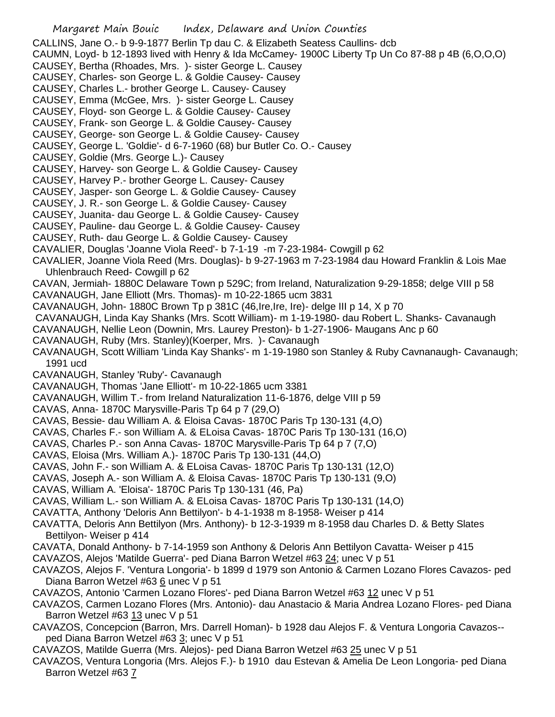- Margaret Main Bouic Index, Delaware and Union Counties CALLINS, Jane O.- b 9-9-1877 Berlin Tp dau C. & Elizabeth Seatess Caullins- dcb CAUMN, Loyd- b 12-1893 lived with Henry & Ida McCamey- 1900C Liberty Tp Un Co 87-88 p 4B (6,O,O,O) CAUSEY, Bertha (Rhoades, Mrs. )- sister George L. Causey CAUSEY, Charles- son George L. & Goldie Causey- Causey CAUSEY, Charles L.- brother George L. Causey- Causey CAUSEY, Emma (McGee, Mrs. )- sister George L. Causey CAUSEY, Floyd- son George L. & Goldie Causey- Causey CAUSEY, Frank- son George L. & Goldie Causey- Causey CAUSEY, George- son George L. & Goldie Causey- Causey CAUSEY, George L. 'Goldie'- d 6-7-1960 (68) bur Butler Co. O.- Causey CAUSEY, Goldie (Mrs. George L.)- Causey CAUSEY, Harvey- son George L. & Goldie Causey- Causey CAUSEY, Harvey P.- brother George L. Causey- Causey CAUSEY, Jasper- son George L. & Goldie Causey- Causey CAUSEY, J. R.- son George L. & Goldie Causey- Causey CAUSEY, Juanita- dau George L. & Goldie Causey- Causey CAUSEY, Pauline- dau George L. & Goldie Causey- Causey CAUSEY, Ruth- dau George L. & Goldie Causey- Causey CAVALIER, Douglas 'Joanne Viola Reed'- b 7-1-19 -m 7-23-1984- Cowgill p 62 CAVALIER, Joanne Viola Reed (Mrs. Douglas)- b 9-27-1963 m 7-23-1984 dau Howard Franklin & Lois Mae Uhlenbrauch Reed- Cowgill p 62 CAVAN, Jermiah- 1880C Delaware Town p 529C; from Ireland, Naturalization 9-29-1858; delge VIII p 58 CAVANAUGH, Jane Elliott (Mrs. Thomas)- m 10-22-1865 ucm 3831 CAVANAUGH, John- 1880C Brown Tp p 381C (46,Ire,Ire, Ire)- delge III p 14, X p 70 CAVANAUGH, Linda Kay Shanks (Mrs. Scott William)- m 1-19-1980- dau Robert L. Shanks- Cavanaugh CAVANAUGH, Nellie Leon (Downin, Mrs. Laurey Preston)- b 1-27-1906- Maugans Anc p 60 CAVANAUGH, Ruby (Mrs. Stanley)(Koerper, Mrs. )- Cavanaugh CAVANAUGH, Scott William 'Linda Kay Shanks'- m 1-19-1980 son Stanley & Ruby Cavnanaugh- Cavanaugh; 1991 ucd CAVANAUGH, Stanley 'Ruby'- Cavanaugh CAVANAUGH, Thomas 'Jane Elliott'- m 10-22-1865 ucm 3381 CAVANAUGH, Willim T.- from Ireland Naturalization 11-6-1876, delge VIII p 59 CAVAS, Anna- 1870C Marysville-Paris Tp 64 p 7 (29,O) CAVAS, Bessie- dau William A. & Eloisa Cavas- 1870C Paris Tp 130-131 (4,O) CAVAS, Charles F.- son William A. & ELoisa Cavas- 1870C Paris Tp 130-131 (16,O) CAVAS, Charles P.- son Anna Cavas- 1870C Marysville-Paris Tp 64 p 7 (7,O) CAVAS, Eloisa (Mrs. William A.)- 1870C Paris Tp 130-131 (44,O) CAVAS, John F.- son William A. & ELoisa Cavas- 1870C Paris Tp 130-131 (12,O) CAVAS, Joseph A.- son William A. & Eloisa Cavas- 1870C Paris Tp 130-131 (9,O) CAVAS, William A. 'Eloisa'- 1870C Paris Tp 130-131 (46, Pa) CAVAS, William L.- son William A. & ELoisa Cavas- 1870C Paris Tp 130-131 (14,O) CAVATTA, Anthony 'Deloris Ann Bettilyon'- b 4-1-1938 m 8-1958- Weiser p 414 CAVATTA, Deloris Ann Bettilyon (Mrs. Anthony)- b 12-3-1939 m 8-1958 dau Charles D. & Betty Slates Bettilyon- Weiser p 414 CAVATA, Donald Anthony- b 7-14-1959 son Anthony & Deloris Ann Bettilyon Cavatta- Weiser p 415 CAVAZOS, Alejos 'Matilde Guerra'- ped Diana Barron Wetzel #63 24; unec V p 51 CAVAZOS, Alejos F. 'Ventura Longoria'- b 1899 d 1979 son Antonio & Carmen Lozano Flores Cavazos- ped Diana Barron Wetzel #63 6 unec V p 51 CAVAZOS, Antonio 'Carmen Lozano Flores'- ped Diana Barron Wetzel #63 12 unec V p 51 CAVAZOS, Carmen Lozano Flores (Mrs. Antonio)- dau Anastacio & Maria Andrea Lozano Flores- ped Diana Barron Wetzel #63 13 unec V p 51 CAVAZOS, Concepcion (Barron, Mrs. Darrell Homan)- b 1928 dau Alejos F. & Ventura Longoria Cavazos- ped Diana Barron Wetzel #63 3; unec V p 51
- CAVAZOS, Matilde Guerra (Mrs. Alejos)- ped Diana Barron Wetzel #63 25 unec V p 51
- CAVAZOS, Ventura Longoria (Mrs. Alejos F.)- b 1910 dau Estevan & Amelia De Leon Longoria- ped Diana Barron Wetzel #63 7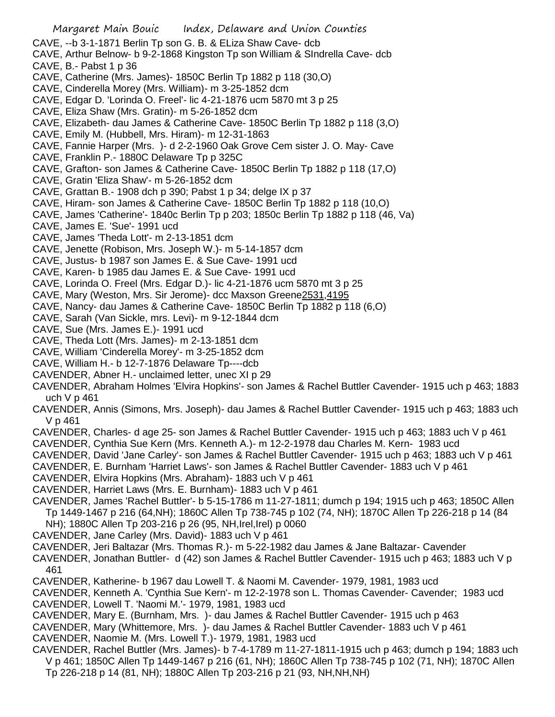Margaret Main Bouic Index, Delaware and Union Counties CAVE, --b 3-1-1871 Berlin Tp son G. B. & ELiza Shaw Cave- dcb CAVE, Arthur Belnow- b 9-2-1868 Kingston Tp son William & SIndrella Cave- dcb CAVE, B.- Pabst 1 p 36 CAVE, Catherine (Mrs. James)- 1850C Berlin Tp 1882 p 118 (30,O) CAVE, Cinderella Morey (Mrs. William)- m 3-25-1852 dcm CAVE, Edgar D. 'Lorinda O. Freel'- lic 4-21-1876 ucm 5870 mt 3 p 25 CAVE, Eliza Shaw (Mrs. Gratin)- m 5-26-1852 dcm CAVE, Elizabeth- dau James & Catherine Cave- 1850C Berlin Tp 1882 p 118 (3,O) CAVE, Emily M. (Hubbell, Mrs. Hiram)- m 12-31-1863 CAVE, Fannie Harper (Mrs. )- d 2-2-1960 Oak Grove Cem sister J. O. May- Cave CAVE, Franklin P.- 1880C Delaware Tp p 325C CAVE, Grafton- son James & Catherine Cave- 1850C Berlin Tp 1882 p 118 (17,O) CAVE, Gratin 'Eliza Shaw'- m 5-26-1852 dcm CAVE, Grattan B.- 1908 dch p 390; Pabst 1 p 34; delge IX p 37 CAVE, Hiram- son James & Catherine Cave- 1850C Berlin Tp 1882 p 118 (10,O) CAVE, James 'Catherine'- 1840c Berlin Tp p 203; 1850c Berlin Tp 1882 p 118 (46, Va) CAVE, James E. 'Sue'- 1991 ucd CAVE, James 'Theda Lott'- m 2-13-1851 dcm CAVE, Jenette (Robison, Mrs. Joseph W.)- m 5-14-1857 dcm CAVE, Justus- b 1987 son James E. & Sue Cave- 1991 ucd CAVE, Karen- b 1985 dau James E. & Sue Cave- 1991 ucd CAVE, Lorinda O. Freel (Mrs. Edgar D.)- lic 4-21-1876 ucm 5870 mt 3 p 25 CAVE, Mary (Weston, Mrs. Sir Jerome)- dcc Maxson Greene2531,4195 CAVE, Nancy- dau James & Catherine Cave- 1850C Berlin Tp 1882 p 118 (6,O) CAVE, Sarah (Van Sickle, mrs. Levi)- m 9-12-1844 dcm CAVE, Sue (Mrs. James E.)- 1991 ucd CAVE, Theda Lott (Mrs. James)- m 2-13-1851 dcm CAVE, William 'Cinderella Morey'- m 3-25-1852 dcm CAVE, William H.- b 12-7-1876 Delaware Tp----dcb CAVENDER, Abner H.- unclaimed letter, unec XI p 29 CAVENDER, Abraham Holmes 'Elvira Hopkins'- son James & Rachel Buttler Cavender- 1915 uch p 463; 1883 uch V p 461 CAVENDER, Annis (Simons, Mrs. Joseph)- dau James & Rachel Buttler Cavender- 1915 uch p 463; 1883 uch V p 461

- CAVENDER, Charles- d age 25- son James & Rachel Buttler Cavender- 1915 uch p 463; 1883 uch V p 461
- CAVENDER, Cynthia Sue Kern (Mrs. Kenneth A.)- m 12-2-1978 dau Charles M. Kern- 1983 ucd
- CAVENDER, David 'Jane Carley'- son James & Rachel Buttler Cavender- 1915 uch p 463; 1883 uch V p 461
- CAVENDER, E. Burnham 'Harriet Laws'- son James & Rachel Buttler Cavender- 1883 uch V p 461
- CAVENDER, Elvira Hopkins (Mrs. Abraham)- 1883 uch V p 461
- CAVENDER, Harriet Laws (Mrs. E. Burnham)- 1883 uch V p 461
- CAVENDER, James 'Rachel Buttler'- b 5-15-1786 m 11-27-1811; dumch p 194; 1915 uch p 463; 1850C Allen Tp 1449-1467 p 216 (64,NH); 1860C Allen Tp 738-745 p 102 (74, NH); 1870C Allen Tp 226-218 p 14 (84 NH); 1880C Allen Tp 203-216 p 26 (95, NH,Irel,Irel) p 0060
- CAVENDER, Jane Carley (Mrs. David)- 1883 uch V p 461
- CAVENDER, Jeri Baltazar (Mrs. Thomas R.)- m 5-22-1982 dau James & Jane Baltazar- Cavender
- CAVENDER, Jonathan Buttler- d (42) son James & Rachel Buttler Cavender- 1915 uch p 463; 1883 uch V p 461
- CAVENDER, Katherine- b 1967 dau Lowell T. & Naomi M. Cavender- 1979, 1981, 1983 ucd
- CAVENDER, Kenneth A. 'Cynthia Sue Kern'- m 12-2-1978 son L. Thomas Cavender- Cavender; 1983 ucd CAVENDER, Lowell T. 'Naomi M.'- 1979, 1981, 1983 ucd
- CAVENDER, Mary E. (Burnham, Mrs. )- dau James & Rachel Buttler Cavender- 1915 uch p 463
- CAVENDER, Mary (Whittemore, Mrs. )- dau James & Rachel Buttler Cavender- 1883 uch V p 461 CAVENDER, Naomie M. (Mrs. Lowell T.)- 1979, 1981, 1983 ucd
- CAVENDER, Rachel Buttler (Mrs. James)- b 7-4-1789 m 11-27-1811-1915 uch p 463; dumch p 194; 1883 uch V p 461; 1850C Allen Tp 1449-1467 p 216 (61, NH); 1860C Allen Tp 738-745 p 102 (71, NH); 1870C Allen Tp 226-218 p 14 (81, NH); 1880C Allen Tp 203-216 p 21 (93, NH,NH,NH)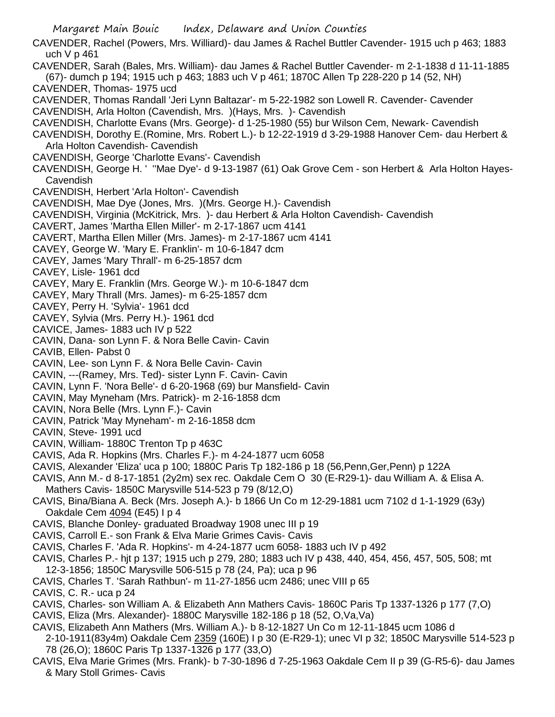CAVENDER, Rachel (Powers, Mrs. Williard)- dau James & Rachel Buttler Cavender- 1915 uch p 463; 1883 uch V p 461 CAVENDER, Sarah (Bales, Mrs. William)- dau James & Rachel Buttler Cavender- m 2-1-1838 d 11-11-1885 (67)- dumch p 194; 1915 uch p 463; 1883 uch V p 461; 1870C Allen Tp 228-220 p 14 (52, NH) CAVENDER, Thomas- 1975 ucd CAVENDER, Thomas Randall 'Jeri Lynn Baltazar'- m 5-22-1982 son Lowell R. Cavender- Cavender CAVENDISH, Arla Holton (Cavendish, Mrs. )(Hays, Mrs. )- Cavendish CAVENDISH, Charlotte Evans (Mrs. George)- d 1-25-1980 (55) bur Wilson Cem, Newark- Cavendish CAVENDISH, Dorothy E.(Romine, Mrs. Robert L.)- b 12-22-1919 d 3-29-1988 Hanover Cem- dau Herbert & Arla Holton Cavendish- Cavendish CAVENDISH, George 'Charlotte Evans'- Cavendish CAVENDISH, George H. ' ''Mae Dye'- d 9-13-1987 (61) Oak Grove Cem - son Herbert & Arla Holton Hayes-Cavendish CAVENDISH, Herbert 'Arla Holton'- Cavendish CAVENDISH, Mae Dye (Jones, Mrs. )(Mrs. George H.)- Cavendish CAVENDISH, Virginia (McKitrick, Mrs. )- dau Herbert & Arla Holton Cavendish- Cavendish CAVERT, James 'Martha Ellen Miller'- m 2-17-1867 ucm 4141 CAVERT, Martha Ellen Miller (Mrs. James)- m 2-17-1867 ucm 4141 CAVEY, George W. 'Mary E. Franklin'- m 10-6-1847 dcm CAVEY, James 'Mary Thrall'- m 6-25-1857 dcm CAVEY, Lisle- 1961 dcd CAVEY, Mary E. Franklin (Mrs. George W.)- m 10-6-1847 dcm CAVEY, Mary Thrall (Mrs. James)- m 6-25-1857 dcm CAVEY, Perry H. 'Sylvia'- 1961 dcd CAVEY, Sylvia (Mrs. Perry H.)- 1961 dcd CAVICE, James- 1883 uch IV p 522 CAVIN, Dana- son Lynn F. & Nora Belle Cavin- Cavin CAVIB, Ellen- Pabst 0 CAVIN, Lee- son Lynn F. & Nora Belle Cavin- Cavin CAVIN, ---(Ramey, Mrs. Ted)- sister Lynn F. Cavin- Cavin CAVIN, Lynn F. 'Nora Belle'- d 6-20-1968 (69) bur Mansfield- Cavin CAVIN, May Myneham (Mrs. Patrick)- m 2-16-1858 dcm CAVIN, Nora Belle (Mrs. Lynn F.)- Cavin CAVIN, Patrick 'May Myneham'- m 2-16-1858 dcm CAVIN, Steve- 1991 ucd CAVIN, William- 1880C Trenton Tp p 463C CAVIS, Ada R. Hopkins (Mrs. Charles F.)- m 4-24-1877 ucm 6058 CAVIS, Alexander 'Eliza' uca p 100; 1880C Paris Tp 182-186 p 18 (56,Penn,Ger,Penn) p 122A CAVIS, Ann M.- d 8-17-1851 (2y2m) sex rec. Oakdale Cem O 30 (E-R29-1)- dau William A. & Elisa A. Mathers Cavis- 1850C Marysville 514-523 p 79 (8/12,O) CAVIS, Bina/Biana A. Beck (Mrs. Joseph A.)- b 1866 Un Co m 12-29-1881 ucm 7102 d 1-1-1929 (63y) Oakdale Cem 4094 (E45) I p 4 CAVIS, Blanche Donley- graduated Broadway 1908 unec III p 19 CAVIS, Carroll E.- son Frank & Elva Marie Grimes Cavis- Cavis CAVIS, Charles F. 'Ada R. Hopkins'- m 4-24-1877 ucm 6058- 1883 uch IV p 492 CAVIS, Charles P.- hjt p 137; 1915 uch p 279, 280; 1883 uch IV p 438, 440, 454, 456, 457, 505, 508; mt 12-3-1856; 1850C Marysville 506-515 p 78 (24, Pa); uca p 96 CAVIS, Charles T. 'Sarah Rathbun'- m 11-27-1856 ucm 2486; unec VIII p 65 CAVIS, C. R.- uca p 24 CAVIS, Charles- son William A. & Elizabeth Ann Mathers Cavis- 1860C Paris Tp 1337-1326 p 177 (7,O) CAVIS, Eliza (Mrs. Alexander)- 1880C Marysville 182-186 p 18 (52, O,Va,Va) CAVIS, Elizabeth Ann Mathers (Mrs. William A.)- b 8-12-1827 Un Co m 12-11-1845 ucm 1086 d 2-10-1911(83y4m) Oakdale Cem 2359 (160E) I p 30 (E-R29-1); unec VI p 32; 1850C Marysville 514-523 p 78 (26,O); 1860C Paris Tp 1337-1326 p 177 (33,O)

Margaret Main Bouic Index, Delaware and Union Counties

CAVIS, Elva Marie Grimes (Mrs. Frank)- b 7-30-1896 d 7-25-1963 Oakdale Cem II p 39 (G-R5-6)- dau James & Mary Stoll Grimes- Cavis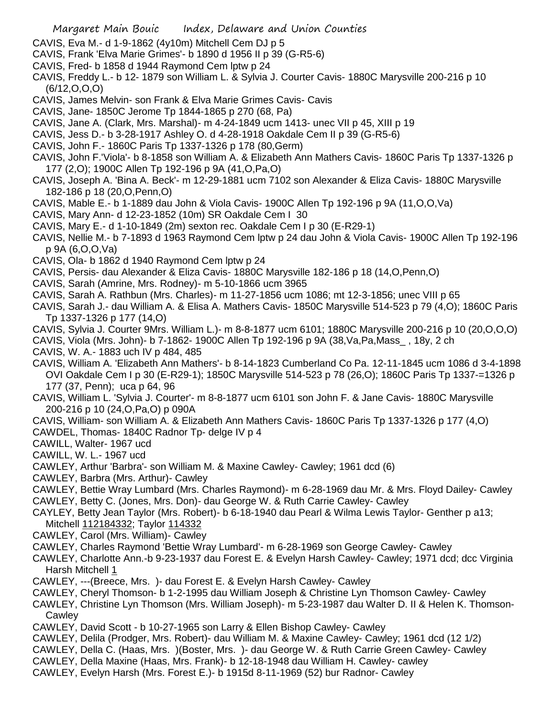- CAVIS, Eva M.- d 1-9-1862 (4y10m) Mitchell Cem DJ p 5
- CAVIS, Frank 'Elva Marie Grimes'- b 1890 d 1956 II p 39 (G-R5-6)
- CAVIS, Fred- b 1858 d 1944 Raymond Cem lptw p 24
- CAVIS, Freddy L.- b 12- 1879 son William L. & Sylvia J. Courter Cavis- 1880C Marysville 200-216 p 10 (6/12,O,O,O)
- CAVIS, James Melvin- son Frank & Elva Marie Grimes Cavis- Cavis
- CAVIS, Jane- 1850C Jerome Tp 1844-1865 p 270 (68, Pa)
- CAVIS, Jane A. (Clark, Mrs. Marshal)- m 4-24-1849 ucm 1413- unec VII p 45, XIII p 19
- CAVIS, Jess D.- b 3-28-1917 Ashley O. d 4-28-1918 Oakdale Cem II p 39 (G-R5-6)
- CAVIS, John F.- 1860C Paris Tp 1337-1326 p 178 (80,Germ)
- CAVIS, John F.'Viola'- b 8-1858 son William A. & Elizabeth Ann Mathers Cavis- 1860C Paris Tp 1337-1326 p 177 (2,O); 1900C Allen Tp 192-196 p 9A (41,O,Pa,O)
- CAVIS, Joseph A. 'Bina A. Beck'- m 12-29-1881 ucm 7102 son Alexander & Eliza Cavis- 1880C Marysville 182-186 p 18 (20,O,Penn,O)
- CAVIS, Mable E.- b 1-1889 dau John & Viola Cavis- 1900C Allen Tp 192-196 p 9A (11,O,O,Va)
- CAVIS, Mary Ann- d 12-23-1852 (10m) SR Oakdale Cem I 30
- CAVIS, Mary E.- d 1-10-1849 (2m) sexton rec. Oakdale Cem I p 30 (E-R29-1)
- CAVIS, Nellie M.- b 7-1893 d 1963 Raymond Cem lptw p 24 dau John & Viola Cavis- 1900C Allen Tp 192-196 p 9A (6,O,O,Va)
- CAVIS, Ola- b 1862 d 1940 Raymond Cem lptw p 24
- CAVIS, Persis- dau Alexander & Eliza Cavis- 1880C Marysville 182-186 p 18 (14,O,Penn,O)
- CAVIS, Sarah (Amrine, Mrs. Rodney)- m 5-10-1866 ucm 3965
- CAVIS, Sarah A. Rathbun (Mrs. Charles)- m 11-27-1856 ucm 1086; mt 12-3-1856; unec VIII p 65
- CAVIS, Sarah J.- dau William A. & Elisa A. Mathers Cavis- 1850C Marysville 514-523 p 79 (4,O); 1860C Paris Tp 1337-1326 p 177 (14,O)
- CAVIS, Sylvia J. Courter 9Mrs. William L.)- m 8-8-1877 ucm 6101; 1880C Marysville 200-216 p 10 (20,O,O,O)
- CAVIS, Viola (Mrs. John)- b 7-1862- 1900C Allen Tp 192-196 p 9A (38,Va,Pa,Mass\_ , 18y, 2 ch
- CAVIS, W. A.- 1883 uch IV p 484, 485
- CAVIS, William A. 'Elizabeth Ann Mathers'- b 8-14-1823 Cumberland Co Pa. 12-11-1845 ucm 1086 d 3-4-1898 OVI Oakdale Cem I p 30 (E-R29-1); 1850C Marysville 514-523 p 78 (26,O); 1860C Paris Tp 1337-=1326 p 177 (37, Penn); uca p 64, 96
- CAVIS, William L. 'Sylvia J. Courter'- m 8-8-1877 ucm 6101 son John F. & Jane Cavis- 1880C Marysville 200-216 p 10 (24,O,Pa,O) p 090A
- CAVIS, William- son William A. & Elizabeth Ann Mathers Cavis- 1860C Paris Tp 1337-1326 p 177 (4,O)
- CAWDEL, Thomas- 1840C Radnor Tp- delge IV p 4
- CAWILL, Walter- 1967 ucd
- CAWILL, W. L.- 1967 ucd
- CAWLEY, Arthur 'Barbra'- son William M. & Maxine Cawley- Cawley; 1961 dcd (6)
- CAWLEY, Barbra (Mrs. Arthur)- Cawley
- CAWLEY, Bettie Wray Lumbard (Mrs. Charles Raymond)- m 6-28-1969 dau Mr. & Mrs. Floyd Dailey- Cawley CAWLEY, Betty C. (Jones, Mrs. Don)- dau George W. & Ruth Carrie Cawley- Cawley
- CAYLEY, Betty Jean Taylor (Mrs. Robert)- b 6-18-1940 dau Pearl & Wilma Lewis Taylor- Genther p a13; Mitchell 112184332; Taylor 114332
- CAWLEY, Carol (Mrs. William)- Cawley
- CAWLEY, Charles Raymond 'Bettie Wray Lumbard'- m 6-28-1969 son George Cawley- Cawley
- CAWLEY, Charlotte Ann.-b 9-23-1937 dau Forest E. & Evelyn Harsh Cawley- Cawley; 1971 dcd; dcc Virginia Harsh Mitchell 1
- CAWLEY, ---(Breece, Mrs. )- dau Forest E. & Evelyn Harsh Cawley- Cawley
- CAWLEY, Cheryl Thomson- b 1-2-1995 dau William Joseph & Christine Lyn Thomson Cawley- Cawley
- CAWLEY, Christine Lyn Thomson (Mrs. William Joseph)- m 5-23-1987 dau Walter D. II & Helen K. Thomson-**Cawley**
- CAWLEY, David Scott b 10-27-1965 son Larry & Ellen Bishop Cawley- Cawley
- CAWLEY, Delila (Prodger, Mrs. Robert)- dau William M. & Maxine Cawley- Cawley; 1961 dcd (12 1/2)
- CAWLEY, Della C. (Haas, Mrs. )(Boster, Mrs. )- dau George W. & Ruth Carrie Green Cawley- Cawley
- CAWLEY, Della Maxine (Haas, Mrs. Frank)- b 12-18-1948 dau William H. Cawley- cawley
- CAWLEY, Evelyn Harsh (Mrs. Forest E.)- b 1915d 8-11-1969 (52) bur Radnor- Cawley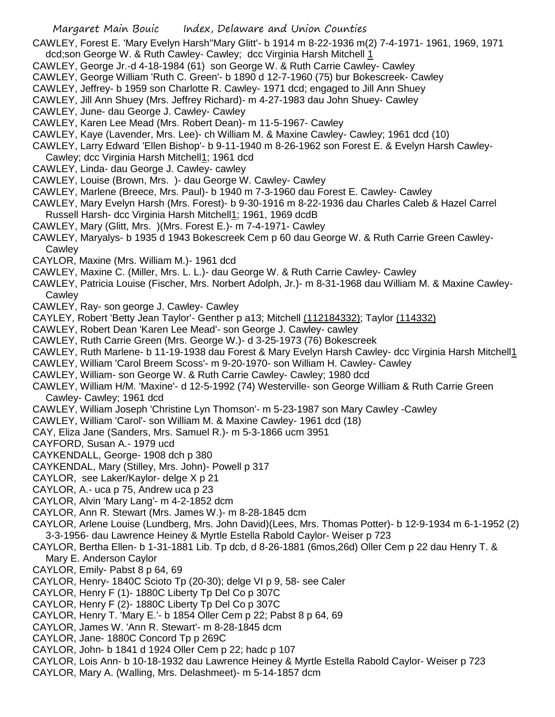CAWLEY, Forest E. 'Mary Evelyn Harsh''Mary Glitt'- b 1914 m 8-22-1936 m(2) 7-4-1971- 1961, 1969, 1971 dcd;son George W. & Ruth Cawley- Cawley; dcc Virginia Harsh Mitchell 1

- CAWLEY, George Jr.-d 4-18-1984 (61) son George W. & Ruth Carrie Cawley- Cawley
- CAWLEY, George William 'Ruth C. Green'- b 1890 d 12-7-1960 (75) bur Bokescreek- Cawley
- CAWLEY, Jeffrey- b 1959 son Charlotte R. Cawley- 1971 dcd; engaged to Jill Ann Shuey
- CAWLEY, Jill Ann Shuey (Mrs. Jeffrey Richard)- m 4-27-1983 dau John Shuey- Cawley
- CAWLEY, June- dau George J. Cawley- Cawley
- CAWLEY, Karen Lee Mead (Mrs. Robert Dean)- m 11-5-1967- Cawley
- CAWLEY, Kaye (Lavender, Mrs. Lee)- ch William M. & Maxine Cawley- Cawley; 1961 dcd (10)
- CAWLEY, Larry Edward 'Ellen Bishop'- b 9-11-1940 m 8-26-1962 son Forest E. & Evelyn Harsh Cawley-
- Cawley; dcc Virginia Harsh Mitchell1; 1961 dcd
- CAWLEY, Linda- dau George J. Cawley- cawley
- CAWLEY, Louise (Brown, Mrs. )- dau George W. Cawley- Cawley
- CAWLEY, Marlene (Breece, Mrs. Paul)- b 1940 m 7-3-1960 dau Forest E. Cawley- Cawley
- CAWLEY, Mary Evelyn Harsh (Mrs. Forest)- b 9-30-1916 m 8-22-1936 dau Charles Caleb & Hazel Carrel Russell Harsh- dcc Virginia Harsh Mitchell1; 1961, 1969 dcdB
- CAWLEY, Mary (Glitt, Mrs. )(Mrs. Forest E.)- m 7-4-1971- Cawley
- CAWLEY, Maryalys- b 1935 d 1943 Bokescreek Cem p 60 dau George W. & Ruth Carrie Green Cawley-**Cawley**
- CAYLOR, Maxine (Mrs. William M.)- 1961 dcd
- CAWLEY, Maxine C. (Miller, Mrs. L. L.)- dau George W. & Ruth Carrie Cawley- Cawley
- CAWLEY, Patricia Louise (Fischer, Mrs. Norbert Adolph, Jr.)- m 8-31-1968 dau William M. & Maxine Cawley-**Cawley**
- CAWLEY, Ray- son george J. Cawley- Cawley
- CAYLEY, Robert 'Betty Jean Taylor'- Genther p a13; Mitchell (112184332); Taylor (114332)
- CAWLEY, Robert Dean 'Karen Lee Mead'- son George J. Cawley- cawley
- CAWLEY, Ruth Carrie Green (Mrs. George W.)- d 3-25-1973 (76) Bokescreek
- CAWLEY, Ruth Marlene- b 11-19-1938 dau Forest & Mary Evelyn Harsh Cawley- dcc Virginia Harsh Mitchell1
- CAWLEY, William 'Carol Breem Scoss'- m 9-20-1970- son William H. Cawley- Cawley
- CAWLEY, William- son George W. & Ruth Carrie Cawley- Cawley; 1980 dcd
- CAWLEY, William H/M. 'Maxine'- d 12-5-1992 (74) Westerville- son George William & Ruth Carrie Green Cawley- Cawley; 1961 dcd
- CAWLEY, William Joseph 'Christine Lyn Thomson'- m 5-23-1987 son Mary Cawley -Cawley
- CAWLEY, William 'Carol'- son William M. & Maxine Cawley- 1961 dcd (18)
- CAY, Eliza Jane (Sanders, Mrs. Samuel R.)- m 5-3-1866 ucm 3951
- CAYFORD, Susan A.- 1979 ucd
- CAYKENDALL, George- 1908 dch p 380
- CAYKENDAL, Mary (Stilley, Mrs. John)- Powell p 317
- CAYLOR, see Laker/Kaylor- delge X p 21
- CAYLOR, A.- uca p 75, Andrew uca p 23
- CAYLOR, Alvin 'Mary Lang'- m 4-2-1852 dcm
- CAYLOR, Ann R. Stewart (Mrs. James W.)- m 8-28-1845 dcm
- CAYLOR, Arlene Louise (Lundberg, Mrs. John David)(Lees, Mrs. Thomas Potter)- b 12-9-1934 m 6-1-1952 (2) 3-3-1956- dau Lawrence Heiney & Myrtle Estella Rabold Caylor- Weiser p 723
- CAYLOR, Bertha Ellen- b 1-31-1881 Lib. Tp dcb, d 8-26-1881 (6mos,26d) Oller Cem p 22 dau Henry T. & Mary E. Anderson Caylor
- CAYLOR, Emily- Pabst 8 p 64, 69
- CAYLOR, Henry- 1840C Scioto Tp (20-30); delge VI p 9, 58- see Caler
- CAYLOR, Henry F (1)- 1880C Liberty Tp Del Co p 307C
- CAYLOR, Henry F (2)- 1880C Liberty Tp Del Co p 307C
- CAYLOR, Henry T. 'Mary E.'- b 1854 Oller Cem p 22; Pabst 8 p 64, 69
- CAYLOR, James W. 'Ann R. Stewart'- m 8-28-1845 dcm
- CAYLOR, Jane- 1880C Concord Tp p 269C
- CAYLOR, John- b 1841 d 1924 Oller Cem p 22; hadc p 107
- CAYLOR, Lois Ann- b 10-18-1932 dau Lawrence Heiney & Myrtle Estella Rabold Caylor- Weiser p 723
- CAYLOR, Mary A. (Walling, Mrs. Delashmeet)- m 5-14-1857 dcm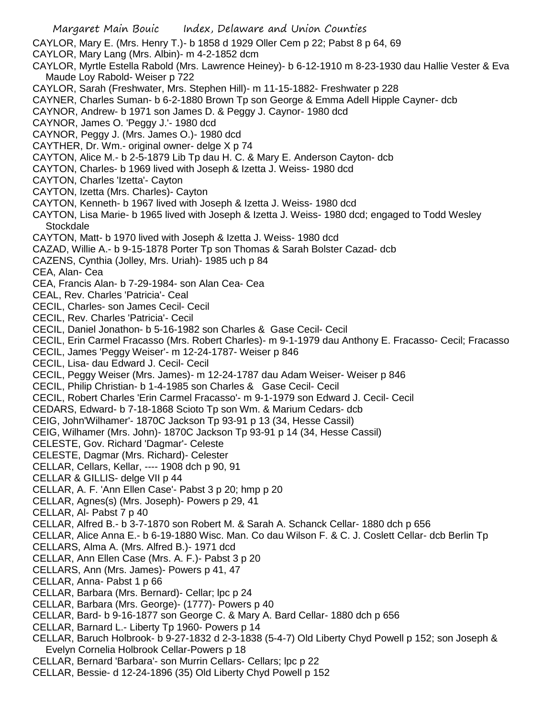Margaret Main Bouic Index, Delaware and Union Counties CAYLOR, Mary E. (Mrs. Henry T.)- b 1858 d 1929 Oller Cem p 22; Pabst 8 p 64, 69 CAYLOR, Mary Lang (Mrs. Albin)- m 4-2-1852 dcm CAYLOR, Myrtle Estella Rabold (Mrs. Lawrence Heiney)- b 6-12-1910 m 8-23-1930 dau Hallie Vester & Eva Maude Loy Rabold- Weiser p 722 CAYLOR, Sarah (Freshwater, Mrs. Stephen Hill)- m 11-15-1882- Freshwater p 228 CAYNER, Charles Suman- b 6-2-1880 Brown Tp son George & Emma Adell Hipple Cayner- dcb CAYNOR, Andrew- b 1971 son James D. & Peggy J. Caynor- 1980 dcd CAYNOR, James O. 'Peggy J.'- 1980 dcd CAYNOR, Peggy J. (Mrs. James O.)- 1980 dcd CAYTHER, Dr. Wm.- original owner- delge X p 74 CAYTON, Alice M.- b 2-5-1879 Lib Tp dau H. C. & Mary E. Anderson Cayton- dcb CAYTON, Charles- b 1969 lived with Joseph & Izetta J. Weiss- 1980 dcd CAYTON, Charles 'Izetta'- Cayton CAYTON, Izetta (Mrs. Charles)- Cayton CAYTON, Kenneth- b 1967 lived with Joseph & Izetta J. Weiss- 1980 dcd CAYTON, Lisa Marie- b 1965 lived with Joseph & Izetta J. Weiss- 1980 dcd; engaged to Todd Wesley Stockdale CAYTON, Matt- b 1970 lived with Joseph & Izetta J. Weiss- 1980 dcd CAZAD, Willie A.- b 9-15-1878 Porter Tp son Thomas & Sarah Bolster Cazad- dcb CAZENS, Cynthia (Jolley, Mrs. Uriah)- 1985 uch p 84 CEA, Alan- Cea CEA, Francis Alan- b 7-29-1984- son Alan Cea- Cea CEAL, Rev. Charles 'Patricia'- Ceal CECIL, Charles- son James Cecil- Cecil CECIL, Rev. Charles 'Patricia'- Cecil CECIL, Daniel Jonathon- b 5-16-1982 son Charles & Gase Cecil- Cecil CECIL, Erin Carmel Fracasso (Mrs. Robert Charles)- m 9-1-1979 dau Anthony E. Fracasso- Cecil; Fracasso CECIL, James 'Peggy Weiser'- m 12-24-1787- Weiser p 846 CECIL, Lisa- dau Edward J. Cecil- Cecil CECIL, Peggy Weiser (Mrs. James)- m 12-24-1787 dau Adam Weiser- Weiser p 846 CECIL, Philip Christian- b 1-4-1985 son Charles & Gase Cecil- Cecil CECIL, Robert Charles 'Erin Carmel Fracasso'- m 9-1-1979 son Edward J. Cecil- Cecil CEDARS, Edward- b 7-18-1868 Scioto Tp son Wm. & Marium Cedars- dcb CEIG, John'Wilhamer'- 1870C Jackson Tp 93-91 p 13 (34, Hesse Cassil) CEIG, Wilhamer (Mrs. John)- 1870C Jackson Tp 93-91 p 14 (34, Hesse Cassil) CELESTE, Gov. Richard 'Dagmar'- Celeste CELESTE, Dagmar (Mrs. Richard)- Celester CELLAR, Cellars, Kellar, ---- 1908 dch p 90, 91 CELLAR & GILLIS- delge VII p 44 CELLAR, A. F. 'Ann Ellen Case'- Pabst 3 p 20; hmp p 20 CELLAR, Agnes(s) (Mrs. Joseph)- Powers p 29, 41 CELLAR, Al- Pabst 7 p 40 CELLAR, Alfred B.- b 3-7-1870 son Robert M. & Sarah A. Schanck Cellar- 1880 dch p 656 CELLAR, Alice Anna E.- b 6-19-1880 Wisc. Man. Co dau Wilson F. & C. J. Coslett Cellar- dcb Berlin Tp CELLARS, Alma A. (Mrs. Alfred B.)- 1971 dcd CELLAR, Ann Ellen Case (Mrs. A. F.)- Pabst 3 p 20 CELLARS, Ann (Mrs. James)- Powers p 41, 47 CELLAR, Anna- Pabst 1 p 66 CELLAR, Barbara (Mrs. Bernard)- Cellar; lpc p 24 CELLAR, Barbara (Mrs. George)- (1777)- Powers p 40 CELLAR, Bard- b 9-16-1877 son George C. & Mary A. Bard Cellar- 1880 dch p 656 CELLAR, Barnard L.- Liberty Tp 1960- Powers p 14 CELLAR, Baruch Holbrook- b 9-27-1832 d 2-3-1838 (5-4-7) Old Liberty Chyd Powell p 152; son Joseph & Evelyn Cornelia Holbrook Cellar-Powers p 18 CELLAR, Bernard 'Barbara'- son Murrin Cellars- Cellars; lpc p 22 CELLAR, Bessie- d 12-24-1896 (35) Old Liberty Chyd Powell p 152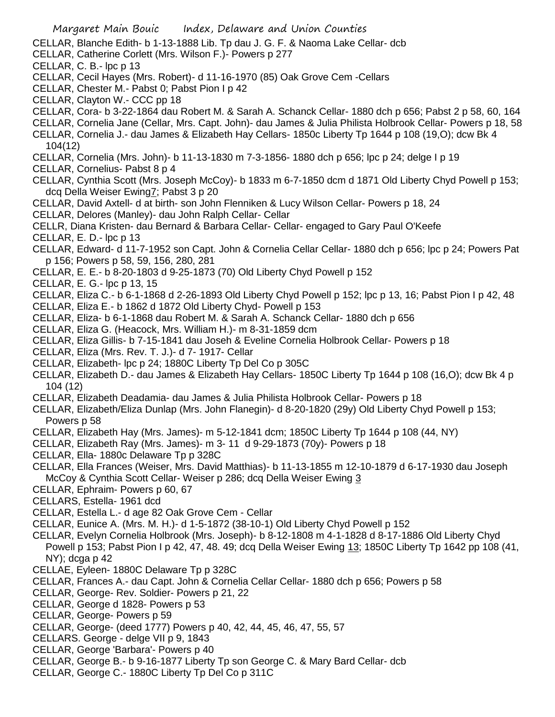- Margaret Main Bouic Index, Delaware and Union Counties
- CELLAR, Blanche Edith- b 1-13-1888 Lib. Tp dau J. G. F. & Naoma Lake Cellar- dcb
- CELLAR, Catherine Corlett (Mrs. Wilson F.)- Powers p 277
- CELLAR, C. B.- lpc p 13
- CELLAR, Cecil Hayes (Mrs. Robert)- d 11-16-1970 (85) Oak Grove Cem -Cellars
- CELLAR, Chester M.- Pabst 0; Pabst Pion I p 42
- CELLAR, Clayton W.- CCC pp 18
- CELLAR, Cora- b 3-22-1864 dau Robert M. & Sarah A. Schanck Cellar- 1880 dch p 656; Pabst 2 p 58, 60, 164
- CELLAR, Cornelia Jane (Cellar, Mrs. Capt. John)- dau James & Julia Philista Holbrook Cellar- Powers p 18, 58
- CELLAR, Cornelia J.- dau James & Elizabeth Hay Cellars- 1850c Liberty Tp 1644 p 108 (19,O); dcw Bk 4 104(12)
- CELLAR, Cornelia (Mrs. John)- b 11-13-1830 m 7-3-1856- 1880 dch p 656; lpc p 24; delge I p 19
- CELLAR, Cornelius- Pabst 8 p 4
- CELLAR, Cynthia Scott (Mrs. Joseph McCoy)- b 1833 m 6-7-1850 dcm d 1871 Old Liberty Chyd Powell p 153; dcq Della Weiser Ewing7; Pabst 3 p 20
- CELLAR, David Axtell- d at birth- son John Flenniken & Lucy Wilson Cellar- Powers p 18, 24
- CELLAR, Delores (Manley)- dau John Ralph Cellar- Cellar
- CELLR, Diana Kristen- dau Bernard & Barbara Cellar- Cellar- engaged to Gary Paul O'Keefe
- CELLAR, E. D.- lpc p 13
- CELLAR, Edward- d 11-7-1952 son Capt. John & Cornelia Cellar Cellar- 1880 dch p 656; lpc p 24; Powers Pat p 156; Powers p 58, 59, 156, 280, 281
- CELLAR, E. E.- b 8-20-1803 d 9-25-1873 (70) Old Liberty Chyd Powell p 152
- CELLAR, E. G.- lpc p 13, 15
- CELLAR, Eliza C.- b 6-1-1868 d 2-26-1893 Old Liberty Chyd Powell p 152; lpc p 13, 16; Pabst Pion I p 42, 48
- CELLAR, Eliza E.- b 1862 d 1872 Old Liberty Chyd- Powell p 153
- CELLAR, Eliza- b 6-1-1868 dau Robert M. & Sarah A. Schanck Cellar- 1880 dch p 656
- CELLAR, Eliza G. (Heacock, Mrs. William H.)- m 8-31-1859 dcm
- CELLAR, Eliza Gillis- b 7-15-1841 dau Joseh & Eveline Cornelia Holbrook Cellar- Powers p 18
- CELLAR, Eliza (Mrs. Rev. T. J.)- d 7- 1917- Cellar
- CELLAR, Elizabeth- lpc p 24; 1880C Liberty Tp Del Co p 305C
- CELLAR, Elizabeth D.- dau James & Elizabeth Hay Cellars- 1850C Liberty Tp 1644 p 108 (16,O); dcw Bk 4 p 104 (12)
- CELLAR, Elizabeth Deadamia- dau James & Julia Philista Holbrook Cellar- Powers p 18
- CELLAR, Elizabeth/Eliza Dunlap (Mrs. John Flanegin)- d 8-20-1820 (29y) Old Liberty Chyd Powell p 153; Powers p 58
- CELLAR, Elizabeth Hay (Mrs. James)- m 5-12-1841 dcm; 1850C Liberty Tp 1644 p 108 (44, NY)
- CELLAR, Elizabeth Ray (Mrs. James)- m 3- 11 d 9-29-1873 (70y)- Powers p 18
- CELLAR, Ella- 1880c Delaware Tp p 328C
- CELLAR, Ella Frances (Weiser, Mrs. David Matthias)- b 11-13-1855 m 12-10-1879 d 6-17-1930 dau Joseph McCoy & Cynthia Scott Cellar- Weiser p 286; dcq Della Weiser Ewing 3
- CELLAR, Ephraim- Powers p 60, 67
- CELLARS, Estella- 1961 dcd
- CELLAR, Estella L.- d age 82 Oak Grove Cem Cellar
- CELLAR, Eunice A. (Mrs. M. H.)- d 1-5-1872 (38-10-1) Old Liberty Chyd Powell p 152
- CELLAR, Evelyn Cornelia Holbrook (Mrs. Joseph)- b 8-12-1808 m 4-1-1828 d 8-17-1886 Old Liberty Chyd Powell p 153; Pabst Pion I p 42, 47, 48. 49; dcq Della Weiser Ewing 13; 1850C Liberty Tp 1642 pp 108 (41, NY); dcga p 42
- CELLAE, Eyleen- 1880C Delaware Tp p 328C
- CELLAR, Frances A.- dau Capt. John & Cornelia Cellar Cellar- 1880 dch p 656; Powers p 58
- CELLAR, George- Rev. Soldier- Powers p 21, 22
- CELLAR, George d 1828- Powers p 53
- CELLAR, George- Powers p 59
- CELLAR, George- (deed 1777) Powers p 40, 42, 44, 45, 46, 47, 55, 57
- CELLARS. George delge VII p 9, 1843
- CELLAR, George 'Barbara'- Powers p 40
- CELLAR, George B.- b 9-16-1877 Liberty Tp son George C. & Mary Bard Cellar- dcb
- CELLAR, George C.- 1880C Liberty Tp Del Co p 311C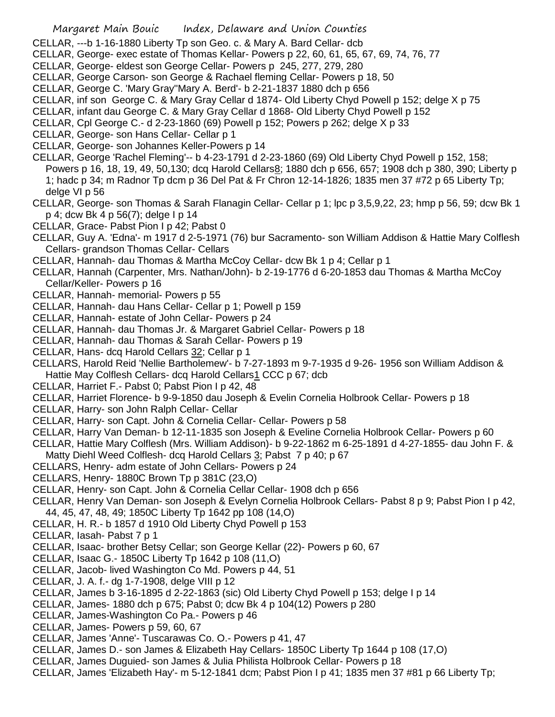- CELLAR, ---b 1-16-1880 Liberty Tp son Geo. c. & Mary A. Bard Cellar- dcb
- CELLAR, George- exec estate of Thomas Kellar- Powers p 22, 60, 61, 65, 67, 69, 74, 76, 77
- CELLAR, George- eldest son George Cellar- Powers p 245, 277, 279, 280
- CELLAR, George Carson- son George & Rachael fleming Cellar- Powers p 18, 50
- CELLAR, George C. 'Mary Gray''Mary A. Berd'- b 2-21-1837 1880 dch p 656
- CELLAR, inf son George C. & Mary Gray Cellar d 1874- Old Liberty Chyd Powell p 152; delge X p 75
- CELLAR, infant dau George C. & Mary Gray Cellar d 1868- Old Liberty Chyd Powell p 152
- CELLAR, Cpl George C.- d 2-23-1860 (69) Powell p 152; Powers p 262; delge X p 33
- CELLAR, George- son Hans Cellar- Cellar p 1
- CELLAR, George- son Johannes Keller-Powers p 14
- CELLAR, George 'Rachel Fleming'-- b 4-23-1791 d 2-23-1860 (69) Old Liberty Chyd Powell p 152, 158; Powers p 16, 18, 19, 49, 50,130; dcq Harold Cellars8; 1880 dch p 656, 657; 1908 dch p 380, 390; Liberty p 1; hadc p 34; m Radnor Tp dcm p 36 Del Pat & Fr Chron 12-14-1826; 1835 men 37 #72 p 65 Liberty Tp; delge VI p 56
- CELLAR, George- son Thomas & Sarah Flanagin Cellar- Cellar p 1; lpc p 3,5,9,22, 23; hmp p 56, 59; dcw Bk 1 p 4; dcw Bk 4 p 56(7); delge I p 14
- CELLAR, Grace- Pabst Pion I p 42; Pabst 0
- CELLAR, Guy A. 'Edna'- m 1917 d 2-5-1971 (76) bur Sacramento- son William Addison & Hattie Mary Colflesh Cellars- grandson Thomas Cellar- Cellars
- CELLAR, Hannah- dau Thomas & Martha McCoy Cellar- dcw Bk 1 p 4; Cellar p 1
- CELLAR, Hannah (Carpenter, Mrs. Nathan/John)- b 2-19-1776 d 6-20-1853 dau Thomas & Martha McCoy Cellar/Keller- Powers p 16
- CELLAR, Hannah- memorial- Powers p 55
- CELLAR, Hannah- dau Hans Cellar- Cellar p 1; Powell p 159
- CELLAR, Hannah- estate of John Cellar- Powers p 24
- CELLAR, Hannah- dau Thomas Jr. & Margaret Gabriel Cellar- Powers p 18
- CELLAR, Hannah- dau Thomas & Sarah Cellar- Powers p 19
- CELLAR, Hans- dcq Harold Cellars 32; Cellar p 1
- CELLARS, Harold Reid 'Nellie Bartholemew'- b 7-27-1893 m 9-7-1935 d 9-26- 1956 son William Addison & Hattie May Colflesh Cellars- dcq Harold Cellars1 CCC p 67; dcb
- CELLAR, Harriet F.- Pabst 0; Pabst Pion I p 42, 48
- CELLAR, Harriet Florence- b 9-9-1850 dau Joseph & Evelin Cornelia Holbrook Cellar- Powers p 18
- CELLAR, Harry- son John Ralph Cellar- Cellar
- CELLAR, Harry- son Capt. John & Cornelia Cellar- Cellar- Powers p 58
- CELLAR, Harry Van Deman- b 12-11-1835 son Joseph & Eveline Cornelia Holbrook Cellar- Powers p 60
- CELLAR, Hattie Mary Colflesh (Mrs. William Addison)- b 9-22-1862 m 6-25-1891 d 4-27-1855- dau John F. &
- Matty Diehl Weed Colflesh- dcq Harold Cellars 3; Pabst 7 p 40; p 67
- CELLARS, Henry- adm estate of John Cellars- Powers p 24
- CELLARS, Henry- 1880C Brown Tp p 381C (23,O)
- CELLAR, Henry- son Capt. John & Cornelia Cellar Cellar- 1908 dch p 656
- CELLAR, Henry Van Deman- son Joseph & Evelyn Cornelia Holbrook Cellars- Pabst 8 p 9; Pabst Pion I p 42, 44, 45, 47, 48, 49; 1850C Liberty Tp 1642 pp 108 (14,O)
- CELLAR, H. R.- b 1857 d 1910 Old Liberty Chyd Powell p 153
- CELLAR, Iasah- Pabst 7 p 1
- CELLAR, Isaac- brother Betsy Cellar; son George Kellar (22)- Powers p 60, 67
- CELLAR, Isaac G.- 1850C Liberty Tp 1642 p 108 (11,O)
- CELLAR, Jacob- lived Washington Co Md. Powers p 44, 51
- CELLAR, J. A. f.- dg 1-7-1908, delge VIII p 12
- CELLAR, James b 3-16-1895 d 2-22-1863 (sic) Old Liberty Chyd Powell p 153; delge I p 14
- CELLAR, James- 1880 dch p 675; Pabst 0; dcw Bk 4 p 104(12) Powers p 280
- CELLAR, James-Washington Co Pa.- Powers p 46
- CELLAR, James- Powers p 59, 60, 67
- CELLAR, James 'Anne'- Tuscarawas Co. O.- Powers p 41, 47
- CELLAR, James D.- son James & Elizabeth Hay Cellars- 1850C Liberty Tp 1644 p 108 (17,O)
- CELLAR, James Duguied- son James & Julia Philista Holbrook Cellar- Powers p 18
- CELLAR, James 'Elizabeth Hay'- m 5-12-1841 dcm; Pabst Pion I p 41; 1835 men 37 #81 p 66 Liberty Tp;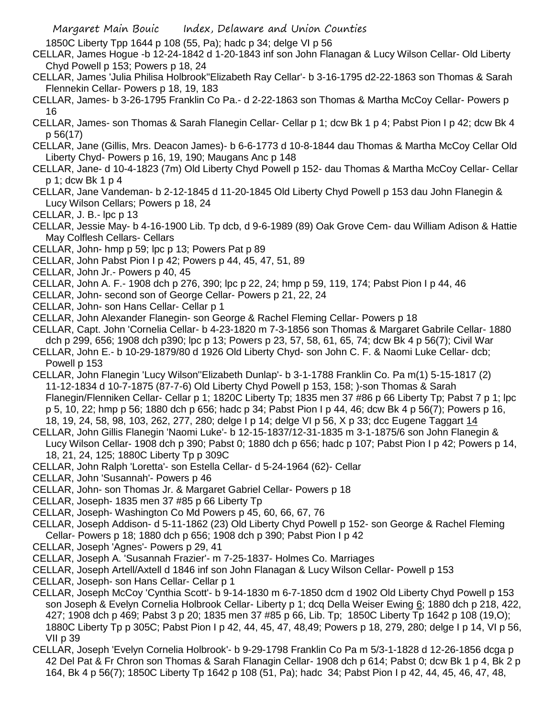1850C Liberty Tpp 1644 p 108 (55, Pa); hadc p 34; delge VI p 56

- CELLAR, James Hogue -b 12-24-1842 d 1-20-1843 inf son John Flanagan & Lucy Wilson Cellar- Old Liberty Chyd Powell p 153; Powers p 18, 24
- CELLAR, James 'Julia Philisa Holbrook''Elizabeth Ray Cellar'- b 3-16-1795 d2-22-1863 son Thomas & Sarah Flennekin Cellar- Powers p 18, 19, 183
- CELLAR, James- b 3-26-1795 Franklin Co Pa.- d 2-22-1863 son Thomas & Martha McCoy Cellar- Powers p 16
- CELLAR, James- son Thomas & Sarah Flanegin Cellar- Cellar p 1; dcw Bk 1 p 4; Pabst Pion I p 42; dcw Bk 4 p 56(17)
- CELLAR, Jane (Gillis, Mrs. Deacon James)- b 6-6-1773 d 10-8-1844 dau Thomas & Martha McCoy Cellar Old Liberty Chyd- Powers p 16, 19, 190; Maugans Anc p 148
- CELLAR, Jane- d 10-4-1823 (7m) Old Liberty Chyd Powell p 152- dau Thomas & Martha McCoy Cellar- Cellar p 1; dcw Bk 1 p 4
- CELLAR, Jane Vandeman- b 2-12-1845 d 11-20-1845 Old Liberty Chyd Powell p 153 dau John Flanegin & Lucy Wilson Cellars; Powers p 18, 24
- CELLAR, J. B.- lpc p 13
- CELLAR, Jessie May- b 4-16-1900 Lib. Tp dcb, d 9-6-1989 (89) Oak Grove Cem- dau William Adison & Hattie May Colflesh Cellars- Cellars
- CELLAR, John- hmp p 59; lpc p 13; Powers Pat p 89
- CELLAR, John Pabst Pion I p 42; Powers p 44, 45, 47, 51, 89
- CELLAR, John Jr.- Powers p 40, 45
- CELLAR, John A. F.- 1908 dch p 276, 390; lpc p 22, 24; hmp p 59, 119, 174; Pabst Pion I p 44, 46
- CELLAR, John- second son of George Cellar- Powers p 21, 22, 24
- CELLAR, John- son Hans Cellar- Cellar p 1
- CELLAR, John Alexander Flanegin- son George & Rachel Fleming Cellar- Powers p 18
- CELLAR, Capt. John 'Cornelia Cellar- b 4-23-1820 m 7-3-1856 son Thomas & Margaret Gabrile Cellar- 1880 dch p 299, 656; 1908 dch p390; lpc p 13; Powers p 23, 57, 58, 61, 65, 74; dcw Bk 4 p 56(7); Civil War
- CELLAR, John E.- b 10-29-1879/80 d 1926 Old Liberty Chyd- son John C. F. & Naomi Luke Cellar- dcb; Powell p 153
- CELLAR, John Flanegin 'Lucy Wilson''Elizabeth Dunlap'- b 3-1-1788 Franklin Co. Pa m(1) 5-15-1817 (2) 11-12-1834 d 10-7-1875 (87-7-6) Old Liberty Chyd Powell p 153, 158; )-son Thomas & Sarah Flanegin/Flenniken Cellar- Cellar p 1; 1820C Liberty Tp; 1835 men 37 #86 p 66 Liberty Tp; Pabst 7 p 1; lpc p 5, 10, 22; hmp p 56; 1880 dch p 656; hadc p 34; Pabst Pion I p 44, 46; dcw Bk 4 p 56(7); Powers p 16, 18, 19, 24, 58, 98, 103, 262, 277, 280; delge I p 14; delge VI p 56, X p 33; dcc Eugene Taggart 14
- CELLAR, John Gillis Flanegin 'Naomi Luke'- b 12-15-1837/12-31-1835 m 3-1-1875/6 son John Flanegin & Lucy Wilson Cellar- 1908 dch p 390; Pabst 0; 1880 dch p 656; hadc p 107; Pabst Pion I p 42; Powers p 14, 18, 21, 24, 125; 1880C Liberty Tp p 309C
- CELLAR, John Ralph 'Loretta'- son Estella Cellar- d 5-24-1964 (62)- Cellar
- CELLAR, John 'Susannah'- Powers p 46
- CELLAR, John- son Thomas Jr. & Margaret Gabriel Cellar- Powers p 18
- CELLAR, Joseph- 1835 men 37 #85 p 66 Liberty Tp
- CELLAR, Joseph- Washington Co Md Powers p 45, 60, 66, 67, 76
- CELLAR, Joseph Addison- d 5-11-1862 (23) Old Liberty Chyd Powell p 152- son George & Rachel Fleming Cellar- Powers p 18; 1880 dch p 656; 1908 dch p 390; Pabst Pion I p 42
- CELLAR, Joseph 'Agnes'- Powers p 29, 41
- CELLAR, Joseph A. 'Susannah Frazier'- m 7-25-1837- Holmes Co. Marriages
- CELLAR, Joseph Artell/Axtell d 1846 inf son John Flanagan & Lucy Wilson Cellar- Powell p 153
- CELLAR, Joseph- son Hans Cellar- Cellar p 1
- CELLAR, Joseph McCoy 'Cynthia Scott'- b 9-14-1830 m 6-7-1850 dcm d 1902 Old Liberty Chyd Powell p 153 son Joseph & Evelyn Cornelia Holbrook Cellar- Liberty p 1; dcq Della Weiser Ewing 6; 1880 dch p 218, 422, 427; 1908 dch p 469; Pabst 3 p 20; 1835 men 37 #85 p 66, Lib. Tp; 1850C Liberty Tp 1642 p 108 (19,O); 1880C Liberty Tp p 305C; Pabst Pion I p 42, 44, 45, 47, 48,49; Powers p 18, 279, 280; delge I p 14, VI p 56, VII p 39
- CELLAR, Joseph 'Evelyn Cornelia Holbrook'- b 9-29-1798 Franklin Co Pa m 5/3-1-1828 d 12-26-1856 dcga p 42 Del Pat & Fr Chron son Thomas & Sarah Flanagin Cellar- 1908 dch p 614; Pabst 0; dcw Bk 1 p 4, Bk 2 p 164, Bk 4 p 56(7); 1850C Liberty Tp 1642 p 108 (51, Pa); hadc 34; Pabst Pion I p 42, 44, 45, 46, 47, 48,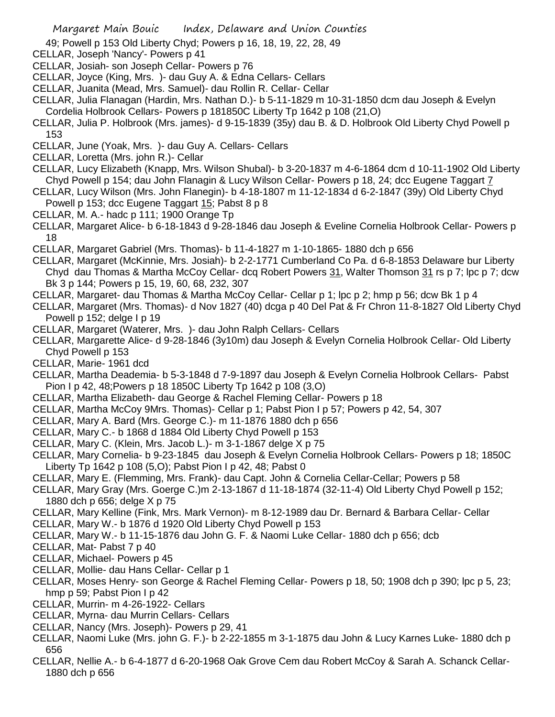- 49; Powell p 153 Old Liberty Chyd; Powers p 16, 18, 19, 22, 28, 49
- CELLAR, Joseph 'Nancy'- Powers p 41
- CELLAR, Josiah- son Joseph Cellar- Powers p 76
- CELLAR, Joyce (King, Mrs. )- dau Guy A. & Edna Cellars- Cellars
- CELLAR, Juanita (Mead, Mrs. Samuel)- dau Rollin R. Cellar- Cellar
- CELLAR, Julia Flanagan (Hardin, Mrs. Nathan D.)- b 5-11-1829 m 10-31-1850 dcm dau Joseph & Evelyn Cordelia Holbrook Cellars- Powers p 181850C Liberty Tp 1642 p 108 (21,O)
- CELLAR, Julia P. Holbrook (Mrs. james)- d 9-15-1839 (35y) dau B. & D. Holbrook Old Liberty Chyd Powell p 153
- CELLAR, June (Yoak, Mrs. )- dau Guy A. Cellars- Cellars
- CELLAR, Loretta (Mrs. john R.)- Cellar
- CELLAR, Lucy Elizabeth (Knapp, Mrs. Wilson Shubal)- b 3-20-1837 m 4-6-1864 dcm d 10-11-1902 Old Liberty Chyd Powell p 154; dau John Flanagin & Lucy Wilson Cellar- Powers p 18, 24; dcc Eugene Taggart 7
- CELLAR, Lucy Wilson (Mrs. John Flanegin)- b 4-18-1807 m 11-12-1834 d 6-2-1847 (39y) Old Liberty Chyd
- Powell p 153; dcc Eugene Taggart 15; Pabst 8 p 8
- CELLAR, M. A.- hadc p 111; 1900 Orange Tp
- CELLAR, Margaret Alice- b 6-18-1843 d 9-28-1846 dau Joseph & Eveline Cornelia Holbrook Cellar- Powers p 18
- CELLAR, Margaret Gabriel (Mrs. Thomas)- b 11-4-1827 m 1-10-1865- 1880 dch p 656
- CELLAR, Margaret (McKinnie, Mrs. Josiah)- b 2-2-1771 Cumberland Co Pa. d 6-8-1853 Delaware bur Liberty Chyd dau Thomas & Martha McCoy Cellar- dcq Robert Powers 31, Walter Thomson 31 rs p 7; lpc p 7; dcw Bk 3 p 144; Powers p 15, 19, 60, 68, 232, 307
- CELLAR, Margaret- dau Thomas & Martha McCoy Cellar- Cellar p 1; lpc p 2; hmp p 56; dcw Bk 1 p 4
- CELLAR, Margaret (Mrs. Thomas)- d Nov 1827 (40) dcga p 40 Del Pat & Fr Chron 11-8-1827 Old Liberty Chyd Powell p 152; delge I p 19
- CELLAR, Margaret (Waterer, Mrs. )- dau John Ralph Cellars- Cellars
- CELLAR, Margarette Alice- d 9-28-1846 (3y10m) dau Joseph & Evelyn Cornelia Holbrook Cellar- Old Liberty Chyd Powell p 153
- CELLAR, Marie- 1961 dcd
- CELLAR, Martha Deademia- b 5-3-1848 d 7-9-1897 dau Joseph & Evelyn Cornelia Holbrook Cellars- Pabst Pion I p 42, 48;Powers p 18 1850C Liberty Tp 1642 p 108 (3,O)
- CELLAR, Martha Elizabeth- dau George & Rachel Fleming Cellar- Powers p 18
- CELLAR, Martha McCoy 9Mrs. Thomas)- Cellar p 1; Pabst Pion I p 57; Powers p 42, 54, 307
- CELLAR, Mary A. Bard (Mrs. George C.)- m 11-1876 1880 dch p 656
- CELLAR, Mary C.- b 1868 d 1884 Old Liberty Chyd Powell p 153
- CELLAR, Mary C. (Klein, Mrs. Jacob L.)- m 3-1-1867 delge X p 75
- CELLAR, Mary Cornelia- b 9-23-1845 dau Joseph & Evelyn Cornelia Holbrook Cellars- Powers p 18; 1850C Liberty Tp 1642 p 108 (5,O); Pabst Pion I p 42, 48; Pabst 0
- CELLAR, Mary E. (Flemming, Mrs. Frank)- dau Capt. John & Cornelia Cellar-Cellar; Powers p 58
- CELLAR, Mary Gray (Mrs. Goerge C.)m 2-13-1867 d 11-18-1874 (32-11-4) Old Liberty Chyd Powell p 152; 1880 dch p 656; delge X p 75
- CELLAR, Mary Kelline (Fink, Mrs. Mark Vernon)- m 8-12-1989 dau Dr. Bernard & Barbara Cellar- Cellar
- CELLAR, Mary W.- b 1876 d 1920 Old Liberty Chyd Powell p 153
- CELLAR, Mary W.- b 11-15-1876 dau John G. F. & Naomi Luke Cellar- 1880 dch p 656; dcb
- CELLAR, Mat- Pabst 7 p 40
- CELLAR, Michael- Powers p 45
- CELLAR, Mollie- dau Hans Cellar- Cellar p 1
- CELLAR, Moses Henry- son George & Rachel Fleming Cellar- Powers p 18, 50; 1908 dch p 390; lpc p 5, 23; hmp p 59; Pabst Pion I p 42
- CELLAR, Murrin- m 4-26-1922- Cellars
- CELLAR, Myrna- dau Murrin Cellars- Cellars
- CELLAR, Nancy (Mrs. Joseph)- Powers p 29, 41
- CELLAR, Naomi Luke (Mrs. john G. F.)- b 2-22-1855 m 3-1-1875 dau John & Lucy Karnes Luke- 1880 dch p 656
- CELLAR, Nellie A.- b 6-4-1877 d 6-20-1968 Oak Grove Cem dau Robert McCoy & Sarah A. Schanck Cellar-1880 dch p 656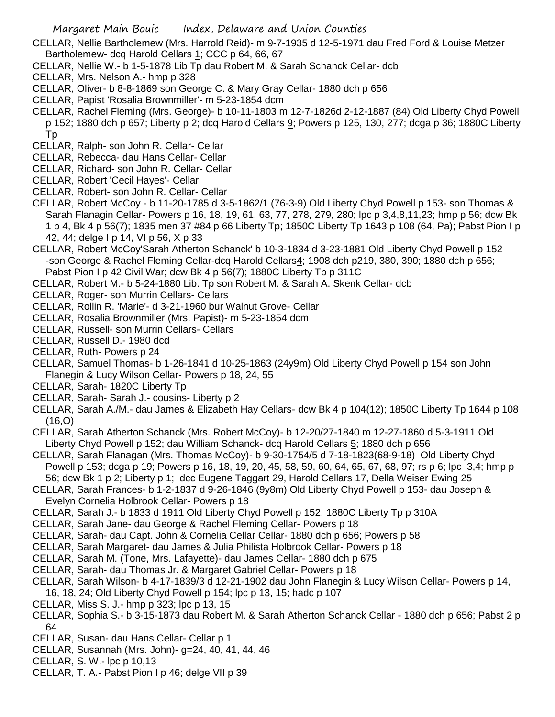- CELLAR, Nellie Bartholemew (Mrs. Harrold Reid)- m 9-7-1935 d 12-5-1971 dau Fred Ford & Louise Metzer Bartholemew- dcq Harold Cellars 1; CCC p 64, 66, 67
- CELLAR, Nellie W.- b 1-5-1878 Lib Tp dau Robert M. & Sarah Schanck Cellar- dcb
- CELLAR, Mrs. Nelson A.- hmp p 328
- CELLAR, Oliver- b 8-8-1869 son George C. & Mary Gray Cellar- 1880 dch p 656
- CELLAR, Papist 'Rosalia Brownmiller'- m 5-23-1854 dcm
- CELLAR, Rachel Fleming (Mrs. George)- b 10-11-1803 m 12-7-1826d 2-12-1887 (84) Old Liberty Chyd Powell
- p 152; 1880 dch p 657; Liberty p 2; dcq Harold Cellars 9; Powers p 125, 130, 277; dcga p 36; 1880C Liberty Tp
- CELLAR, Ralph- son John R. Cellar- Cellar
- CELLAR, Rebecca- dau Hans Cellar- Cellar
- CELLAR, Richard- son John R. Cellar- Cellar
- CELLAR, Robert 'Cecil Hayes'- Cellar
- CELLAR, Robert- son John R. Cellar- Cellar
- CELLAR, Robert McCoy b 11-20-1785 d 3-5-1862/1 (76-3-9) Old Liberty Chyd Powell p 153- son Thomas & Sarah Flanagin Cellar- Powers p 16, 18, 19, 61, 63, 77, 278, 279, 280; lpc p 3,4,8,11,23; hmp p 56; dcw Bk 1 p 4, Bk 4 p 56(7); 1835 men 37 #84 p 66 Liberty Tp; 1850C Liberty Tp 1643 p 108 (64, Pa); Pabst Pion I p 42, 44; delge I p 14, VI p 56, X p 33
- CELLAR, Robert McCoy'Sarah Atherton Schanck' b 10-3-1834 d 3-23-1881 Old Liberty Chyd Powell p 152 -son George & Rachel Fleming Cellar-dcq Harold Cellars4; 1908 dch p219, 380, 390; 1880 dch p 656; Pabst Pion I p 42 Civil War; dcw Bk 4 p 56(7); 1880C Liberty Tp p 311C
- CELLAR, Robert M.- b 5-24-1880 Lib. Tp son Robert M. & Sarah A. Skenk Cellar- dcb
- CELLAR, Roger- son Murrin Cellars- Cellars
- CELLAR, Rollin R. 'Marie'- d 3-21-1960 bur Walnut Grove- Cellar
- CELLAR, Rosalia Brownmiller (Mrs. Papist)- m 5-23-1854 dcm
- CELLAR, Russell- son Murrin Cellars- Cellars
- CELLAR, Russell D.- 1980 dcd
- CELLAR, Ruth- Powers p 24
- CELLAR, Samuel Thomas- b 1-26-1841 d 10-25-1863 (24y9m) Old Liberty Chyd Powell p 154 son John Flanegin & Lucy Wilson Cellar- Powers p 18, 24, 55
- CELLAR, Sarah- 1820C Liberty Tp
- CELLAR, Sarah- Sarah J.- cousins- Liberty p 2
- CELLAR, Sarah A./M.- dau James & Elizabeth Hay Cellars- dcw Bk 4 p 104(12); 1850C Liberty Tp 1644 p 108 (16,O)
- CELLAR, Sarah Atherton Schanck (Mrs. Robert McCoy)- b 12-20/27-1840 m 12-27-1860 d 5-3-1911 Old Liberty Chyd Powell p 152; dau William Schanck- dcq Harold Cellars 5; 1880 dch p 656
- CELLAR, Sarah Flanagan (Mrs. Thomas McCoy)- b 9-30-1754/5 d 7-18-1823(68-9-18) Old Liberty Chyd Powell p 153; dcga p 19; Powers p 16, 18, 19, 20, 45, 58, 59, 60, 64, 65, 67, 68, 97; rs p 6; lpc 3,4; hmp p 56; dcw Bk 1 p 2; Liberty p 1; dcc Eugene Taggart 29, Harold Cellars 17, Della Weiser Ewing 25
- CELLAR, Sarah Frances- b 1-2-1837 d 9-26-1846 (9y8m) Old Liberty Chyd Powell p 153- dau Joseph & Evelyn Cornelia Holbrook Cellar- Powers p 18
- CELLAR, Sarah J.- b 1833 d 1911 Old Liberty Chyd Powell p 152; 1880C Liberty Tp p 310A
- CELLAR, Sarah Jane- dau George & Rachel Fleming Cellar- Powers p 18
- CELLAR, Sarah- dau Capt. John & Cornelia Cellar Cellar- 1880 dch p 656; Powers p 58
- CELLAR, Sarah Margaret- dau James & Julia Philista Holbrook Cellar- Powers p 18
- CELLAR, Sarah M. (Tone, Mrs. Lafayette)- dau James Cellar- 1880 dch p 675
- CELLAR, Sarah- dau Thomas Jr. & Margaret Gabriel Cellar- Powers p 18
- CELLAR, Sarah Wilson- b 4-17-1839/3 d 12-21-1902 dau John Flanegin & Lucy Wilson Cellar- Powers p 14, 16, 18, 24; Old Liberty Chyd Powell p 154; lpc p 13, 15; hadc p 107
- CELLAR, Miss S. J.- hmp p 323; lpc p 13, 15
- CELLAR, Sophia S.- b 3-15-1873 dau Robert M. & Sarah Atherton Schanck Cellar 1880 dch p 656; Pabst 2 p 64
- CELLAR, Susan- dau Hans Cellar- Cellar p 1
- CELLAR, Susannah (Mrs. John)- g=24, 40, 41, 44, 46
- CELLAR, S. W.- lpc p 10,13
- CELLAR, T. A.- Pabst Pion I p 46; delge VII p 39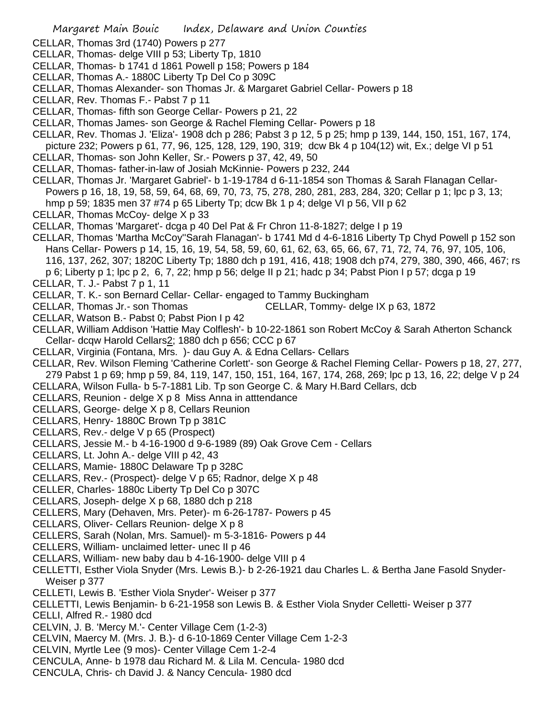- CELLAR, Thomas 3rd (1740) Powers p 277
- CELLAR, Thomas- delge VIII p 53; Liberty Tp, 1810
- CELLAR, Thomas- b 1741 d 1861 Powell p 158; Powers p 184
- CELLAR, Thomas A.- 1880C Liberty Tp Del Co p 309C
- CELLAR, Thomas Alexander- son Thomas Jr. & Margaret Gabriel Cellar- Powers p 18
- CELLAR, Rev. Thomas F.- Pabst 7 p 11
- CELLAR, Thomas- fifth son George Cellar- Powers p 21, 22
- CELLAR, Thomas James- son George & Rachel Fleming Cellar- Powers p 18
- CELLAR, Rev. Thomas J. 'Eliza'- 1908 dch p 286; Pabst 3 p 12, 5 p 25; hmp p 139, 144, 150, 151, 167, 174, picture 232; Powers p 61, 77, 96, 125, 128, 129, 190, 319; dcw Bk 4 p 104(12) wit, Ex.; delge VI p 51
- CELLAR, Thomas- son John Keller, Sr.- Powers p 37, 42, 49, 50
- CELLAR, Thomas- father-in-law of Josiah McKinnie- Powers p 232, 244
- CELLAR, Thomas Jr. 'Margaret Gabriel'- b 1-19-1784 d 6-11-1854 son Thomas & Sarah Flanagan Cellar-Powers p 16, 18, 19, 58, 59, 64, 68, 69, 70, 73, 75, 278, 280, 281, 283, 284, 320; Cellar p 1; lpc p 3, 13; hmp p 59; 1835 men 37 #74 p 65 Liberty Tp; dcw Bk 1 p 4; delge VI p 56, VII p 62
- CELLAR, Thomas McCoy- delge X p 33
- CELLAR, Thomas 'Margaret'- dcga p 40 Del Pat & Fr Chron 11-8-1827; delge I p 19
- CELLAR, Thomas 'Martha McCoy''Sarah Flanagan'- b 1741 Md d 4-6-1816 Liberty Tp Chyd Powell p 152 son Hans Cellar- Powers p 14, 15, 16, 19, 54, 58, 59, 60, 61, 62, 63, 65, 66, 67, 71, 72, 74, 76, 97, 105, 106, 116, 137, 262, 307; 1820C Liberty Tp; 1880 dch p 191, 416, 418; 1908 dch p74, 279, 380, 390, 466, 467; rs p 6; Liberty p 1; lpc p 2, 6, 7, 22; hmp p 56; delge II p 21; hadc p 34; Pabst Pion I p 57; dcga p 19
- CELLAR, T. J.- Pabst 7 p 1, 11
- CELLAR, T. K.- son Bernard Cellar- Cellar- engaged to Tammy Buckingham
- CELLAR, Thomas Jr.- son Thomas CELLAR, Tommy- delge IX p 63, 1872
- CELLAR, Watson B.- Pabst 0; Pabst Pion I p 42
- CELLAR, William Addison 'Hattie May Colflesh'- b 10-22-1861 son Robert McCoy & Sarah Atherton Schanck Cellar- dcqw Harold Cellars2; 1880 dch p 656; CCC p 67
- CELLAR, Virginia (Fontana, Mrs. )- dau Guy A. & Edna Cellars- Cellars
- CELLAR, Rev. Wilson Fleming 'Catherine Corlett'- son George & Rachel Fleming Cellar- Powers p 18, 27, 277, 279 Pabst 1 p 69; hmp p 59, 84, 119, 147, 150, 151, 164, 167, 174, 268, 269; lpc p 13, 16, 22; delge V p 24
- CELLARA, Wilson Fulla- b 5-7-1881 Lib. Tp son George C. & Mary H.Bard Cellars, dcb
- CELLARS, Reunion delge X p 8 Miss Anna in atttendance
- CELLARS, George- delge X p 8, Cellars Reunion
- CELLARS, Henry- 1880C Brown Tp p 381C
- CELLARS, Rev.- delge V p 65 (Prospect)
- CELLARS, Jessie M.- b 4-16-1900 d 9-6-1989 (89) Oak Grove Cem Cellars
- CELLARS, Lt. John A.- delge VIII p 42, 43
- CELLARS, Mamie- 1880C Delaware Tp p 328C
- CELLARS, Rev.- (Prospect)- delge V p 65; Radnor, delge X p 48
- CELLER, Charles- 1880c Liberty Tp Del Co p 307C
- CELLARS, Joseph- delge X p 68, 1880 dch p 218
- CELLERS, Mary (Dehaven, Mrs. Peter)- m 6-26-1787- Powers p 45
- CELLARS, Oliver- Cellars Reunion- delge X p 8
- CELLERS, Sarah (Nolan, Mrs. Samuel)- m 5-3-1816- Powers p 44
- CELLERS, William- unclaimed letter- unec II p 46
- CELLARS, William- new baby dau b 4-16-1900- delge VIII p 4
- CELLETTI, Esther Viola Snyder (Mrs. Lewis B.)- b 2-26-1921 dau Charles L. & Bertha Jane Fasold Snyder-Weiser p 377
- CELLETI, Lewis B. 'Esther Viola Snyder'- Weiser p 377
- CELLETTI, Lewis Benjamin- b 6-21-1958 son Lewis B. & Esther Viola Snyder Celletti- Weiser p 377
- CELLI, Alfred R.- 1980 dcd
- CELVIN, J. B. 'Mercy M.'- Center Village Cem (1-2-3)
- CELVIN, Maercy M. (Mrs. J. B.)- d 6-10-1869 Center Village Cem 1-2-3
- CELVIN, Myrtle Lee (9 mos)- Center Village Cem 1-2-4
- CENCULA, Anne- b 1978 dau Richard M. & Lila M. Cencula- 1980 dcd
- CENCULA, Chris- ch David J. & Nancy Cencula- 1980 dcd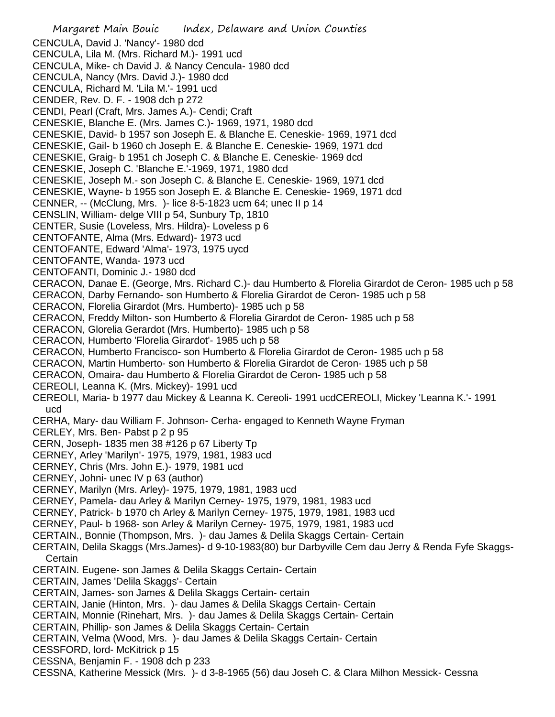Margaret Main Bouic Index, Delaware and Union Counties CENCULA, David J. 'Nancy'- 1980 dcd CENCULA, Lila M. (Mrs. Richard M.)- 1991 ucd CENCULA, Mike- ch David J. & Nancy Cencula- 1980 dcd CENCULA, Nancy (Mrs. David J.)- 1980 dcd CENCULA, Richard M. 'Lila M.'- 1991 ucd CENDER, Rev. D. F. - 1908 dch p 272 CENDI, Pearl (Craft, Mrs. James A.)- Cendi; Craft CENESKIE, Blanche E. (Mrs. James C.)- 1969, 1971, 1980 dcd CENESKIE, David- b 1957 son Joseph E. & Blanche E. Ceneskie- 1969, 1971 dcd CENESKIE, Gail- b 1960 ch Joseph E. & Blanche E. Ceneskie- 1969, 1971 dcd CENESKIE, Graig- b 1951 ch Joseph C. & Blanche E. Ceneskie- 1969 dcd CENESKIE, Joseph C. 'Blanche E.'-1969, 1971, 1980 dcd CENESKIE, Joseph M.- son Joseph C. & Blanche E. Ceneskie- 1969, 1971 dcd CENESKIE, Wayne- b 1955 son Joseph E. & Blanche E. Ceneskie- 1969, 1971 dcd CENNER, -- (McClung, Mrs. )- lice 8-5-1823 ucm 64; unec II p 14 CENSLIN, William- delge VIII p 54, Sunbury Tp, 1810 CENTER, Susie (Loveless, Mrs. Hildra)- Loveless p 6 CENTOFANTE, Alma (Mrs. Edward)- 1973 ucd CENTOFANTE, Edward 'Alma'- 1973, 1975 uycd CENTOFANTE, Wanda- 1973 ucd CENTOFANTI, Dominic J.- 1980 dcd CERACON, Danae E. (George, Mrs. Richard C.)- dau Humberto & Florelia Girardot de Ceron- 1985 uch p 58 CERACON, Darby Fernando- son Humberto & Florelia Girardot de Ceron- 1985 uch p 58 CERACON, Florelia Girardot (Mrs. Humberto)- 1985 uch p 58 CERACON, Freddy Milton- son Humberto & Florelia Girardot de Ceron- 1985 uch p 58 CERACON, Glorelia Gerardot (Mrs. Humberto)- 1985 uch p 58 CERACON, Humberto 'Florelia Girardot'- 1985 uch p 58 CERACON, Humberto Francisco- son Humberto & Florelia Girardot de Ceron- 1985 uch p 58 CERACON, Martin Humberto- son Humberto & Florelia Girardot de Ceron- 1985 uch p 58 CERACON, Omaira- dau Humberto & Florelia Girardot de Ceron- 1985 uch p 58 CEREOLI, Leanna K. (Mrs. Mickey)- 1991 ucd CEREOLI, Maria- b 1977 dau Mickey & Leanna K. Cereoli- 1991 ucdCEREOLI, Mickey 'Leanna K.'- 1991 ucd CERHA, Mary- dau William F. Johnson- Cerha- engaged to Kenneth Wayne Fryman CERLEY, Mrs. Ben- Pabst p 2 p 95 CERN, Joseph- 1835 men 38 #126 p 67 Liberty Tp CERNEY, Arley 'Marilyn'- 1975, 1979, 1981, 1983 ucd CERNEY, Chris (Mrs. John E.)- 1979, 1981 ucd CERNEY, Johni- unec IV p 63 (author) CERNEY, Marilyn (Mrs. Arley)- 1975, 1979, 1981, 1983 ucd CERNEY, Pamela- dau Arley & Marilyn Cerney- 1975, 1979, 1981, 1983 ucd CERNEY, Patrick- b 1970 ch Arley & Marilyn Cerney- 1975, 1979, 1981, 1983 ucd CERNEY, Paul- b 1968- son Arley & Marilyn Cerney- 1975, 1979, 1981, 1983 ucd CERTAIN., Bonnie (Thompson, Mrs. )- dau James & Delila Skaggs Certain- Certain CERTAIN, Delila Skaggs (Mrs.James)- d 9-10-1983(80) bur Darbyville Cem dau Jerry & Renda Fyfe Skaggs-**Certain** CERTAIN. Eugene- son James & Delila Skaggs Certain- Certain CERTAIN, James 'Delila Skaggs'- Certain CERTAIN, James- son James & Delila Skaggs Certain- certain CERTAIN, Janie (Hinton, Mrs. )- dau James & Delila Skaggs Certain- Certain CERTAIN, Monnie (Rinehart, Mrs. )- dau James & Delila Skaggs Certain- Certain CERTAIN, Phillip- son James & Delila Skaggs Certain- Certain CERTAIN, Velma (Wood, Mrs. )- dau James & Delila Skaggs Certain- Certain CESSFORD, lord- McKitrick p 15 CESSNA, Benjamin F. - 1908 dch p 233 CESSNA, Katherine Messick (Mrs. )- d 3-8-1965 (56) dau Joseh C. & Clara Milhon Messick- Cessna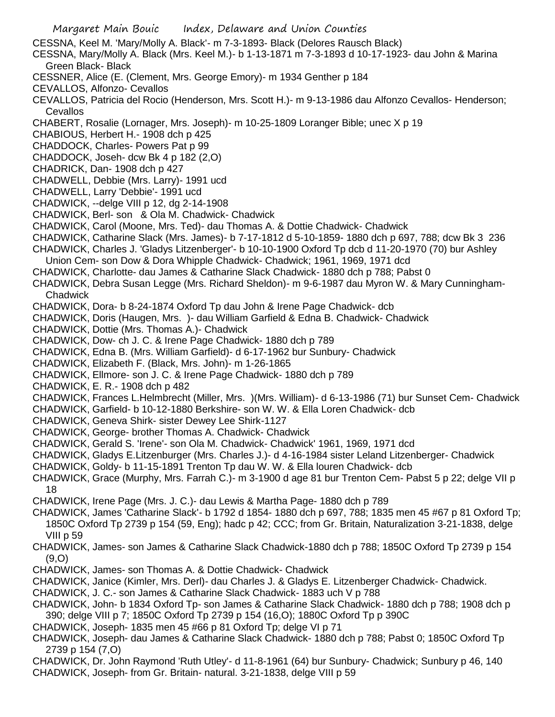- Margaret Main Bouic Index, Delaware and Union Counties CESSNA, Keel M. 'Mary/Molly A. Black'- m 7-3-1893- Black (Delores Rausch Black) CESSNA, Mary/Molly A. Black (Mrs. Keel M.)- b 1-13-1871 m 7-3-1893 d 10-17-1923- dau John & Marina Green Black- Black CESSNER, Alice (E. (Clement, Mrs. George Emory)- m 1934 Genther p 184 CEVALLOS, Alfonzo- Cevallos CEVALLOS, Patricia del Rocio (Henderson, Mrs. Scott H.)- m 9-13-1986 dau Alfonzo Cevallos- Henderson; **Cevallos** CHABERT, Rosalie (Lornager, Mrs. Joseph)- m 10-25-1809 Loranger Bible; unec X p 19 CHABIOUS, Herbert H.- 1908 dch p 425 CHADDOCK, Charles- Powers Pat p 99 CHADDOCK, Joseh- dcw Bk 4 p 182 (2,O) CHADRICK, Dan- 1908 dch p 427 CHADWELL, Debbie (Mrs. Larry)- 1991 ucd CHADWELL, Larry 'Debbie'- 1991 ucd CHADWICK, --delge VIII p 12, dg 2-14-1908 CHADWICK, Berl- son & Ola M. Chadwick- Chadwick CHADWICK, Carol (Moone, Mrs. Ted)- dau Thomas A. & Dottie Chadwick- Chadwick CHADWICK, Catharine Slack (Mrs. James)- b 7-17-1812 d 5-10-1859- 1880 dch p 697, 788; dcw Bk 3 236 CHADWICK, Charles J. 'Gladys Litzenberger'- b 10-10-1900 Oxford Tp dcb d 11-20-1970 (70) bur Ashley Union Cem- son Dow & Dora Whipple Chadwick- Chadwick; 1961, 1969, 1971 dcd CHADWICK, Charlotte- dau James & Catharine Slack Chadwick- 1880 dch p 788; Pabst 0 CHADWICK, Debra Susan Legge (Mrs. Richard Sheldon)- m 9-6-1987 dau Myron W. & Mary Cunningham-**Chadwick** CHADWICK, Dora- b 8-24-1874 Oxford Tp dau John & Irene Page Chadwick- dcb CHADWICK, Doris (Haugen, Mrs. )- dau William Garfield & Edna B. Chadwick- Chadwick CHADWICK, Dottie (Mrs. Thomas A.)- Chadwick CHADWICK, Dow- ch J. C. & Irene Page Chadwick- 1880 dch p 789 CHADWICK, Edna B. (Mrs. William Garfield)- d 6-17-1962 bur Sunbury- Chadwick CHADWICK, Elizabeth F. (Black, Mrs. John)- m 1-26-1865 CHADWICK, Ellmore- son J. C. & Irene Page Chadwick- 1880 dch p 789 CHADWICK, E. R.- 1908 dch p 482 CHADWICK, Frances L.Helmbrecht (Miller, Mrs. )(Mrs. William)- d 6-13-1986 (71) bur Sunset Cem- Chadwick CHADWICK, Garfield- b 10-12-1880 Berkshire- son W. W. & Ella Loren Chadwick- dcb CHADWICK, Geneva Shirk- sister Dewey Lee Shirk-1127 CHADWICK, George- brother Thomas A. Chadwick- Chadwick CHADWICK, Gerald S. 'Irene'- son Ola M. Chadwick- Chadwick' 1961, 1969, 1971 dcd CHADWICK, Gladys E.Litzenburger (Mrs. Charles J.)- d 4-16-1984 sister Leland Litzenberger- Chadwick CHADWICK, Goldy- b 11-15-1891 Trenton Tp dau W. W. & Ella louren Chadwick- dcb CHADWICK, Grace (Murphy, Mrs. Farrah C.)- m 3-1900 d age 81 bur Trenton Cem- Pabst 5 p 22; delge VII p 18 CHADWICK, Irene Page (Mrs. J. C.)- dau Lewis & Martha Page- 1880 dch p 789 CHADWICK, James 'Catharine Slack'- b 1792 d 1854- 1880 dch p 697, 788; 1835 men 45 #67 p 81 Oxford Tp; 1850C Oxford Tp 2739 p 154 (59, Eng); hadc p 42; CCC; from Gr. Britain, Naturalization 3-21-1838, delge VIII p 59 CHADWICK, James- son James & Catharine Slack Chadwick-1880 dch p 788; 1850C Oxford Tp 2739 p 154 (9,O) CHADWICK, James- son Thomas A. & Dottie Chadwick- Chadwick CHADWICK, Janice (Kimler, Mrs. Derl)- dau Charles J. & Gladys E. Litzenberger Chadwick- Chadwick. CHADWICK, J. C.- son James & Catharine Slack Chadwick- 1883 uch V p 788 CHADWICK, John- b 1834 Oxford Tp- son James & Catharine Slack Chadwick- 1880 dch p 788; 1908 dch p 390; delge VIII p 7; 1850C Oxford Tp 2739 p 154 (16,O); 1880C Oxford Tp p 390C CHADWICK, Joseph- 1835 men 45 #66 p 81 Oxford Tp; delge VI p 71
	- CHADWICK, Joseph- dau James & Catharine Slack Chadwick- 1880 dch p 788; Pabst 0; 1850C Oxford Tp 2739 p 154 (7,O)
	- CHADWICK, Dr. John Raymond 'Ruth Utley'- d 11-8-1961 (64) bur Sunbury- Chadwick; Sunbury p 46, 140 CHADWICK, Joseph- from Gr. Britain- natural. 3-21-1838, delge VIII p 59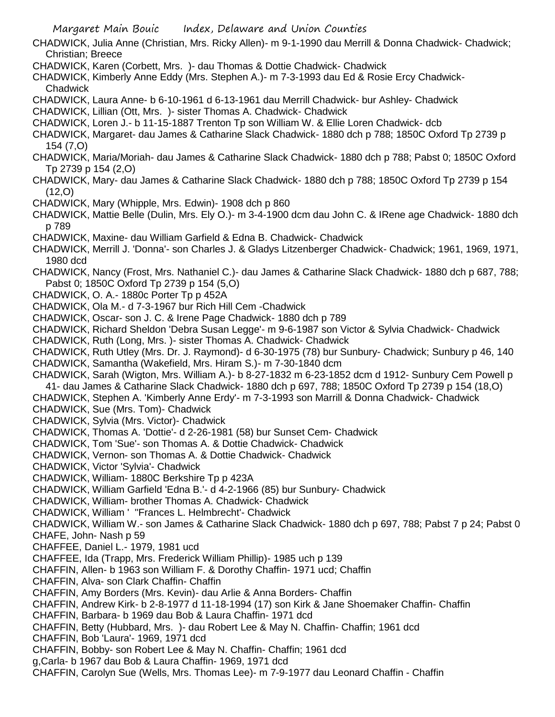CHADWICK, Julia Anne (Christian, Mrs. Ricky Allen)- m 9-1-1990 dau Merrill & Donna Chadwick- Chadwick; Christian; Breece

- CHADWICK, Karen (Corbett, Mrs. )- dau Thomas & Dottie Chadwick- Chadwick
- CHADWICK, Kimberly Anne Eddy (Mrs. Stephen A.)- m 7-3-1993 dau Ed & Rosie Ercy Chadwick-**Chadwick**
- CHADWICK, Laura Anne- b 6-10-1961 d 6-13-1961 dau Merrill Chadwick- bur Ashley- Chadwick
- CHADWICK, Lillian (Ott, Mrs. )- sister Thomas A. Chadwick- Chadwick
- CHADWICK, Loren J.- b 11-15-1887 Trenton Tp son William W. & Ellie Loren Chadwick- dcb
- CHADWICK, Margaret- dau James & Catharine Slack Chadwick- 1880 dch p 788; 1850C Oxford Tp 2739 p 154 (7,O)
- CHADWICK, Maria/Moriah- dau James & Catharine Slack Chadwick- 1880 dch p 788; Pabst 0; 1850C Oxford Tp 2739 p 154 (2,O)
- CHADWICK, Mary- dau James & Catharine Slack Chadwick- 1880 dch p 788; 1850C Oxford Tp 2739 p 154 (12,O)
- CHADWICK, Mary (Whipple, Mrs. Edwin)- 1908 dch p 860
- CHADWICK, Mattie Belle (Dulin, Mrs. Ely O.)- m 3-4-1900 dcm dau John C. & IRene age Chadwick- 1880 dch p 789
- CHADWICK, Maxine- dau William Garfield & Edna B. Chadwick- Chadwick
- CHADWICK, Merrill J. 'Donna'- son Charles J. & Gladys Litzenberger Chadwick- Chadwick; 1961, 1969, 1971, 1980 dcd
- CHADWICK, Nancy (Frost, Mrs. Nathaniel C.)- dau James & Catharine Slack Chadwick- 1880 dch p 687, 788; Pabst 0; 1850C Oxford Tp 2739 p 154 (5,O)
- CHADWICK, O. A.- 1880c Porter Tp p 452A
- CHADWICK, Ola M.- d 7-3-1967 bur Rich Hill Cem -Chadwick
- CHADWICK, Oscar- son J. C. & Irene Page Chadwick- 1880 dch p 789
- CHADWICK, Richard Sheldon 'Debra Susan Legge'- m 9-6-1987 son Victor & Sylvia Chadwick- Chadwick
- CHADWICK, Ruth (Long, Mrs. )- sister Thomas A. Chadwick- Chadwick
- CHADWICK, Ruth Utley (Mrs. Dr. J. Raymond)- d 6-30-1975 (78) bur Sunbury- Chadwick; Sunbury p 46, 140 CHADWICK, Samantha (Wakefield, Mrs. Hiram S.)- m 7-30-1840 dcm
- CHADWICK, Sarah (Wigton, Mrs. William A.)- b 8-27-1832 m 6-23-1852 dcm d 1912- Sunbury Cem Powell p 41- dau James & Catharine Slack Chadwick- 1880 dch p 697, 788; 1850C Oxford Tp 2739 p 154 (18,O)
- CHADWICK, Stephen A. 'Kimberly Anne Erdy'- m 7-3-1993 son Marrill & Donna Chadwick- Chadwick
- CHADWICK, Sue (Mrs. Tom)- Chadwick
- CHADWICK, Sylvia (Mrs. Victor)- Chadwick
- CHADWICK, Thomas A. 'Dottie'- d 2-26-1981 (58) bur Sunset Cem- Chadwick
- CHADWICK, Tom 'Sue'- son Thomas A. & Dottie Chadwick- Chadwick
- CHADWICK, Vernon- son Thomas A. & Dottie Chadwick- Chadwick
- CHADWICK, Victor 'Sylvia'- Chadwick
- CHADWICK, William- 1880C Berkshire Tp p 423A
- CHADWICK, William Garfield 'Edna B.'- d 4-2-1966 (85) bur Sunbury- Chadwick
- CHADWICK, William- brother Thomas A. Chadwick- Chadwick
- CHADWICK, William ' ''Frances L. Helmbrecht'- Chadwick
- CHADWICK, William W.- son James & Catharine Slack Chadwick- 1880 dch p 697, 788; Pabst 7 p 24; Pabst 0 CHAFE, John- Nash p 59
- CHAFFEE, Daniel L.- 1979, 1981 ucd
- CHAFFEE, Ida (Trapp, Mrs. Frederick William Phillip)- 1985 uch p 139
- CHAFFIN, Allen- b 1963 son William F. & Dorothy Chaffin- 1971 ucd; Chaffin
- CHAFFIN, Alva- son Clark Chaffin- Chaffin
- CHAFFIN, Amy Borders (Mrs. Kevin)- dau Arlie & Anna Borders- Chaffin
- CHAFFIN, Andrew Kirk- b 2-8-1977 d 11-18-1994 (17) son Kirk & Jane Shoemaker Chaffin- Chaffin
- CHAFFIN, Barbara- b 1969 dau Bob & Laura Chaffin- 1971 dcd
- CHAFFIN, Betty (Hubbard, Mrs. )- dau Robert Lee & May N. Chaffin- Chaffin; 1961 dcd
- CHAFFIN, Bob 'Laura'- 1969, 1971 dcd
- CHAFFIN, Bobby- son Robert Lee & May N. Chaffin- Chaffin; 1961 dcd
- g,Carla- b 1967 dau Bob & Laura Chaffin- 1969, 1971 dcd
- CHAFFIN, Carolyn Sue (Wells, Mrs. Thomas Lee)- m 7-9-1977 dau Leonard Chaffin Chaffin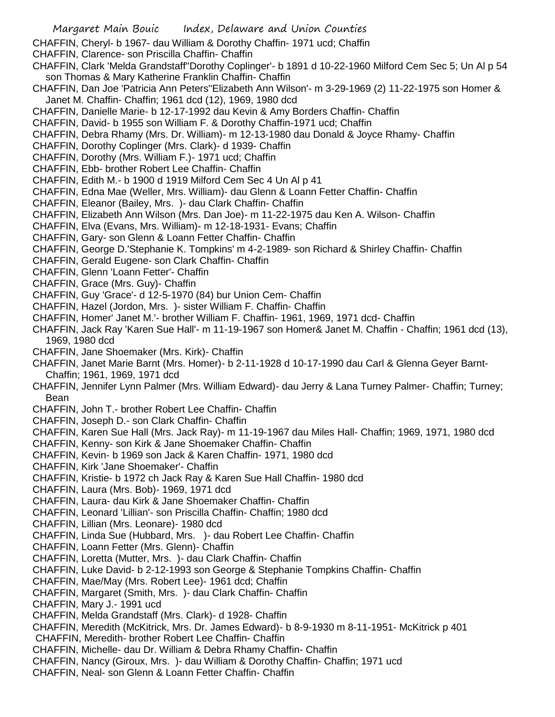CHAFFIN, Cheryl- b 1967- dau William & Dorothy Chaffin- 1971 ucd; Chaffin

CHAFFIN, Clarence- son Priscilla Chaffin- Chaffin

- CHAFFIN, Clark 'Melda Grandstaff''Dorothy Coplinger'- b 1891 d 10-22-1960 Milford Cem Sec 5; Un Al p 54 son Thomas & Mary Katherine Franklin Chaffin- Chaffin
- CHAFFIN, Dan Joe 'Patricia Ann Peters''Elizabeth Ann Wilson'- m 3-29-1969 (2) 11-22-1975 son Homer & Janet M. Chaffin- Chaffin; 1961 dcd (12), 1969, 1980 dcd
- CHAFFIN, Danielle Marie- b 12-17-1992 dau Kevin & Amy Borders Chaffin- Chaffin
- CHAFFIN, David- b 1955 son William F. & Dorothy Chaffin-1971 ucd; Chaffin
- CHAFFIN, Debra Rhamy (Mrs. Dr. William)- m 12-13-1980 dau Donald & Joyce Rhamy- Chaffin
- CHAFFIN, Dorothy Coplinger (Mrs. Clark)- d 1939- Chaffin
- CHAFFIN, Dorothy (Mrs. William F.)- 1971 ucd; Chaffin
- CHAFFIN, Ebb- brother Robert Lee Chaffin- Chaffin
- CHAFFIN, Edith M.- b 1900 d 1919 Milford Cem Sec 4 Un Al p 41
- CHAFFIN, Edna Mae (Weller, Mrs. William)- dau Glenn & Loann Fetter Chaffin- Chaffin
- CHAFFIN, Eleanor (Bailey, Mrs. )- dau Clark Chaffin- Chaffin
- CHAFFIN, Elizabeth Ann Wilson (Mrs. Dan Joe)- m 11-22-1975 dau Ken A. Wilson- Chaffin
- CHAFFIN, Elva (Evans, Mrs. William)- m 12-18-1931- Evans; Chaffin
- CHAFFIN, Gary- son Glenn & Loann Fetter Chaffin- Chaffin
- CHAFFIN, George D.'Stephanie K. Tompkins' m 4-2-1989- son Richard & Shirley Chaffin- Chaffin
- CHAFFIN, Gerald Eugene- son Clark Chaffin- Chaffin
- CHAFFIN, Glenn 'Loann Fetter'- Chaffin
- CHAFFIN, Grace (Mrs. Guy)- Chaffin
- CHAFFIN, Guy 'Grace'- d 12-5-1970 (84) bur Union Cem- Chaffin
- CHAFFIN, Hazel (Jordon, Mrs. )- sister William F. Chaffin- Chaffin
- CHAFFIN, Homer' Janet M.'- brother William F. Chaffin- 1961, 1969, 1971 dcd- Chaffin
- CHAFFIN, Jack Ray 'Karen Sue Hall'- m 11-19-1967 son Homer& Janet M. Chaffin Chaffin; 1961 dcd (13), 1969, 1980 dcd
- CHAFFIN, Jane Shoemaker (Mrs. Kirk)- Chaffin
- CHAFFIN, Janet Marie Barnt (Mrs. Homer)- b 2-11-1928 d 10-17-1990 dau Carl & Glenna Geyer Barnt-Chaffin; 1961, 1969, 1971 dcd
- CHAFFIN, Jennifer Lynn Palmer (Mrs. William Edward)- dau Jerry & Lana Turney Palmer- Chaffin; Turney; Bean
- CHAFFIN, John T.- brother Robert Lee Chaffin- Chaffin
- CHAFFIN, Joseph D.- son Clark Chaffin- Chaffin
- CHAFFIN, Karen Sue Hall (Mrs. Jack Ray)- m 11-19-1967 dau Miles Hall- Chaffin; 1969, 1971, 1980 dcd
- CHAFFIN, Kenny- son Kirk & Jane Shoemaker Chaffin- Chaffin
- CHAFFIN, Kevin- b 1969 son Jack & Karen Chaffin- 1971, 1980 dcd
- CHAFFIN, Kirk 'Jane Shoemaker'- Chaffin
- CHAFFIN, Kristie- b 1972 ch Jack Ray & Karen Sue Hall Chaffin- 1980 dcd
- CHAFFIN, Laura (Mrs. Bob)- 1969, 1971 dcd
- CHAFFIN, Laura- dau Kirk & Jane Shoemaker Chaffin- Chaffin
- CHAFFIN, Leonard 'Lillian'- son Priscilla Chaffin- Chaffin; 1980 dcd
- CHAFFIN, Lillian (Mrs. Leonare)- 1980 dcd
- CHAFFIN, Linda Sue (Hubbard, Mrs. )- dau Robert Lee Chaffin- Chaffin
- CHAFFIN, Loann Fetter (Mrs. Glenn)- Chaffin
- CHAFFIN, Loretta (Mutter, Mrs. )- dau Clark Chaffin- Chaffin
- CHAFFIN, Luke David- b 2-12-1993 son George & Stephanie Tompkins Chaffin- Chaffin
- CHAFFIN, Mae/May (Mrs. Robert Lee)- 1961 dcd; Chaffin
- CHAFFIN, Margaret (Smith, Mrs. )- dau Clark Chaffin- Chaffin
- CHAFFIN, Mary J.- 1991 ucd
- CHAFFIN, Melda Grandstaff (Mrs. Clark)- d 1928- Chaffin
- CHAFFIN, Meredith (McKitrick, Mrs. Dr. James Edward)- b 8-9-1930 m 8-11-1951- McKitrick p 401
- CHAFFIN, Meredith- brother Robert Lee Chaffin- Chaffin
- CHAFFIN, Michelle- dau Dr. William & Debra Rhamy Chaffin- Chaffin
- CHAFFIN, Nancy (Giroux, Mrs. )- dau William & Dorothy Chaffin- Chaffin; 1971 ucd
- CHAFFIN, Neal- son Glenn & Loann Fetter Chaffin- Chaffin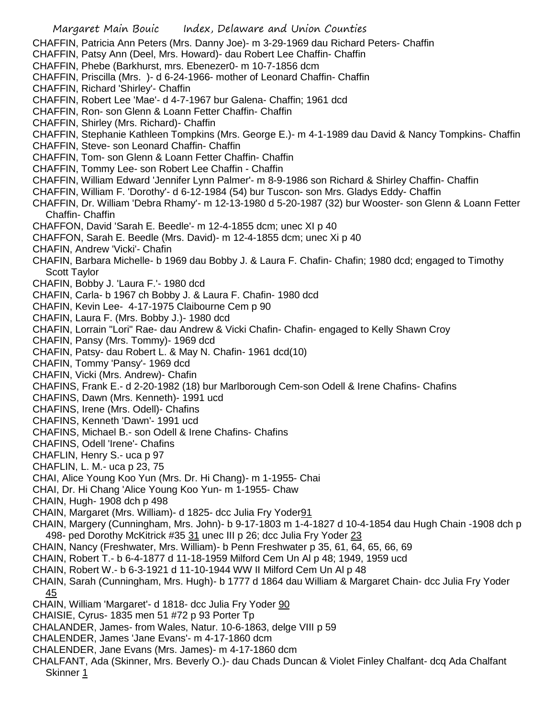- Margaret Main Bouic Index, Delaware and Union Counties CHAFFIN, Patricia Ann Peters (Mrs. Danny Joe)- m 3-29-1969 dau Richard Peters- Chaffin CHAFFIN, Patsy Ann (Deel, Mrs. Howard)- dau Robert Lee Chaffin- Chaffin CHAFFIN, Phebe (Barkhurst, mrs. Ebenezer0- m 10-7-1856 dcm CHAFFIN, Priscilla (Mrs. )- d 6-24-1966- mother of Leonard Chaffin- Chaffin CHAFFIN, Richard 'Shirley'- Chaffin CHAFFIN, Robert Lee 'Mae'- d 4-7-1967 bur Galena- Chaffin; 1961 dcd CHAFFIN, Ron- son Glenn & Loann Fetter Chaffin- Chaffin CHAFFIN, Shirley (Mrs. Richard)- Chaffin CHAFFIN, Stephanie Kathleen Tompkins (Mrs. George E.)- m 4-1-1989 dau David & Nancy Tompkins- Chaffin CHAFFIN, Steve- son Leonard Chaffin- Chaffin CHAFFIN, Tom- son Glenn & Loann Fetter Chaffin- Chaffin CHAFFIN, Tommy Lee- son Robert Lee Chaffin - Chaffin CHAFFIN, William Edward 'Jennifer Lynn Palmer'- m 8-9-1986 son Richard & Shirley Chaffin- Chaffin CHAFFIN, William F. 'Dorothy'- d 6-12-1984 (54) bur Tuscon- son Mrs. Gladys Eddy- Chaffin CHAFFIN, Dr. William 'Debra Rhamy'- m 12-13-1980 d 5-20-1987 (32) bur Wooster- son Glenn & Loann Fetter Chaffin- Chaffin CHAFFON, David 'Sarah E. Beedle'- m 12-4-1855 dcm; unec XI p 40 CHAFFON, Sarah E. Beedle (Mrs. David)- m 12-4-1855 dcm; unec Xi p 40 CHAFIN, Andrew 'Vicki'- Chafin CHAFIN, Barbara Michelle- b 1969 dau Bobby J. & Laura F. Chafin- Chafin; 1980 dcd; engaged to Timothy Scott Taylor CHAFIN, Bobby J. 'Laura F.'- 1980 dcd CHAFIN, Carla- b 1967 ch Bobby J. & Laura F. Chafin- 1980 dcd CHAFIN, Kevin Lee- 4-17-1975 Claibourne Cem p 90 CHAFIN, Laura F. (Mrs. Bobby J.)- 1980 dcd CHAFIN, Lorrain "Lori" Rae- dau Andrew & Vicki Chafin- Chafin- engaged to Kelly Shawn Croy CHAFIN, Pansy (Mrs. Tommy)- 1969 dcd CHAFIN, Patsy- dau Robert L. & May N. Chafin- 1961 dcd(10) CHAFIN, Tommy 'Pansy'- 1969 dcd CHAFIN, Vicki (Mrs. Andrew)- Chafin CHAFINS, Frank E.- d 2-20-1982 (18) bur Marlborough Cem-son Odell & Irene Chafins- Chafins CHAFINS, Dawn (Mrs. Kenneth)- 1991 ucd CHAFINS, Irene (Mrs. Odell)- Chafins CHAFINS, Kenneth 'Dawn'- 1991 ucd CHAFINS, Michael B.- son Odell & Irene Chafins- Chafins CHAFINS, Odell 'Irene'- Chafins CHAFLIN, Henry S.- uca p 97 CHAFLIN, L. M.- uca p 23, 75 CHAI, Alice Young Koo Yun (Mrs. Dr. Hi Chang)- m 1-1955- Chai CHAI, Dr. Hi Chang 'Alice Young Koo Yun- m 1-1955- Chaw CHAIN, Hugh- 1908 dch p 498 CHAIN, Margaret (Mrs. William)- d 1825- dcc Julia Fry Yoder91 CHAIN, Margery (Cunningham, Mrs. John)- b 9-17-1803 m 1-4-1827 d 10-4-1854 dau Hugh Chain -1908 dch p 498- ped Dorothy McKitrick #35 31 unec III p 26; dcc Julia Fry Yoder 23 CHAIN, Nancy (Freshwater, Mrs. William)- b Penn Freshwater p 35, 61, 64, 65, 66, 69 CHAIN, Robert T.- b 6-4-1877 d 11-18-1959 Milford Cem Un Al p 48; 1949, 1959 ucd CHAIN, Robert W.- b 6-3-1921 d 11-10-1944 WW II Milford Cem Un Al p 48 CHAIN, Sarah (Cunningham, Mrs. Hugh)- b 1777 d 1864 dau William & Margaret Chain- dcc Julia Fry Yoder 45 CHAIN, William 'Margaret'- d 1818- dcc Julia Fry Yoder 90 CHAISIE, Cyrus- 1835 men 51 #72 p 93 Porter Tp CHALANDER, James- from Wales, Natur. 10-6-1863, delge VIII p 59 CHALENDER, James 'Jane Evans'- m 4-17-1860 dcm
	- CHALENDER, Jane Evans (Mrs. James)- m 4-17-1860 dcm
	- CHALFANT, Ada (Skinner, Mrs. Beverly O.)- dau Chads Duncan & Violet Finley Chalfant- dcq Ada Chalfant Skinner 1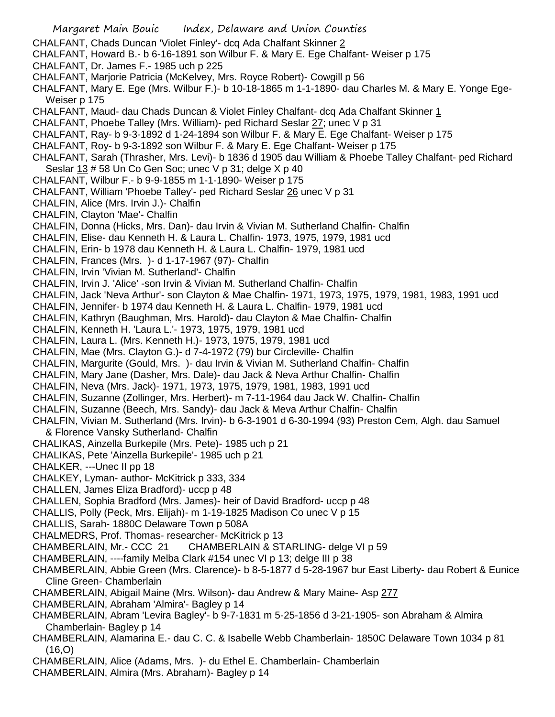- CHALFANT, Chads Duncan 'Violet Finley'- dcq Ada Chalfant Skinner 2
- CHALFANT, Howard B.- b 6-16-1891 son Wilbur F. & Mary E. Ege Chalfant- Weiser p 175
- CHALFANT, Dr. James F.- 1985 uch p 225
- CHALFANT, Marjorie Patricia (McKelvey, Mrs. Royce Robert)- Cowgill p 56
- CHALFANT, Mary E. Ege (Mrs. Wilbur F.)- b 10-18-1865 m 1-1-1890- dau Charles M. & Mary E. Yonge Ege-Weiser p 175
- CHALFANT, Maud- dau Chads Duncan & Violet Finley Chalfant- dcq Ada Chalfant Skinner 1
- CHALFANT, Phoebe Talley (Mrs. William)- ped Richard Seslar 27; unec V p 31
- CHALFANT, Ray- b 9-3-1892 d 1-24-1894 son Wilbur F. & Mary E. Ege Chalfant- Weiser p 175
- CHALFANT, Roy- b 9-3-1892 son Wilbur F. & Mary E. Ege Chalfant- Weiser p 175
- CHALFANT, Sarah (Thrasher, Mrs. Levi)- b 1836 d 1905 dau William & Phoebe Talley Chalfant- ped Richard Seslar 13 # 58 Un Co Gen Soc; unec V p 31; delge X p 40
- CHALFANT, Wilbur F.- b 9-9-1855 m 1-1-1890- Weiser p 175
- CHALFANT, William 'Phoebe Talley'- ped Richard Seslar 26 unec V p 31
- CHALFIN, Alice (Mrs. Irvin J.)- Chalfin
- CHALFIN, Clayton 'Mae'- Chalfin
- CHALFIN, Donna (Hicks, Mrs. Dan)- dau Irvin & Vivian M. Sutherland Chalfin- Chalfin
- CHALFIN, Elise- dau Kenneth H. & Laura L. Chalfin- 1973, 1975, 1979, 1981 ucd
- CHALFIN, Erin- b 1978 dau Kenneth H. & Laura L. Chalfin- 1979, 1981 ucd
- CHALFIN, Frances (Mrs. )- d 1-17-1967 (97)- Chalfin
- CHALFIN, Irvin 'Vivian M. Sutherland'- Chalfin
- CHALFIN, Irvin J. 'Alice' -son Irvin & Vivian M. Sutherland Chalfin- Chalfin
- CHALFIN, Jack 'Neva Arthur'- son Clayton & Mae Chalfin- 1971, 1973, 1975, 1979, 1981, 1983, 1991 ucd
- CHALFIN, Jennifer- b 1974 dau Kenneth H. & Laura L. Chalfin- 1979, 1981 ucd
- CHALFIN, Kathryn (Baughman, Mrs. Harold)- dau Clayton & Mae Chalfin- Chalfin
- CHALFIN, Kenneth H. 'Laura L.'- 1973, 1975, 1979, 1981 ucd
- CHALFIN, Laura L. (Mrs. Kenneth H.)- 1973, 1975, 1979, 1981 ucd
- CHALFIN, Mae (Mrs. Clayton G.)- d 7-4-1972 (79) bur Circleville- Chalfin
- CHALFIN, Margurite (Gould, Mrs. )- dau Irvin & Vivian M. Sutherland Chalfin- Chalfin
- CHALFIN, Mary Jane (Dasher, Mrs. Dale)- dau Jack & Neva Arthur Chalfin- Chalfin
- CHALFIN, Neva (Mrs. Jack)- 1971, 1973, 1975, 1979, 1981, 1983, 1991 ucd
- CHALFIN, Suzanne (Zollinger, Mrs. Herbert)- m 7-11-1964 dau Jack W. Chalfin- Chalfin
- CHALFIN, Suzanne (Beech, Mrs. Sandy)- dau Jack & Meva Arthur Chalfin- Chalfin
- CHALFIN, Vivian M. Sutherland (Mrs. Irvin)- b 6-3-1901 d 6-30-1994 (93) Preston Cem, Algh. dau Samuel & Florence Vansky Sutherland- Chalfin
- CHALIKAS, Ainzella Burkepile (Mrs. Pete)- 1985 uch p 21
- CHALIKAS, Pete 'Ainzella Burkepile'- 1985 uch p 21
- CHALKER, ---Unec II pp 18
- CHALKEY, Lyman- author- McKitrick p 333, 334
- CHALLEN, James Eliza Bradford)- uccp p 48
- CHALLEN, Sophia Bradford (Mrs. James)- heir of David Bradford- uccp p 48
- CHALLIS, Polly (Peck, Mrs. Elijah)- m 1-19-1825 Madison Co unec V p 15
- CHALLIS, Sarah- 1880C Delaware Town p 508A
- CHALMEDRS, Prof. Thomas- researcher- McKitrick p 13
- CHAMBERLAIN, Mr.- CCC 21 CHAMBERLAIN & STARLING- delge VI p 59
- CHAMBERLAIN, ----family Melba Clark #154 unec VI p 13; delge III p 38
- CHAMBERLAIN, Abbie Green (Mrs. Clarence)- b 8-5-1877 d 5-28-1967 bur East Liberty- dau Robert & Eunice Cline Green- Chamberlain
- CHAMBERLAIN, Abigail Maine (Mrs. Wilson)- dau Andrew & Mary Maine- Asp 277
- CHAMBERLAIN, Abraham 'Almira'- Bagley p 14
- CHAMBERLAIN, Abram 'Levira Bagley'- b 9-7-1831 m 5-25-1856 d 3-21-1905- son Abraham & Almira Chamberlain- Bagley p 14
- CHAMBERLAIN, Alamarina E.- dau C. C. & Isabelle Webb Chamberlain- 1850C Delaware Town 1034 p 81 (16,O)
- CHAMBERLAIN, Alice (Adams, Mrs. )- du Ethel E. Chamberlain- Chamberlain
- CHAMBERLAIN, Almira (Mrs. Abraham)- Bagley p 14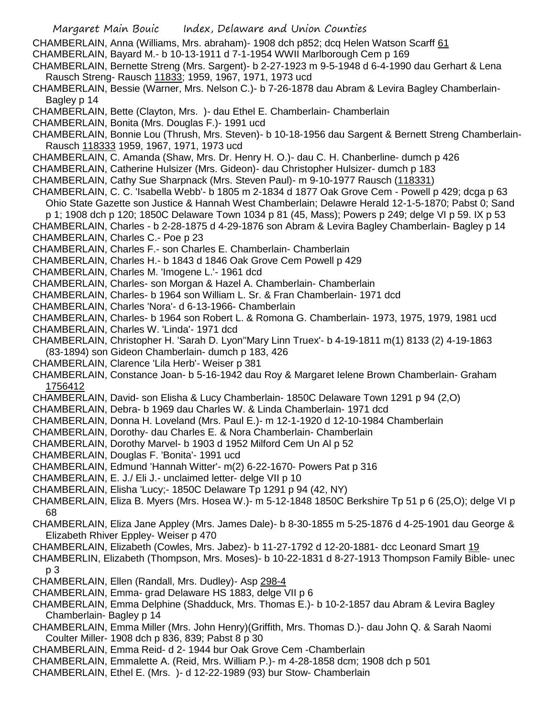Margaret Main Bouic Index, Delaware and Union Counties CHAMBERLAIN, Anna (Williams, Mrs. abraham)- 1908 dch p852; dcq Helen Watson Scarff 61 CHAMBERLAIN, Bayard M.- b 10-13-1911 d 7-1-1954 WWII Marlborough Cem p 169 CHAMBERLAIN, Bernette Streng (Mrs. Sargent)- b 2-27-1923 m 9-5-1948 d 6-4-1990 dau Gerhart & Lena Rausch Streng- Rausch 11833; 1959, 1967, 1971, 1973 ucd CHAMBERLAIN, Bessie (Warner, Mrs. Nelson C.)- b 7-26-1878 dau Abram & Levira Bagley Chamberlain-Bagley p 14 CHAMBERLAIN, Bette (Clayton, Mrs. )- dau Ethel E. Chamberlain- Chamberlain CHAMBERLAIN, Bonita (Mrs. Douglas F.)- 1991 ucd CHAMBERLAIN, Bonnie Lou (Thrush, Mrs. Steven)- b 10-18-1956 dau Sargent & Bernett Streng Chamberlain-Rausch 118333 1959, 1967, 1971, 1973 ucd CHAMBERLAIN, C. Amanda (Shaw, Mrs. Dr. Henry H. O.)- dau C. H. Chanberline- dumch p 426 CHAMBERLAIN, Catherine Hulsizer (Mrs. Gideon)- dau Christopher Hulsizer- dumch p 183 CHAMBERLAIN, Cathy Sue Sharpnack (Mrs. Steven Paul)- m 9-10-1977 Rausch (118331) CHAMBERLAIN, C. C. 'Isabella Webb'- b 1805 m 2-1834 d 1877 Oak Grove Cem - Powell p 429; dcga p 63 Ohio State Gazette son Justice & Hannah West Chamberlain; Delawre Herald 12-1-5-1870; Pabst 0; Sand p 1; 1908 dch p 120; 1850C Delaware Town 1034 p 81 (45, Mass); Powers p 249; delge VI p 59. IX p 53 CHAMBERLAIN, Charles - b 2-28-1875 d 4-29-1876 son Abram & Levira Bagley Chamberlain- Bagley p 14 CHAMBERLAIN, Charles C.- Poe p 23 CHAMBERLAIN, Charles F.- son Charles E. Chamberlain- Chamberlain CHAMBERLAIN, Charles H.- b 1843 d 1846 Oak Grove Cem Powell p 429 CHAMBERLAIN, Charles M. 'Imogene L.'- 1961 dcd CHAMBERLAIN, Charles- son Morgan & Hazel A. Chamberlain- Chamberlain CHAMBERLAIN, Charles- b 1964 son William L. Sr. & Fran Chamberlain- 1971 dcd CHAMBERLAIN, Charles 'Nora'- d 6-13-1966- Chamberlain CHAMBERLAIN, Charles- b 1964 son Robert L. & Romona G. Chamberlain- 1973, 1975, 1979, 1981 ucd CHAMBERLAIN, Charles W. 'Linda'- 1971 dcd CHAMBERLAIN, Christopher H. 'Sarah D. Lyon''Mary Linn Truex'- b 4-19-1811 m(1) 8133 (2) 4-19-1863 (83-1894) son Gideon Chamberlain- dumch p 183, 426 CHAMBERLAIN, Clarence 'Lila Herb'- Weiser p 381 CHAMBERLAIN, Constance Joan- b 5-16-1942 dau Roy & Margaret Ielene Brown Chamberlain- Graham 1756412 CHAMBERLAIN, David- son Elisha & Lucy Chamberlain- 1850C Delaware Town 1291 p 94 (2,O) CHAMBERLAIN, Debra- b 1969 dau Charles W. & Linda Chamberlain- 1971 dcd CHAMBERLAIN, Donna H. Loveland (Mrs. Paul E.)- m 12-1-1920 d 12-10-1984 Chamberlain CHAMBERLAIN, Dorothy- dau Charles E. & Nora Chamberlain- Chamberlain CHAMBERLAIN, Dorothy Marvel- b 1903 d 1952 Milford Cem Un Al p 52 CHAMBERLAIN, Douglas F. 'Bonita'- 1991 ucd CHAMBERLAIN, Edmund 'Hannah Witter'- m(2) 6-22-1670- Powers Pat p 316 CHAMBERLAIN, E. J./ Eli J.- unclaimed letter- delge VII p 10 CHAMBERLAIN, Elisha 'Lucy;- 1850C Delaware Tp 1291 p 94 (42, NY) CHAMBERLAIN, Eliza B. Myers (Mrs. Hosea W.)- m 5-12-1848 1850C Berkshire Tp 51 p 6 (25,O); delge VI p 68 CHAMBERLAIN, Eliza Jane Appley (Mrs. James Dale)- b 8-30-1855 m 5-25-1876 d 4-25-1901 dau George & Elizabeth Rhiver Eppley- Weiser p 470 CHAMBERLAIN, Elizabeth (Cowles, Mrs. Jabez)- b 11-27-1792 d 12-20-1881- dcc Leonard Smart 19 CHAMBERLIN, Elizabeth (Thompson, Mrs. Moses)- b 10-22-1831 d 8-27-1913 Thompson Family Bible- unec p 3 CHAMBERLAIN, Ellen (Randall, Mrs. Dudley)- Asp 298-4 CHAMBERLAIN, Emma- grad Delaware HS 1883, delge VII p 6 CHAMBERLAIN, Emma Delphine (Shadduck, Mrs. Thomas E.)- b 10-2-1857 dau Abram & Levira Bagley Chamberlain- Bagley p 14 CHAMBERLAIN, Emma Miller (Mrs. John Henry)(Griffith, Mrs. Thomas D.)- dau John Q. & Sarah Naomi Coulter Miller- 1908 dch p 836, 839; Pabst 8 p 30 CHAMBERLAIN, Emma Reid- d 2- 1944 bur Oak Grove Cem -Chamberlain CHAMBERLAIN, Emmalette A. (Reid, Mrs. William P.)- m 4-28-1858 dcm; 1908 dch p 501 CHAMBERLAIN, Ethel E. (Mrs. )- d 12-22-1989 (93) bur Stow- Chamberlain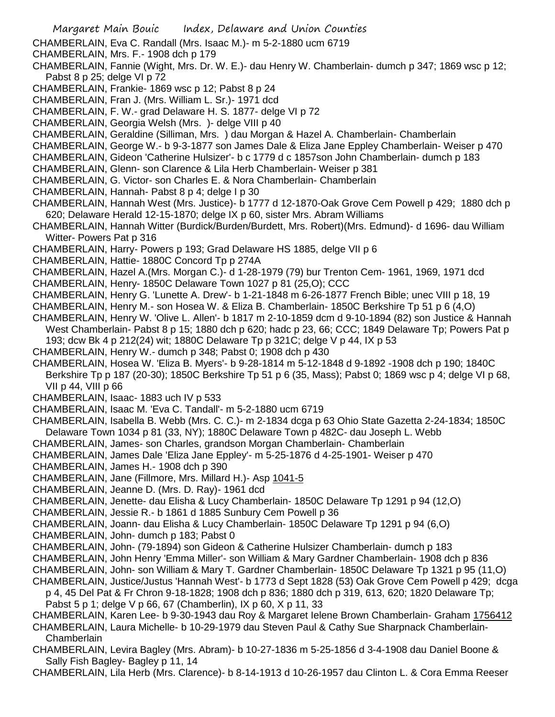- Margaret Main Bouic Index, Delaware and Union Counties CHAMBERLAIN, Eva C. Randall (Mrs. Isaac M.)- m 5-2-1880 ucm 6719 CHAMBERLAIN, Mrs. F.- 1908 dch p 179 CHAMBERLAIN, Fannie (Wight, Mrs. Dr. W. E.)- dau Henry W. Chamberlain- dumch p 347; 1869 wsc p 12; Pabst 8 p 25; delge VI p 72 CHAMBERLAIN, Frankie- 1869 wsc p 12; Pabst 8 p 24 CHAMBERLAIN, Fran J. (Mrs. William L. Sr.)- 1971 dcd CHAMBERLAIN, F. W.- grad Delaware H. S. 1877- delge VI p 72 CHAMBERLAIN, Georgia Welsh (Mrs. )- delge VIII p 40 CHAMBERLAIN, Geraldine (Silliman, Mrs. ) dau Morgan & Hazel A. Chamberlain- Chamberlain CHAMBERLAIN, George W.- b 9-3-1877 son James Dale & Eliza Jane Eppley Chamberlain- Weiser p 470 CHAMBERLAIN, Gideon 'Catherine Hulsizer'- b c 1779 d c 1857son John Chamberlain- dumch p 183 CHAMBERLAIN, Glenn- son Clarence & Lila Herb Chamberlain- Weiser p 381 CHAMBERLAIN, G. Victor- son Charles E. & Nora Chamberlain- Chamberlain CHAMBERLAIN, Hannah- Pabst 8 p 4; delge I p 30 CHAMBERLAIN, Hannah West (Mrs. Justice)- b 1777 d 12-1870-Oak Grove Cem Powell p 429; 1880 dch p 620; Delaware Herald 12-15-1870; delge IX p 60, sister Mrs. Abram Williams CHAMBERLAIN, Hannah Witter (Burdick/Burden/Burdett, Mrs. Robert)(Mrs. Edmund)- d 1696- dau William Witter- Powers Pat p 316 CHAMBERLAIN, Harry- Powers p 193; Grad Delaware HS 1885, delge VII p 6 CHAMBERLAIN, Hattie- 1880C Concord Tp p 274A CHAMBERLAIN, Hazel A.(Mrs. Morgan C.)- d 1-28-1979 (79) bur Trenton Cem- 1961, 1969, 1971 dcd CHAMBERLAIN, Henry- 1850C Delaware Town 1027 p 81 (25,O); CCC CHAMBERLAIN, Henry G. 'Lunette A. Drew'- b 1-21-1848 m 6-26-1877 French Bible; unec VIII p 18, 19 CHAMBERLAIN, Henry M.- son Hosea W. & Eliza B. Chamberlain- 1850C Berkshire Tp 51 p 6 (4,O) CHAMBERLAIN, Henry W. 'Olive L. Allen'- b 1817 m 2-10-1859 dcm d 9-10-1894 (82) son Justice & Hannah West Chamberlain- Pabst 8 p 15; 1880 dch p 620; hadc p 23, 66; CCC; 1849 Delaware Tp; Powers Pat p 193; dcw Bk 4 p 212(24) wit; 1880C Delaware Tp p 321C; delge V p 44, IX p 53 CHAMBERLAIN, Henry W.- dumch p 348; Pabst 0; 1908 dch p 430 CHAMBERLAIN, Hosea W. 'Eliza B. Myers'- b 9-28-1814 m 5-12-1848 d 9-1892 -1908 dch p 190; 1840C Berkshire Tp p 187 (20-30); 1850C Berkshire Tp 51 p 6 (35, Mass); Pabst 0; 1869 wsc p 4; delge VI p 68, VII p 44, VIII p 66 CHAMBERLAIN, Isaac- 1883 uch IV p 533 CHAMBERLAIN, Isaac M. 'Eva C. Tandall'- m 5-2-1880 ucm 6719 CHAMBERLAIN, Isabella B. Webb (Mrs. C. C.)- m 2-1834 dcga p 63 Ohio State Gazetta 2-24-1834; 1850C Delaware Town 1034 p 81 (33, NY); 1880C Delaware Town p 482C- dau Joseph L. Webb CHAMBERLAIN, James- son Charles, grandson Morgan Chamberlain- Chamberlain CHAMBERLAIN, James Dale 'Eliza Jane Eppley'- m 5-25-1876 d 4-25-1901- Weiser p 470 CHAMBERLAIN, James H.- 1908 dch p 390 CHAMBERLAIN, Jane (Fillmore, Mrs. Millard H.)- Asp 1041-5
- CHAMBERLAIN, Jeanne D. (Mrs. D. Ray)- 1961 dcd

CHAMBERLAIN, Jenette- dau Elisha & Lucy Chamberlain- 1850C Delaware Tp 1291 p 94 (12,O)

CHAMBERLAIN, Jessie R.- b 1861 d 1885 Sunbury Cem Powell p 36

- CHAMBERLAIN, Joann- dau Elisha & Lucy Chamberlain- 1850C Delaware Tp 1291 p 94 (6,O)
- CHAMBERLAIN, John- dumch p 183; Pabst 0
- CHAMBERLAIN, John- (79-1894) son Gideon & Catherine Hulsizer Chamberlain- dumch p 183
- CHAMBERLAIN, John Henry 'Emma Miller'- son William & Mary Gardner Chamberlain- 1908 dch p 836
- CHAMBERLAIN, John- son William & Mary T. Gardner Chamberlain- 1850C Delaware Tp 1321 p 95 (11,O)
- CHAMBERLAIN, Justice/Justus 'Hannah West'- b 1773 d Sept 1828 (53) Oak Grove Cem Powell p 429; dcga p 4, 45 Del Pat & Fr Chron 9-18-1828; 1908 dch p 836; 1880 dch p 319, 613, 620; 1820 Delaware Tp;

Pabst 5 p 1; delge V p 66, 67 (Chamberlin), IX p 60, X p 11, 33

CHAMBERLAIN, Karen Lee- b 9-30-1943 dau Roy & Margaret Ielene Brown Chamberlain- Graham 1756412

- CHAMBERLAIN, Laura Michelle- b 10-29-1979 dau Steven Paul & Cathy Sue Sharpnack Chamberlain-**Chamberlain**
- CHAMBERLAIN, Levira Bagley (Mrs. Abram)- b 10-27-1836 m 5-25-1856 d 3-4-1908 dau Daniel Boone & Sally Fish Bagley- Bagley p 11, 14

CHAMBERLAIN, Lila Herb (Mrs. Clarence)- b 8-14-1913 d 10-26-1957 dau Clinton L. & Cora Emma Reeser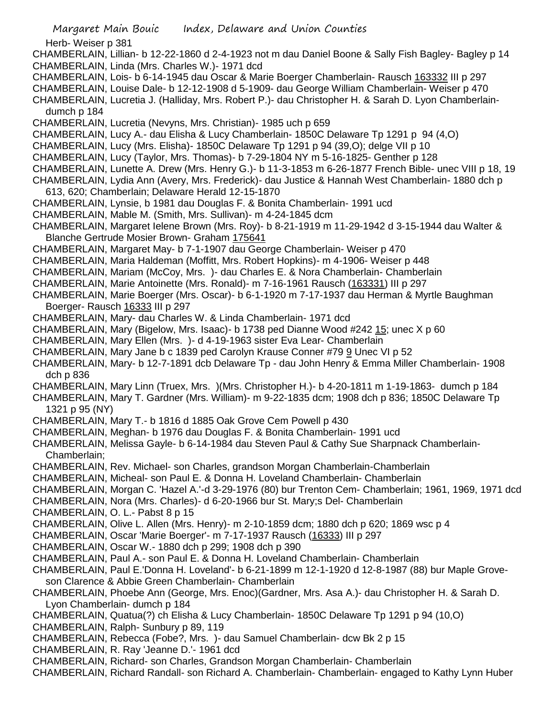Herb- Weiser p 381

CHAMBERLAIN, Lillian- b 12-22-1860 d 2-4-1923 not m dau Daniel Boone & Sally Fish Bagley- Bagley p 14 CHAMBERLAIN, Linda (Mrs. Charles W.)- 1971 dcd

- CHAMBERLAIN, Lois- b 6-14-1945 dau Oscar & Marie Boerger Chamberlain- Rausch 163332 III p 297
- CHAMBERLAIN, Louise Dale- b 12-12-1908 d 5-1909- dau George William Chamberlain- Weiser p 470

CHAMBERLAIN, Lucretia J. (Halliday, Mrs. Robert P.)- dau Christopher H. & Sarah D. Lyon Chamberlaindumch p 184

- CHAMBERLAIN, Lucretia (Nevyns, Mrs. Christian)- 1985 uch p 659
- CHAMBERLAIN, Lucy A.- dau Elisha & Lucy Chamberlain- 1850C Delaware Tp 1291 p 94 (4,O)
- CHAMBERLAIN, Lucy (Mrs. Elisha)- 1850C Delaware Tp 1291 p 94 (39,O); delge VII p 10
- CHAMBERLAIN, Lucy (Taylor, Mrs. Thomas)- b 7-29-1804 NY m 5-16-1825- Genther p 128
- CHAMBERLAIN, Lunette A. Drew (Mrs. Henry G.)- b 11-3-1853 m 6-26-1877 French Bible- unec VIII p 18, 19
- CHAMBERLAIN, Lydia Ann (Avery, Mrs. Frederick)- dau Justice & Hannah West Chamberlain- 1880 dch p 613, 620; Chamberlain; Delaware Herald 12-15-1870
- CHAMBERLAIN, Lynsie, b 1981 dau Douglas F. & Bonita Chamberlain- 1991 ucd
- CHAMBERLAIN, Mable M. (Smith, Mrs. Sullivan)- m 4-24-1845 dcm
- CHAMBERLAIN, Margaret Ielene Brown (Mrs. Roy)- b 8-21-1919 m 11-29-1942 d 3-15-1944 dau Walter & Blanche Gertrude Mosier Brown- Graham 175641
- CHAMBERLAIN, Margaret May- b 7-1-1907 dau George Chamberlain- Weiser p 470
- CHAMBERLAIN, Maria Haldeman (Moffitt, Mrs. Robert Hopkins)- m 4-1906- Weiser p 448
- CHAMBERLAIN, Mariam (McCoy, Mrs. )- dau Charles E. & Nora Chamberlain- Chamberlain
- CHAMBERLAIN, Marie Antoinette (Mrs. Ronald)- m 7-16-1961 Rausch (163331) III p 297
- CHAMBERLAIN, Marie Boerger (Mrs. Oscar)- b 6-1-1920 m 7-17-1937 dau Herman & Myrtle Baughman Boerger- Rausch 16333 III p 297
- CHAMBERLAIN, Mary- dau Charles W. & Linda Chamberlain- 1971 dcd
- CHAMBERLAIN, Mary (Bigelow, Mrs. Isaac)- b 1738 ped Dianne Wood #242 15; unec X p 60
- CHAMBERLAIN, Mary Ellen (Mrs. )- d 4-19-1963 sister Eva Lear- Chamberlain
- CHAMBERLAIN, Mary Jane b c 1839 ped Carolyn Krause Conner #79 9 Unec VI p 52
- CHAMBERLAIN, Mary- b 12-7-1891 dcb Delaware Tp dau John Henry & Emma Miller Chamberlain- 1908 dch p 836
- CHAMBERLAIN, Mary Linn (Truex, Mrs. )(Mrs. Christopher H.)- b 4-20-1811 m 1-19-1863- dumch p 184
- CHAMBERLAIN, Mary T. Gardner (Mrs. William)- m 9-22-1835 dcm; 1908 dch p 836; 1850C Delaware Tp 1321 p 95 (NY)
- CHAMBERLAIN, Mary T.- b 1816 d 1885 Oak Grove Cem Powell p 430
- CHAMBERLAIN, Meghan- b 1976 dau Douglas F. & Bonita Chamberlain- 1991 ucd
- CHAMBERLAIN, Melissa Gayle- b 6-14-1984 dau Steven Paul & Cathy Sue Sharpnack Chamberlain-Chamberlain;
- CHAMBERLAIN, Rev. Michael- son Charles, grandson Morgan Chamberlain-Chamberlain
- CHAMBERLAIN, Micheal- son Paul E. & Donna H. Loveland Chamberlain- Chamberlain
- CHAMBERLAIN, Morgan C. 'Hazel A.'-d 3-29-1976 (80) bur Trenton Cem- Chamberlain; 1961, 1969, 1971 dcd
- CHAMBERLAIN, Nora (Mrs. Charles)- d 6-20-1966 bur St. Mary;s Del- Chamberlain
- CHAMBERLAIN, O. L.- Pabst 8 p 15
- CHAMBERLAIN, Olive L. Allen (Mrs. Henry)- m 2-10-1859 dcm; 1880 dch p 620; 1869 wsc p 4
- CHAMBERLAIN, Oscar 'Marie Boerger'- m 7-17-1937 Rausch (16333) III p 297
- CHAMBERLAIN, Oscar W.- 1880 dch p 299; 1908 dch p 390
- CHAMBERLAIN, Paul A.- son Paul E. & Donna H. Loveland Chamberlain- Chamberlain
- CHAMBERLAIN, Paul E.'Donna H. Loveland'- b 6-21-1899 m 12-1-1920 d 12-8-1987 (88) bur Maple Groveson Clarence & Abbie Green Chamberlain- Chamberlain
- CHAMBERLAIN, Phoebe Ann (George, Mrs. Enoc)(Gardner, Mrs. Asa A.)- dau Christopher H. & Sarah D. Lyon Chamberlain- dumch p 184
- CHAMBERLAIN, Quatua(?) ch Elisha & Lucy Chamberlain- 1850C Delaware Tp 1291 p 94 (10,O)
- CHAMBERLAIN, Ralph- Sunbury p 89, 119
- CHAMBERLAIN, Rebecca (Fobe?, Mrs. )- dau Samuel Chamberlain- dcw Bk 2 p 15
- CHAMBERLAIN, R. Ray 'Jeanne D.'- 1961 dcd
- CHAMBERLAIN, Richard- son Charles, Grandson Morgan Chamberlain- Chamberlain
- CHAMBERLAIN, Richard Randall- son Richard A. Chamberlain- Chamberlain- engaged to Kathy Lynn Huber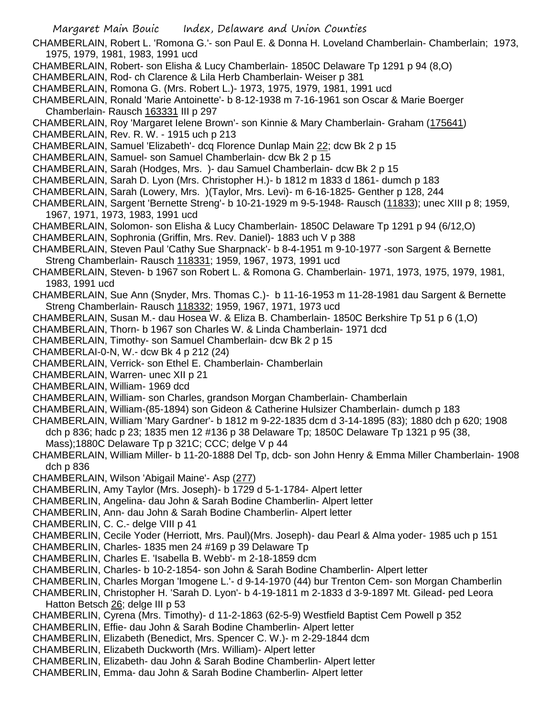- CHAMBERLAIN, Robert L. 'Romona G.'- son Paul E. & Donna H. Loveland Chamberlain- Chamberlain; 1973, 1975, 1979, 1981, 1983, 1991 ucd
- CHAMBERLAIN, Robert- son Elisha & Lucy Chamberlain- 1850C Delaware Tp 1291 p 94 (8,O)
- CHAMBERLAIN, Rod- ch Clarence & Lila Herb Chamberlain- Weiser p 381
- CHAMBERLAIN, Romona G. (Mrs. Robert L.)- 1973, 1975, 1979, 1981, 1991 ucd
- CHAMBERLAIN, Ronald 'Marie Antoinette'- b 8-12-1938 m 7-16-1961 son Oscar & Marie Boerger Chamberlain- Rausch 163331 III p 297
- CHAMBERLAIN, Roy 'Margaret Ielene Brown'- son Kinnie & Mary Chamberlain- Graham (175641)
- CHAMBERLAIN, Rev. R. W. 1915 uch p 213
- CHAMBERLAIN, Samuel 'Elizabeth'- dcq Florence Dunlap Main 22; dcw Bk 2 p 15
- CHAMBERLAIN, Samuel- son Samuel Chamberlain- dcw Bk 2 p 15
- CHAMBERLAIN, Sarah (Hodges, Mrs. )- dau Samuel Chamberlain- dcw Bk 2 p 15
- CHAMBERLAIN, Sarah D. Lyon (Mrs. Christopher H.)- b 1812 m 1833 d 1861- dumch p 183
- CHAMBERLAIN, Sarah (Lowery, Mrs. )(Taylor, Mrs. Levi)- m 6-16-1825- Genther p 128, 244
- CHAMBERLAIN, Sargent 'Bernette Streng'- b 10-21-1929 m 9-5-1948- Rausch (11833); unec XIII p 8; 1959, 1967, 1971, 1973, 1983, 1991 ucd
- CHAMBERLAIN, Solomon- son Elisha & Lucy Chamberlain- 1850C Delaware Tp 1291 p 94 (6/12,O)
- CHAMBERLAIN, Sophronia (Griffin, Mrs. Rev. Daniel)- 1883 uch V p 388
- CHAMBERLAIN, Steven Paul 'Cathy Sue Sharpnack'- b 8-4-1951 m 9-10-1977 -son Sargent & Bernette Streng Chamberlain- Rausch 118331; 1959, 1967, 1973, 1991 ucd
- CHAMBERLAIN, Steven- b 1967 son Robert L. & Romona G. Chamberlain- 1971, 1973, 1975, 1979, 1981, 1983, 1991 ucd
- CHAMBERLAIN, Sue Ann (Snyder, Mrs. Thomas C.)- b 11-16-1953 m 11-28-1981 dau Sargent & Bernette Streng Chamberlain- Rausch 118332; 1959, 1967, 1971, 1973 ucd
- CHAMBERLAIN, Susan M.- dau Hosea W. & Eliza B. Chamberlain- 1850C Berkshire Tp 51 p 6 (1,O)
- CHAMBERLAIN, Thorn- b 1967 son Charles W. & Linda Chamberlain- 1971 dcd
- CHAMBERLAIN, Timothy- son Samuel Chamberlain- dcw Bk 2 p 15
- CHAMBERLAI-0-N, W.- dcw Bk 4 p 212 (24)
- CHAMBERLAIN, Verrick- son Ethel E. Chamberlain- Chamberlain
- CHAMBERLAIN, Warren- unec XII p 21
- CHAMBERLAIN, William- 1969 dcd
- CHAMBERLAIN, William- son Charles, grandson Morgan Chamberlain- Chamberlain
- CHAMBERLAIN, William-(85-1894) son Gideon & Catherine Hulsizer Chamberlain- dumch p 183
- CHAMBERLAIN, William 'Mary Gardner'- b 1812 m 9-22-1835 dcm d 3-14-1895 (83); 1880 dch p 620; 1908 dch p 836; hadc p 23; 1835 men 12 #136 p 38 Delaware Tp; 1850C Delaware Tp 1321 p 95 (38, Mass);1880C Delaware Tp p 321C; CCC; delge V p 44
- CHAMBERLAIN, William Miller- b 11-20-1888 Del Tp, dcb- son John Henry & Emma Miller Chamberlain- 1908 dch p 836
- CHAMBERLAIN, Wilson 'Abigail Maine'- Asp (277)
- CHAMBERLIN, Amy Taylor (Mrs. Joseph)- b 1729 d 5-1-1784- Alpert letter
- CHAMBERLIN, Angelina- dau John & Sarah Bodine Chamberlin- Alpert letter
- CHAMBERLIN, Ann- dau John & Sarah Bodine Chamberlin- Alpert letter
- CHAMBERLIN, C. C.- delge VIII p 41
- CHAMBERLIN, Cecile Yoder (Herriott, Mrs. Paul)(Mrs. Joseph)- dau Pearl & Alma yoder- 1985 uch p 151
- CHAMBERLIN, Charles- 1835 men 24 #169 p 39 Delaware Tp
- CHAMBERLIN, Charles E. 'Isabella B. Webb'- m 2-18-1859 dcm
- CHAMBERLIN, Charles- b 10-2-1854- son John & Sarah Bodine Chamberlin- Alpert letter
- CHAMBERLIN, Charles Morgan 'Imogene L.'- d 9-14-1970 (44) bur Trenton Cem- son Morgan Chamberlin
- CHAMBERLIN, Christopher H. 'Sarah D. Lyon'- b 4-19-1811 m 2-1833 d 3-9-1897 Mt. Gilead- ped Leora Hatton Betsch 26; delge III p 53
- CHAMBERLIN, Cyrena (Mrs. Timothy)- d 11-2-1863 (62-5-9) Westfield Baptist Cem Powell p 352
- CHAMBERLIN, Effie- dau John & Sarah Bodine Chamberlin- Alpert letter
- CHAMBERLIN, Elizabeth (Benedict, Mrs. Spencer C. W.)- m 2-29-1844 dcm
- CHAMBERLIN, Elizabeth Duckworth (Mrs. William)- Alpert letter
- CHAMBERLIN, Elizabeth- dau John & Sarah Bodine Chamberlin- Alpert letter
- CHAMBERLIN, Emma- dau John & Sarah Bodine Chamberlin- Alpert letter